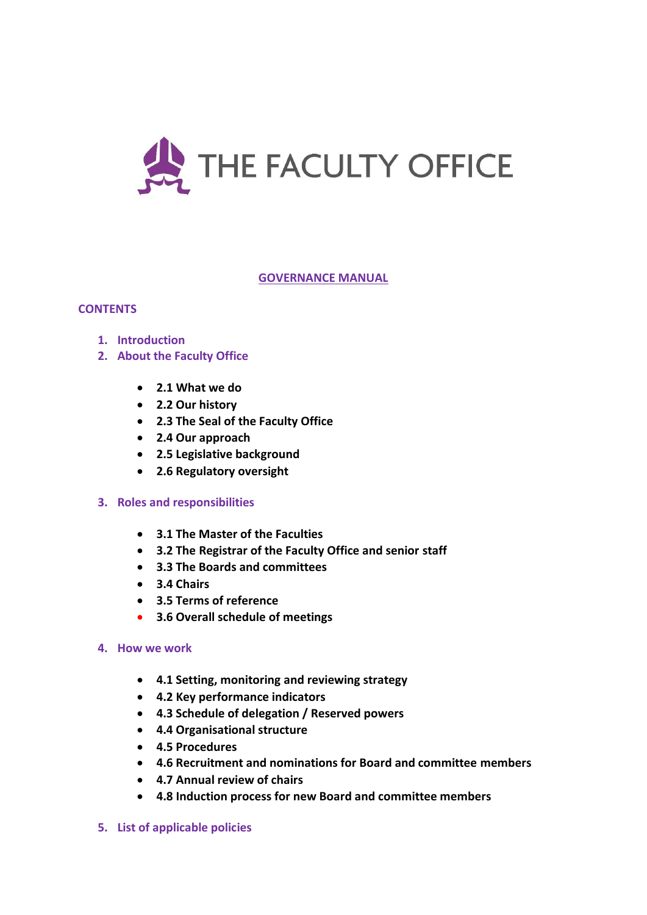

### **GOVERNANCE MANUAL**

### **CONTENTS**

- **1. Introduction**
- **2. About the Faculty Office**
	- **2.1 What we do**
	- **2.2 Our history**
	- **2.3 The Seal of the Faculty Office**
	- **2.4 Our approach**
	- **2.5 Legislative background**
	- **2.6 Regulatory oversight**

### **3. Roles and responsibilities**

- **3.1 The Master of the Faculties**
- **3.2 The Registrar of the Faculty Office and senior staff**
- **3.3 The Boards and committees**
- **3.4 Chairs**
- **3.5 Terms of reference**
- **3.6 Overall schedule of meetings**

## **4. How we work**

- **4.1 Setting, monitoring and reviewing strategy**
- **4.2 Key performance indicators**
- **4.3 Schedule of delegation / Reserved powers**
- **4.4 Organisational structure**
- **4.5 Procedures**
- **4.6 Recruitment and nominations for Board and committee members**
- **4.7 Annual review of chairs**
- **4.8 Induction process for new Board and committee members**
- **5. List of applicable policies**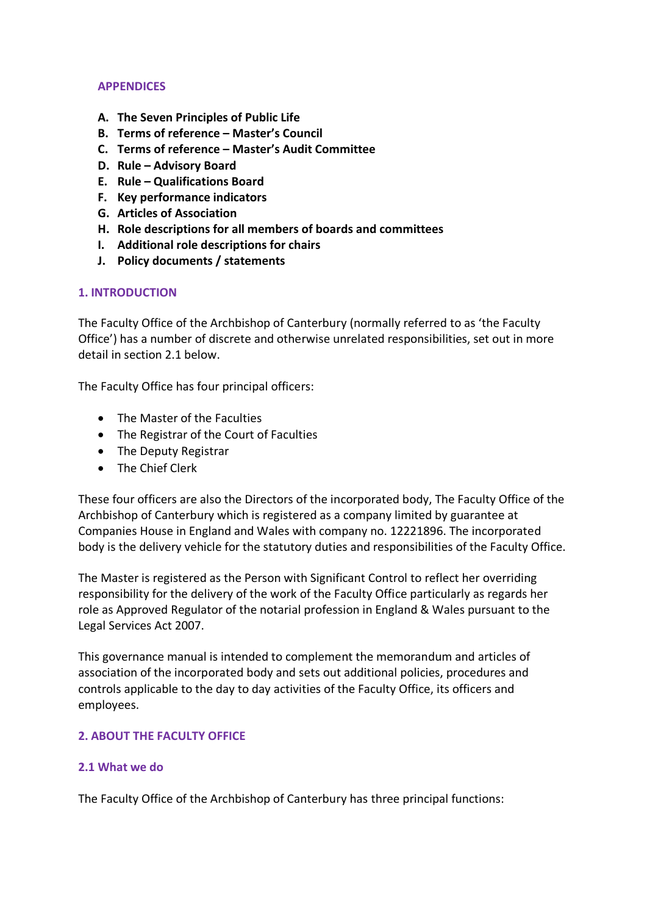# **APPENDICES**

- **A. The Seven Principles of Public Life**
- **B. Terms of reference – Master's Council**
- **C. Terms of reference – Master's Audit Committee**
- **D. Rule – Advisory Board**
- **E. Rule – Qualifications Board**
- **F. Key performance indicators**
- **G. Articles of Association**
- **H. Role descriptions for all members of boards and committees**
- **I. Additional role descriptions for chairs**
- **J. Policy documents / statements**

### **1. INTRODUCTION**

The Faculty Office of the Archbishop of Canterbury (normally referred to as 'the Faculty Office') has a number of discrete and otherwise unrelated responsibilities, set out in more detail in section 2.1 below.

The Faculty Office has four principal officers:

- The Master of the Faculties
- The Registrar of the Court of Faculties
- The Deputy Registrar
- The Chief Clerk

These four officers are also the Directors of the incorporated body, The Faculty Office of the Archbishop of Canterbury which is registered as a company limited by guarantee at Companies House in England and Wales with company no. 12221896. The incorporated body is the delivery vehicle for the statutory duties and responsibilities of the Faculty Office.

The Master is registered as the Person with Significant Control to reflect her overriding responsibility for the delivery of the work of the Faculty Office particularly as regards her role as Approved Regulator of the notarial profession in England & Wales pursuant to the Legal Services Act 2007.

This governance manual is intended to complement the memorandum and articles of association of the incorporated body and sets out additional policies, procedures and controls applicable to the day to day activities of the Faculty Office, its officers and employees.

# **2. ABOUT THE FACULTY OFFICE**

### **2.1 What we do**

The Faculty Office of the Archbishop of Canterbury has three principal functions: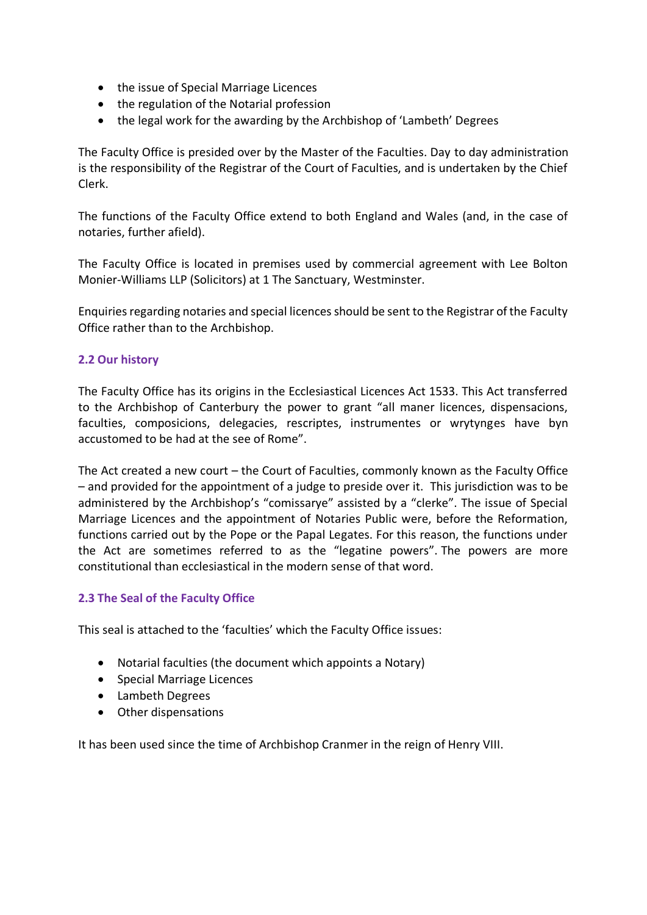- the issue of Special Marriage Licences
- the regulation of the Notarial profession
- the legal work for the awarding by the Archbishop of 'Lambeth' Degrees

The Faculty Office is presided over by the Master of the Faculties. Day to day administration is the responsibility of the Registrar of the Court of Faculties, and is undertaken by the Chief Clerk.

The functions of the Faculty Office extend to both England and Wales (and, in the case of notaries, further afield).

The Faculty Office is located in premises used by commercial agreement with Lee Bolton Monier-Williams LLP (Solicitors) at 1 The Sanctuary, Westminster.

Enquiries regarding notaries and special licences should be sent to the Registrar of the Faculty Office rather than to the Archbishop.

# **2.2 Our history**

The Faculty Office has its origins in the Ecclesiastical Licences Act 1533. This Act transferred to the Archbishop of Canterbury the power to grant "all maner licences, dispensacions, faculties, composicions, delegacies, rescriptes, instrumentes or wrytynges have byn accustomed to be had at the see of Rome".

The Act created a new court – the Court of Faculties, commonly known as the Faculty Office – and provided for the appointment of a judge to preside over it. This jurisdiction was to be administered by the Archbishop's "comissarye" assisted by a "clerke". The issue of Special Marriage Licences and the appointment of Notaries Public were, before the Reformation, functions carried out by the Pope or the Papal Legates. For this reason, the functions under the Act are sometimes referred to as the "legatine powers". The powers are more constitutional than ecclesiastical in the modern sense of that word.

### **2.3 The Seal of the Faculty Office**

This seal is attached to the 'faculties' which the Faculty Office issues:

- Notarial faculties (the document which appoints a Notary)
- Special Marriage Licences
- Lambeth Degrees
- Other dispensations

It has been used since the time of Archbishop Cranmer in the reign of Henry VIII.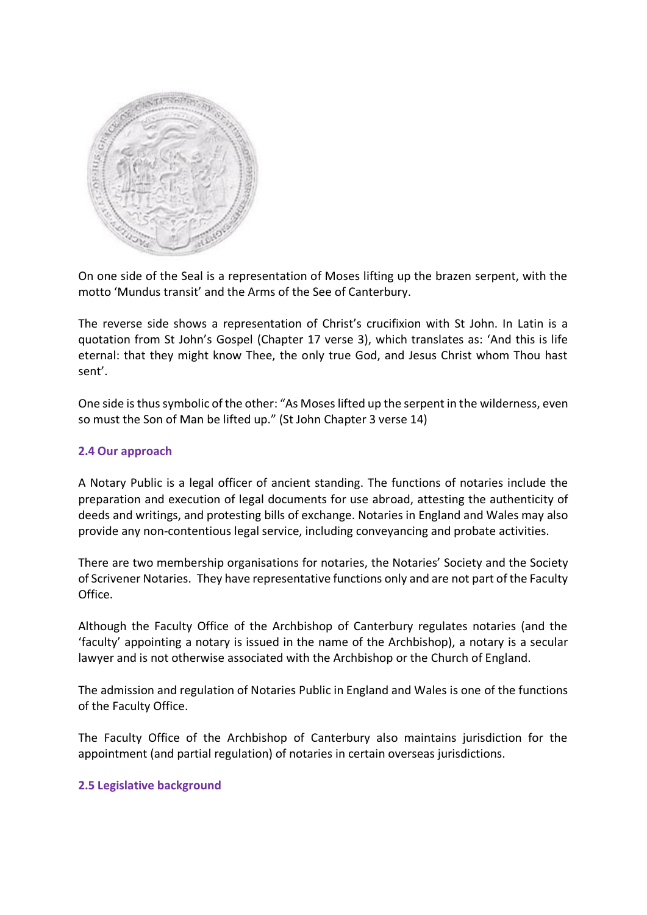

On one side of the Seal is a representation of Moses lifting up the brazen serpent, with the motto 'Mundus transit' and the Arms of the See of Canterbury.

The reverse side shows a representation of Christ's crucifixion with St John. In Latin is a quotation from St John's Gospel (Chapter 17 verse 3), which translates as: 'And this is life eternal: that they might know Thee, the only true God, and Jesus Christ whom Thou hast sent'.

One side is thus symbolic of the other: "As Moses lifted up the serpent in the wilderness, even so must the Son of Man be lifted up." (St John Chapter 3 verse 14)

### **2.4 Our approach**

A Notary Public is a legal officer of ancient standing. The functions of notaries include the preparation and execution of legal documents for use abroad, attesting the authenticity of deeds and writings, and protesting bills of exchange. Notaries in England and Wales may also provide any non-contentious legal service, including conveyancing and probate activities.

There are two membership organisations for notaries, the Notaries' Society and the Society of Scrivener Notaries. They have representative functions only and are not part of the Faculty Office.

Although the Faculty Office of the Archbishop of Canterbury regulates notaries (and the 'faculty' appointing a notary is issued in the name of the Archbishop), a notary is a secular lawyer and is not otherwise associated with the Archbishop or the Church of England.

The admission and regulation of Notaries Public in England and Wales is one of the functions of the Faculty Office.

The Faculty Office of the Archbishop of Canterbury also maintains jurisdiction for the appointment (and partial regulation) of notaries in certain overseas jurisdictions.

### **2.5 Legislative background**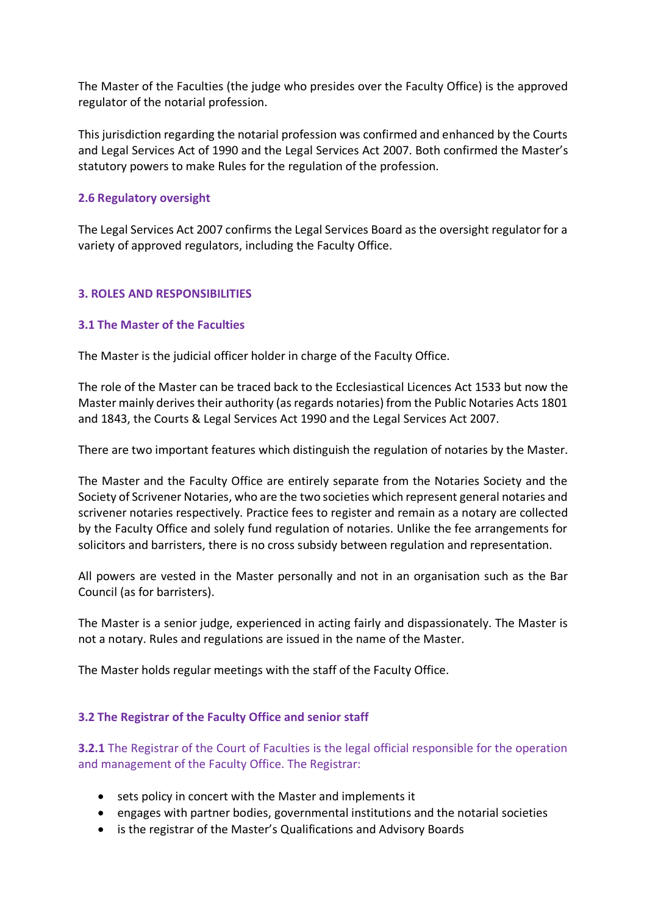The Master of the Faculties (the judge who presides over the Faculty Office) is the approved regulator of the notarial profession.

This jurisdiction regarding the notarial profession was confirmed and enhanced by the Courts and Legal Services Act of 1990 and the Legal Services Act 2007. Both confirmed the Master's statutory powers to make Rules for the regulation of the profession.

## **2.6 Regulatory oversight**

The Legal Services Act 2007 confirms the Legal Services Board as the oversight regulator for a variety of approved regulators, including the Faculty Office.

## **3. ROLES AND RESPONSIBILITIES**

## **3.1 The Master of the Faculties**

The Master is the judicial officer holder in charge of the Faculty Office.

The role of the Master can be traced back to the Ecclesiastical Licences Act 1533 but now the Master mainly derives their authority (as regards notaries) from the Public Notaries Acts 1801 and 1843, the Courts & Legal Services Act 1990 and the Legal Services Act 2007.

There are two important features which distinguish the regulation of notaries by the Master.

The Master and the Faculty Office are entirely separate from the Notaries Society and the Society of Scrivener Notaries, who are the two societies which represent general notaries and scrivener notaries respectively. Practice fees to register and remain as a notary are collected by the Faculty Office and solely fund regulation of notaries. Unlike the fee arrangements for solicitors and barristers, there is no cross subsidy between regulation and representation.

All powers are vested in the Master personally and not in an organisation such as the Bar Council (as for barristers).

The Master is a senior judge, experienced in acting fairly and dispassionately. The Master is not a notary. Rules and regulations are issued in the name of the Master.

The Master holds regular meetings with the staff of the Faculty Office.

### **3.2 The Registrar of the Faculty Office and senior staff**

**3.2.1** The Registrar of the Court of Faculties is the legal official responsible for the operation and management of the Faculty Office. The Registrar:

- sets policy in concert with the Master and implements it
- engages with partner bodies, governmental institutions and the notarial societies
- is the registrar of the Master's Qualifications and Advisory Boards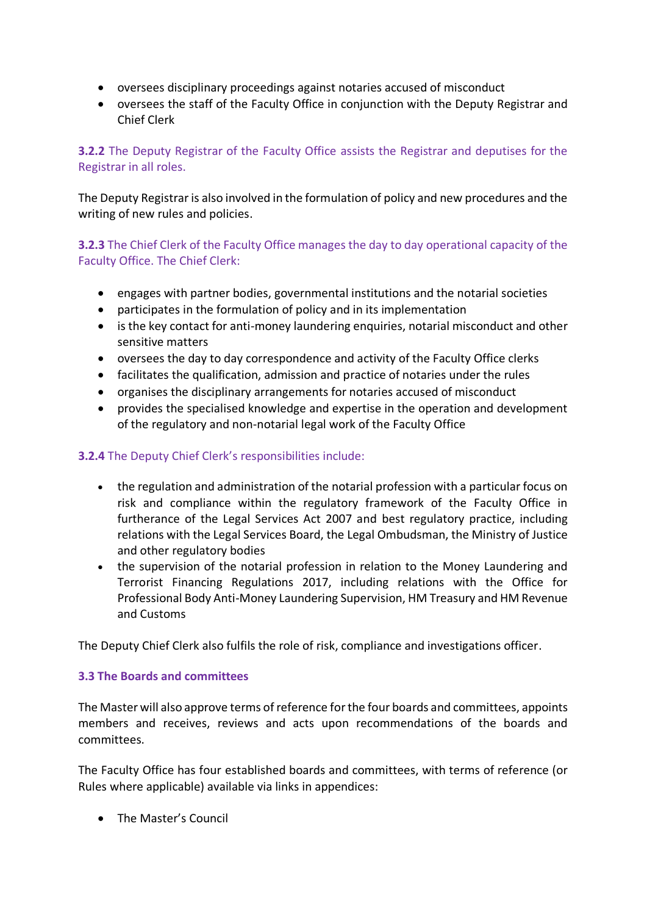- oversees disciplinary proceedings against notaries accused of misconduct
- oversees the staff of the Faculty Office in conjunction with the Deputy Registrar and Chief Clerk

# **3.2.2** The Deputy Registrar of the Faculty Office assists the Registrar and deputises for the Registrar in all roles.

The Deputy Registrar is also involved in the formulation of policy and new procedures and the writing of new rules and policies.

# **3.2.3** The Chief Clerk of the Faculty Office manages the day to day operational capacity of the Faculty Office. The Chief Clerk:

- engages with partner bodies, governmental institutions and the notarial societies
- participates in the formulation of policy and in its implementation
- is the key contact for anti-money laundering enquiries, notarial misconduct and other sensitive matters
- oversees the day to day correspondence and activity of the Faculty Office clerks
- facilitates the qualification, admission and practice of notaries under the rules
- organises the disciplinary arrangements for notaries accused of misconduct
- provides the specialised knowledge and expertise in the operation and development of the regulatory and non-notarial legal work of the Faculty Office

# **3.2.4** The Deputy Chief Clerk's responsibilities include:

- the regulation and administration of the notarial profession with a particular focus on risk and compliance within the regulatory framework of the Faculty Office in furtherance of the Legal Services Act 2007 and best regulatory practice, including relations with the Legal Services Board, the Legal Ombudsman, the Ministry of Justice and other regulatory bodies
- the supervision of the notarial profession in relation to the Money Laundering and Terrorist Financing Regulations 2017, including relations with the Office for Professional Body Anti-Money Laundering Supervision, HM Treasury and HM Revenue and Customs

The Deputy Chief Clerk also fulfils the role of risk, compliance and investigations officer.

# **3.3 The Boards and committees**

The Master will also approve terms of reference for the four boards and committees, appoints members and receives, reviews and acts upon recommendations of the boards and committees.

The Faculty Office has four established boards and committees, with terms of reference (or Rules where applicable) available via links in appendices:

• The Master's Council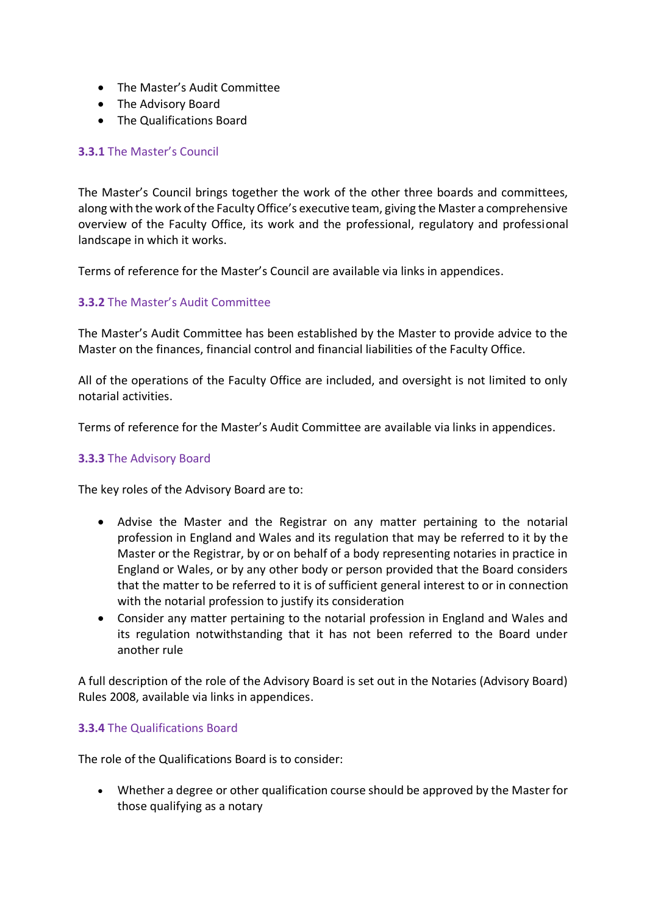- The Master's Audit Committee
- The Advisory Board
- The Qualifications Board

# **3.3.1** The Master's Council

The Master's Council brings together the work of the other three boards and committees, along with the work of the Faculty Office's executive team, giving the Master a comprehensive overview of the Faculty Office, its work and the professional, regulatory and professional landscape in which it works.

Terms of reference for the Master's Council are available via links in appendices.

# **3.3.2** The Master's Audit Committee

The Master's Audit Committee has been established by the Master to provide advice to the Master on the finances, financial control and financial liabilities of the Faculty Office.

All of the operations of the Faculty Office are included, and oversight is not limited to only notarial activities.

Terms of reference for the Master's Audit Committee are available via links in appendices.

# **3.3.3** The Advisory Board

The key roles of the Advisory Board are to:

- Advise the Master and the Registrar on any matter pertaining to the notarial profession in England and Wales and its regulation that may be referred to it by the Master or the Registrar, by or on behalf of a body representing notaries in practice in England or Wales, or by any other body or person provided that the Board considers that the matter to be referred to it is of sufficient general interest to or in connection with the notarial profession to justify its consideration
- Consider any matter pertaining to the notarial profession in England and Wales and its regulation notwithstanding that it has not been referred to the Board under another rule

A full description of the role of the Advisory Board is set out in the Notaries (Advisory Board) Rules 2008, available via links in appendices.

### **3.3.4** The Qualifications Board

The role of the Qualifications Board is to consider:

• Whether a degree or other qualification course should be approved by the Master for those qualifying as a notary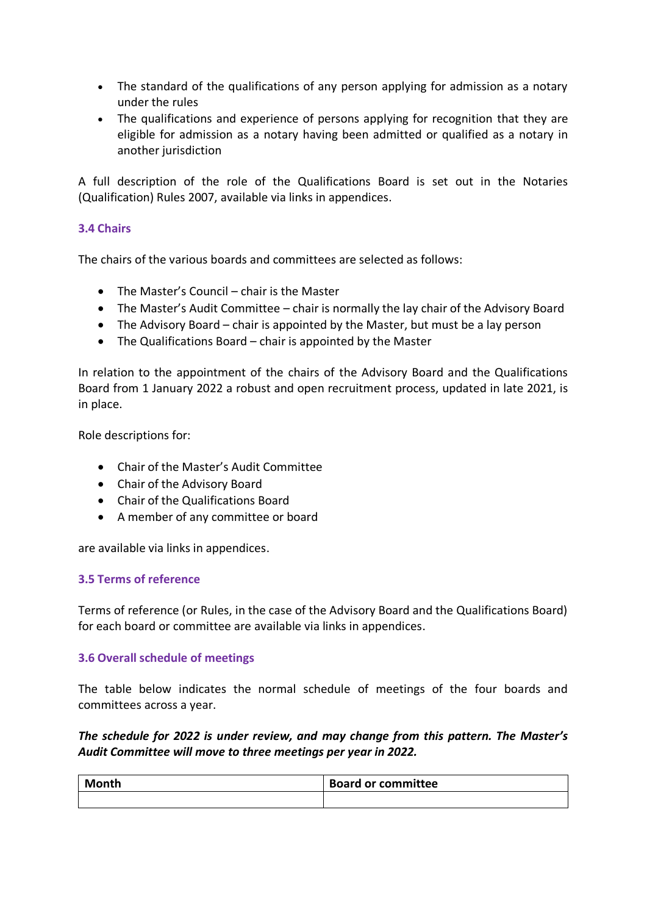- The standard of the qualifications of any person applying for admission as a notary under the rules
- The qualifications and experience of persons applying for recognition that they are eligible for admission as a notary having been admitted or qualified as a notary in another jurisdiction

A full description of the role of the Qualifications Board is set out in the Notaries (Qualification) Rules 2007, available via links in appendices.

# **3.4 Chairs**

The chairs of the various boards and committees are selected as follows:

- The Master's Council chair is the Master
- The Master's Audit Committee chair is normally the lay chair of the Advisory Board
- The Advisory Board chair is appointed by the Master, but must be a lay person
- The Qualifications Board chair is appointed by the Master

In relation to the appointment of the chairs of the Advisory Board and the Qualifications Board from 1 January 2022 a robust and open recruitment process, updated in late 2021, is in place.

Role descriptions for:

- Chair of the Master's Audit Committee
- Chair of the Advisory Board
- Chair of the Qualifications Board
- A member of any committee or board

are available via links in appendices.

### **3.5 Terms of reference**

Terms of reference (or Rules, in the case of the Advisory Board and the Qualifications Board) for each board or committee are available via links in appendices.

### **3.6 Overall schedule of meetings**

The table below indicates the normal schedule of meetings of the four boards and committees across a year.

# *The schedule for 2022 is under review, and may change from this pattern. The Master's Audit Committee will move to three meetings per year in 2022.*

| Month | <b>Board or committee</b> |
|-------|---------------------------|
|       |                           |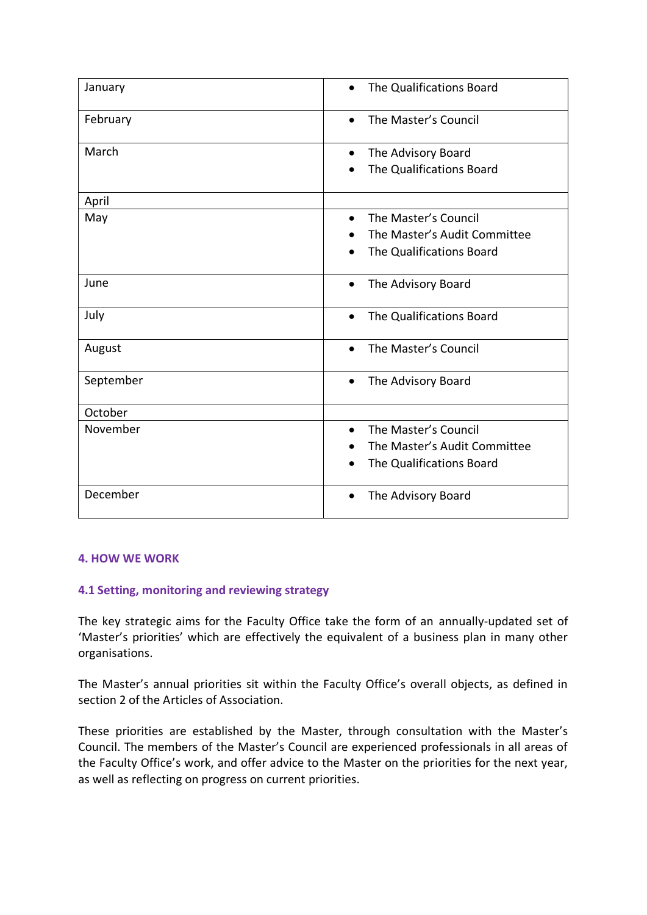| January   | The Qualifications Board<br>$\bullet$ |
|-----------|---------------------------------------|
| February  | The Master's Council<br>$\bullet$     |
| March     | The Advisory Board                    |
|           | The Qualifications Board              |
| April     |                                       |
| May       | The Master's Council<br>$\bullet$     |
|           | The Master's Audit Committee          |
|           | The Qualifications Board              |
| June      | The Advisory Board<br>$\bullet$       |
| July      | The Qualifications Board<br>$\bullet$ |
| August    | The Master's Council<br>$\bullet$     |
| September | The Advisory Board<br>$\bullet$       |
| October   |                                       |
| November  | The Master's Council<br>$\bullet$     |
|           | The Master's Audit Committee          |
|           | The Qualifications Board              |
| December  | The Advisory Board                    |

### **4. HOW WE WORK**

# **4.1 Setting, monitoring and reviewing strategy**

The key strategic aims for the Faculty Office take the form of an annually-updated set of 'Master's priorities' which are effectively the equivalent of a business plan in many other organisations.

The Master's annual priorities sit within the Faculty Office's overall objects, as defined in section 2 of the Articles of Association.

These priorities are established by the Master, through consultation with the Master's Council. The members of the Master's Council are experienced professionals in all areas of the Faculty Office's work, and offer advice to the Master on the priorities for the next year, as well as reflecting on progress on current priorities.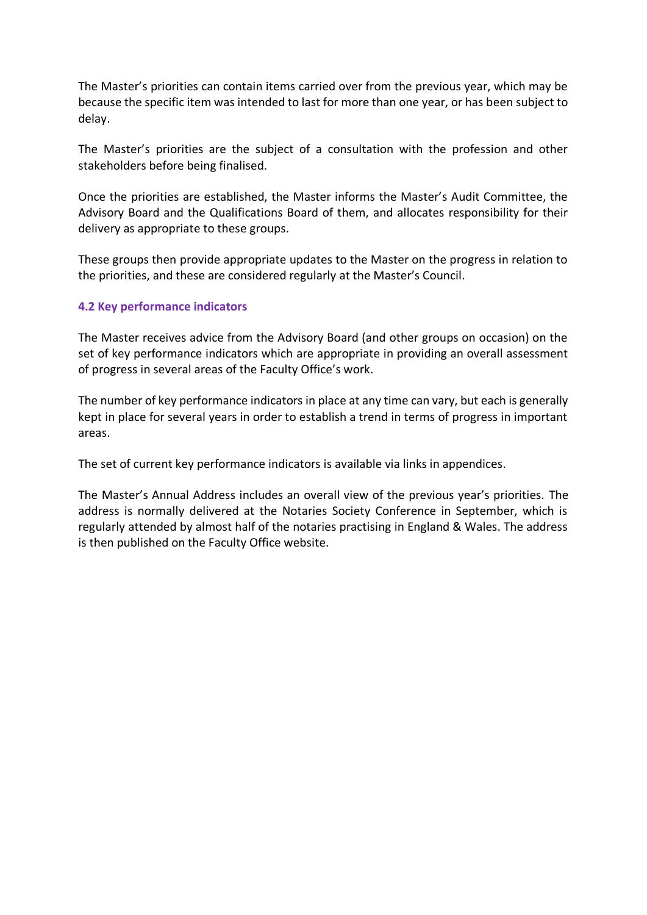The Master's priorities can contain items carried over from the previous year, which may be because the specific item was intended to last for more than one year, or has been subject to delay.

The Master's priorities are the subject of a consultation with the profession and other stakeholders before being finalised.

Once the priorities are established, the Master informs the Master's Audit Committee, the Advisory Board and the Qualifications Board of them, and allocates responsibility for their delivery as appropriate to these groups.

These groups then provide appropriate updates to the Master on the progress in relation to the priorities, and these are considered regularly at the Master's Council.

#### **4.2 Key performance indicators**

The Master receives advice from the Advisory Board (and other groups on occasion) on the set of key performance indicators which are appropriate in providing an overall assessment of progress in several areas of the Faculty Office's work.

The number of key performance indicators in place at any time can vary, but each is generally kept in place for several years in order to establish a trend in terms of progress in important areas.

The set of current key performance indicators is available via links in appendices.

The Master's Annual Address includes an overall view of the previous year's priorities. The address is normally delivered at the Notaries Society Conference in September, which is regularly attended by almost half of the notaries practising in England & Wales. The address is then published on the Faculty Office website.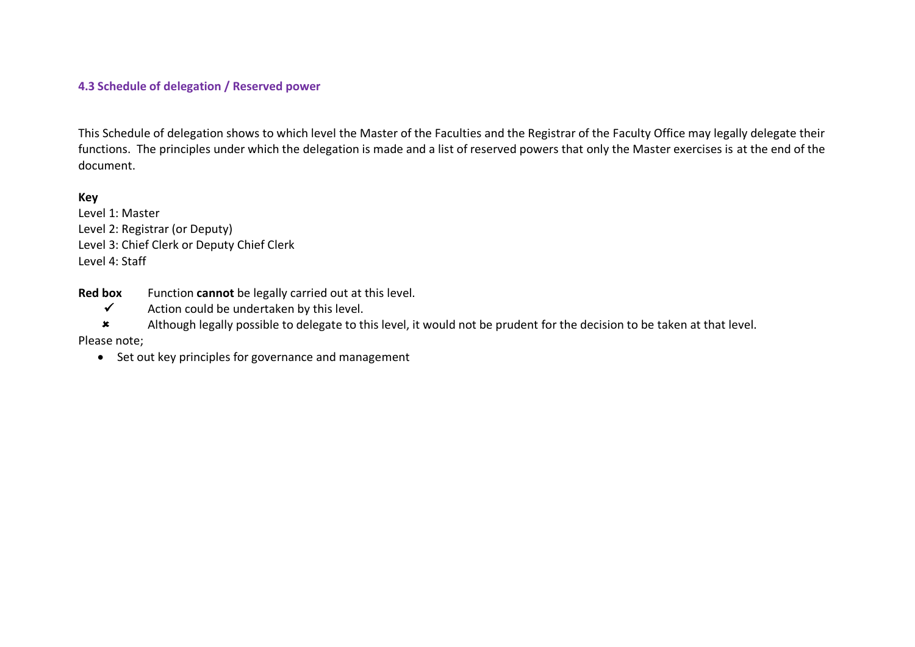### **4.3 Schedule of delegation / Reserved power**

This Schedule of delegation shows to which level the Master of the Faculties and the Registrar of the Faculty Office may legally delegate their functions. The principles under which the delegation is made and a list of reserved powers that only the Master exercises is at the end of the document.

### **Key**

Level 1: Master Level 2: Registrar (or Deputy) Level 3: Chief Clerk or Deputy Chief Clerk Level 4: Staff

**Red box** Function **cannot** be legally carried out at this level.

- ✓ Action could be undertaken by this level.
- \* Although legally possible to delegate to this level, it would not be prudent for the decision to be taken at that level.

Please note;

• Set out key principles for governance and management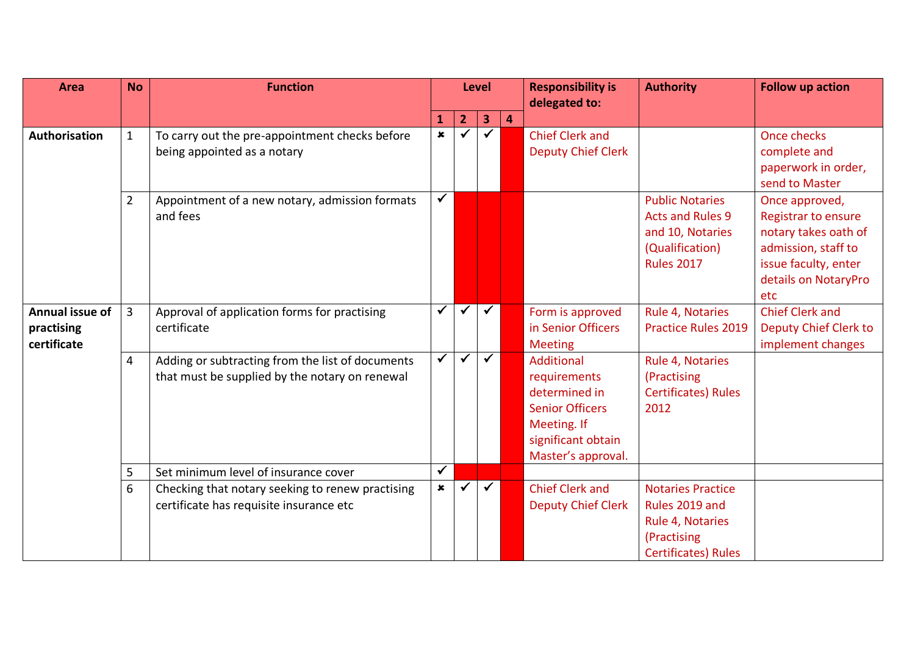| <b>Area</b>          | <b>No</b>      | <b>Function</b>                                  |                | <b>Level</b>   |                         |                | <b>Responsibility is</b>  | <b>Authority</b>           | <b>Follow up action</b>      |
|----------------------|----------------|--------------------------------------------------|----------------|----------------|-------------------------|----------------|---------------------------|----------------------------|------------------------------|
|                      |                |                                                  |                |                |                         |                | delegated to:             |                            |                              |
|                      |                |                                                  | 1              | $\overline{2}$ | $\overline{\mathbf{3}}$ | $\overline{4}$ |                           |                            |                              |
| <b>Authorisation</b> | $\mathbf{1}$   | To carry out the pre-appointment checks before   | $\pmb{\times}$ | $\checkmark$   | $\checkmark$            |                | <b>Chief Clerk and</b>    |                            | Once checks                  |
|                      |                | being appointed as a notary                      |                |                |                         |                | <b>Deputy Chief Clerk</b> |                            | complete and                 |
|                      |                |                                                  |                |                |                         |                |                           |                            | paperwork in order,          |
|                      |                |                                                  |                |                |                         |                |                           |                            | send to Master               |
|                      | $\overline{2}$ | Appointment of a new notary, admission formats   | $\checkmark$   |                |                         |                |                           | <b>Public Notaries</b>     | Once approved,               |
|                      |                | and fees                                         |                |                |                         |                |                           | <b>Acts and Rules 9</b>    | <b>Registrar to ensure</b>   |
|                      |                |                                                  |                |                |                         |                |                           | and 10, Notaries           | notary takes oath of         |
|                      |                |                                                  |                |                |                         |                |                           | (Qualification)            | admission, staff to          |
|                      |                |                                                  |                |                |                         |                |                           | <b>Rules 2017</b>          | issue faculty, enter         |
|                      |                |                                                  |                |                |                         |                |                           |                            | details on NotaryPro         |
|                      |                |                                                  |                |                |                         |                |                           |                            | etc                          |
| Annual issue of      | $\overline{3}$ | Approval of application forms for practising     | $\checkmark$   | $\checkmark$   | $\checkmark$            |                | Form is approved          | Rule 4, Notaries           | <b>Chief Clerk and</b>       |
| practising           |                | certificate                                      |                |                |                         |                | in Senior Officers        | <b>Practice Rules 2019</b> | <b>Deputy Chief Clerk to</b> |
| certificate          |                |                                                  |                |                |                         |                | <b>Meeting</b>            |                            | implement changes            |
|                      | 4              | Adding or subtracting from the list of documents | $\checkmark$   | ✓              | $\checkmark$            |                | <b>Additional</b>         | Rule 4, Notaries           |                              |
|                      |                | that must be supplied by the notary on renewal   |                |                |                         |                | requirements              | (Practising                |                              |
|                      |                |                                                  |                |                |                         |                | determined in             | <b>Certificates) Rules</b> |                              |
|                      |                |                                                  |                |                |                         |                | <b>Senior Officers</b>    | 2012                       |                              |
|                      |                |                                                  |                |                |                         |                | Meeting. If               |                            |                              |
|                      |                |                                                  |                |                |                         |                | significant obtain        |                            |                              |
|                      |                |                                                  |                |                |                         |                | Master's approval.        |                            |                              |
|                      | 5              | Set minimum level of insurance cover             | $\checkmark$   |                |                         |                |                           |                            |                              |
|                      | 6              | Checking that notary seeking to renew practising | $\pmb{\times}$ |                | $\checkmark$            |                | <b>Chief Clerk and</b>    | <b>Notaries Practice</b>   |                              |
|                      |                | certificate has requisite insurance etc          |                |                |                         |                | <b>Deputy Chief Clerk</b> | Rules 2019 and             |                              |
|                      |                |                                                  |                |                |                         |                |                           | Rule 4, Notaries           |                              |
|                      |                |                                                  |                |                |                         |                |                           | (Practising                |                              |
|                      |                |                                                  |                |                |                         |                |                           | <b>Certificates) Rules</b> |                              |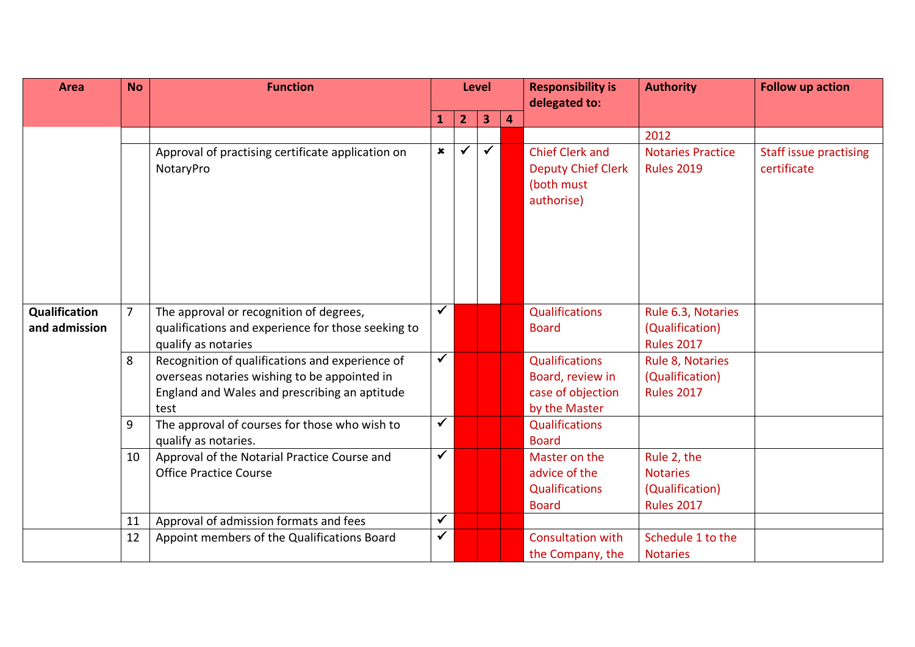| <b>Area</b>                    | <b>No</b>      | <b>Function</b>                                                                                                                                          |              | <b>Level</b>   |                         |   | <b>Responsibility is</b>                                                        | <b>Authority</b>                                                       | <b>Follow up action</b>                      |
|--------------------------------|----------------|----------------------------------------------------------------------------------------------------------------------------------------------------------|--------------|----------------|-------------------------|---|---------------------------------------------------------------------------------|------------------------------------------------------------------------|----------------------------------------------|
|                                |                |                                                                                                                                                          |              |                |                         |   | delegated to:                                                                   |                                                                        |                                              |
|                                |                |                                                                                                                                                          | 1            | $\overline{2}$ | $\overline{\mathbf{3}}$ | 4 |                                                                                 |                                                                        |                                              |
|                                |                |                                                                                                                                                          |              |                |                         |   |                                                                                 | 2012                                                                   |                                              |
|                                |                | Approval of practising certificate application on<br>NotaryPro                                                                                           | $\pmb{x}$    |                | $\checkmark$            |   | <b>Chief Clerk and</b><br><b>Deputy Chief Clerk</b><br>(both must<br>authorise) | <b>Notaries Practice</b><br><b>Rules 2019</b>                          | <b>Staff issue practising</b><br>certificate |
| Qualification<br>and admission | $\overline{7}$ | The approval or recognition of degrees,<br>qualifications and experience for those seeking to<br>qualify as notaries                                     | ✓            |                |                         |   | <b>Qualifications</b><br><b>Board</b>                                           | Rule 6.3, Notaries<br>(Qualification)<br><b>Rules 2017</b>             |                                              |
|                                | 8              | Recognition of qualifications and experience of<br>overseas notaries wishing to be appointed in<br>England and Wales and prescribing an aptitude<br>test | $\checkmark$ |                |                         |   | <b>Qualifications</b><br>Board, review in<br>case of objection<br>by the Master | Rule 8, Notaries<br>(Qualification)<br><b>Rules 2017</b>               |                                              |
|                                | 9              | The approval of courses for those who wish to<br>qualify as notaries.                                                                                    | $\checkmark$ |                |                         |   | <b>Qualifications</b><br><b>Board</b>                                           |                                                                        |                                              |
|                                | 10             | Approval of the Notarial Practice Course and<br><b>Office Practice Course</b>                                                                            | ✓            |                |                         |   | Master on the<br>advice of the<br><b>Qualifications</b><br><b>Board</b>         | Rule 2, the<br><b>Notaries</b><br>(Qualification)<br><b>Rules 2017</b> |                                              |
|                                | 11             | Approval of admission formats and fees                                                                                                                   | ✓            |                |                         |   |                                                                                 |                                                                        |                                              |
|                                | 12             | Appoint members of the Qualifications Board                                                                                                              | ✓            |                |                         |   | <b>Consultation with</b><br>the Company, the                                    | Schedule 1 to the<br><b>Notaries</b>                                   |                                              |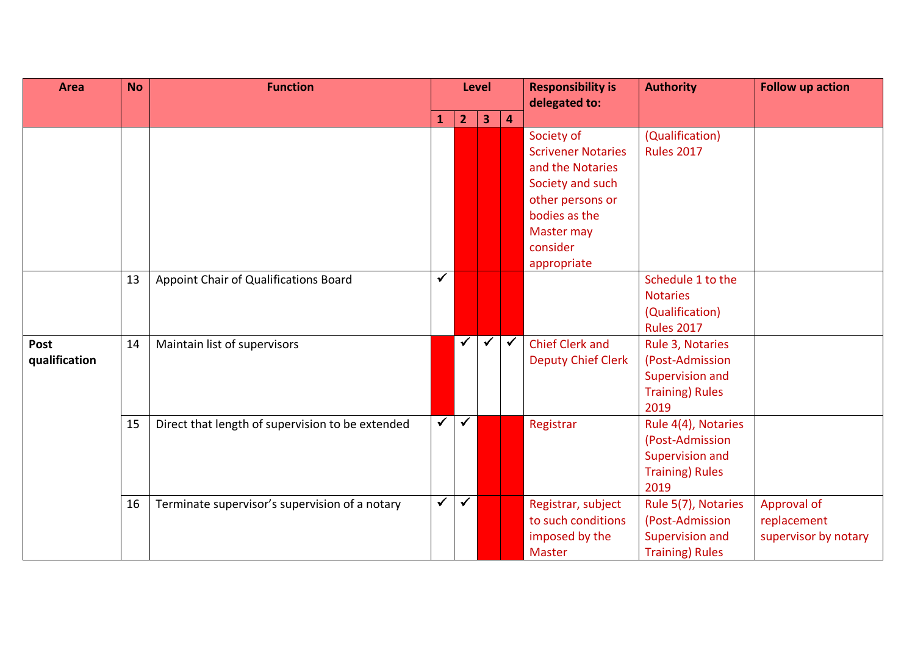| <b>Area</b>   | <b>No</b> | <b>Function</b>                                  |              | <b>Level</b>   |                         |                         | <b>Responsibility is</b><br>delegated to: | <b>Authority</b>                          | <b>Follow up action</b> |
|---------------|-----------|--------------------------------------------------|--------------|----------------|-------------------------|-------------------------|-------------------------------------------|-------------------------------------------|-------------------------|
|               |           |                                                  | $\mathbf{1}$ | $\overline{2}$ | $\overline{\mathbf{3}}$ | $\overline{\mathbf{4}}$ |                                           |                                           |                         |
|               |           |                                                  |              |                |                         |                         | Society of                                | (Qualification)                           |                         |
|               |           |                                                  |              |                |                         |                         | <b>Scrivener Notaries</b>                 | <b>Rules 2017</b>                         |                         |
|               |           |                                                  |              |                |                         |                         | and the Notaries                          |                                           |                         |
|               |           |                                                  |              |                |                         |                         | Society and such                          |                                           |                         |
|               |           |                                                  |              |                |                         |                         | other persons or                          |                                           |                         |
|               |           |                                                  |              |                |                         |                         | bodies as the                             |                                           |                         |
|               |           |                                                  |              |                |                         |                         | Master may                                |                                           |                         |
|               |           |                                                  |              |                |                         |                         | consider                                  |                                           |                         |
|               |           |                                                  |              |                |                         |                         | appropriate                               |                                           |                         |
|               | 13        | Appoint Chair of Qualifications Board            | ✓            |                |                         |                         |                                           | Schedule 1 to the                         |                         |
|               |           |                                                  |              |                |                         |                         |                                           | <b>Notaries</b>                           |                         |
|               |           |                                                  |              |                |                         |                         |                                           | (Qualification)                           |                         |
|               |           |                                                  |              | $\checkmark$   | $\checkmark$            | $\checkmark$            |                                           | <b>Rules 2017</b>                         |                         |
| Post          | 14        | Maintain list of supervisors                     |              |                |                         |                         | <b>Chief Clerk and</b>                    | Rule 3, Notaries                          |                         |
| qualification |           |                                                  |              |                |                         |                         | <b>Deputy Chief Clerk</b>                 | (Post-Admission                           |                         |
|               |           |                                                  |              |                |                         |                         |                                           | Supervision and<br><b>Training) Rules</b> |                         |
|               |           |                                                  |              |                |                         |                         |                                           | 2019                                      |                         |
|               | 15        | Direct that length of supervision to be extended | $\checkmark$ | $\checkmark$   |                         |                         | Registrar                                 | Rule 4(4), Notaries                       |                         |
|               |           |                                                  |              |                |                         |                         |                                           | (Post-Admission                           |                         |
|               |           |                                                  |              |                |                         |                         |                                           | Supervision and                           |                         |
|               |           |                                                  |              |                |                         |                         |                                           | <b>Training) Rules</b>                    |                         |
|               |           |                                                  |              |                |                         |                         |                                           | 2019                                      |                         |
|               | 16        | Terminate supervisor's supervision of a notary   | $\checkmark$ | $\checkmark$   |                         |                         | Registrar, subject                        | Rule 5(7), Notaries                       | Approval of             |
|               |           |                                                  |              |                |                         |                         | to such conditions                        | (Post-Admission                           | replacement             |
|               |           |                                                  |              |                |                         |                         | imposed by the                            | Supervision and                           | supervisor by notary    |
|               |           |                                                  |              |                |                         |                         | <b>Master</b>                             | <b>Training) Rules</b>                    |                         |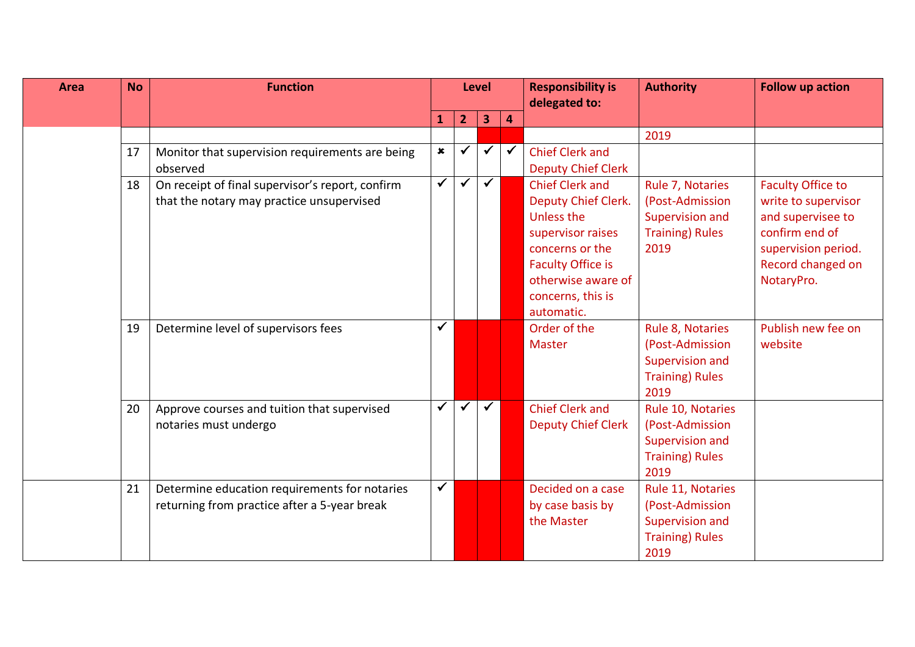| <b>Area</b> | <b>No</b> | <b>Function</b>                                  |                | <b>Level</b>   |                |                         | <b>Responsibility is</b><br>delegated to: | <b>Authority</b>       | <b>Follow up action</b>  |
|-------------|-----------|--------------------------------------------------|----------------|----------------|----------------|-------------------------|-------------------------------------------|------------------------|--------------------------|
|             |           |                                                  | $\mathbf{1}$   | $\overline{2}$ | 3 <sup>2</sup> | $\overline{\mathbf{4}}$ |                                           |                        |                          |
|             |           |                                                  |                |                |                |                         |                                           | 2019                   |                          |
|             | 17        | Monitor that supervision requirements are being  | $\pmb{\times}$ | $\checkmark$   | $\checkmark$   | $\checkmark$            | <b>Chief Clerk and</b>                    |                        |                          |
|             |           | observed                                         |                |                |                |                         | <b>Deputy Chief Clerk</b>                 |                        |                          |
|             | 18        | On receipt of final supervisor's report, confirm | $\checkmark$   | $\checkmark$   | $\checkmark$   |                         | <b>Chief Clerk and</b>                    | Rule 7, Notaries       | <b>Faculty Office to</b> |
|             |           | that the notary may practice unsupervised        |                |                |                |                         | Deputy Chief Clerk.                       | (Post-Admission        | write to supervisor      |
|             |           |                                                  |                |                |                |                         | <b>Unless the</b>                         | Supervision and        | and supervisee to        |
|             |           |                                                  |                |                |                |                         | supervisor raises                         | <b>Training) Rules</b> | confirm end of           |
|             |           |                                                  |                |                |                |                         | concerns or the                           | 2019                   | supervision period.      |
|             |           |                                                  |                |                |                |                         | <b>Faculty Office is</b>                  |                        | Record changed on        |
|             |           |                                                  |                |                |                |                         | otherwise aware of                        |                        | NotaryPro.               |
|             |           |                                                  |                |                |                |                         | concerns, this is                         |                        |                          |
|             |           |                                                  |                |                |                |                         | automatic.                                |                        |                          |
|             | 19        | Determine level of supervisors fees              | $\checkmark$   |                |                |                         | Order of the                              | Rule 8, Notaries       | Publish new fee on       |
|             |           |                                                  |                |                |                |                         | <b>Master</b>                             | (Post-Admission        | website                  |
|             |           |                                                  |                |                |                |                         |                                           | Supervision and        |                          |
|             |           |                                                  |                |                |                |                         |                                           | <b>Training) Rules</b> |                          |
|             |           |                                                  |                |                |                |                         |                                           | 2019                   |                          |
|             | 20        | Approve courses and tuition that supervised      | $\checkmark$   | $\checkmark$   | $\checkmark$   |                         | <b>Chief Clerk and</b>                    | Rule 10, Notaries      |                          |
|             |           | notaries must undergo                            |                |                |                |                         | <b>Deputy Chief Clerk</b>                 | (Post-Admission        |                          |
|             |           |                                                  |                |                |                |                         |                                           | Supervision and        |                          |
|             |           |                                                  |                |                |                |                         |                                           | <b>Training) Rules</b> |                          |
|             |           |                                                  | $\checkmark$   |                |                |                         |                                           | 2019                   |                          |
|             | 21        | Determine education requirements for notaries    |                |                |                |                         | Decided on a case                         | Rule 11, Notaries      |                          |
|             |           | returning from practice after a 5-year break     |                |                |                |                         | by case basis by                          | (Post-Admission        |                          |
|             |           |                                                  |                |                |                |                         | the Master                                | Supervision and        |                          |
|             |           |                                                  |                |                |                |                         |                                           | <b>Training) Rules</b> |                          |
|             |           |                                                  |                |                |                |                         |                                           | 2019                   |                          |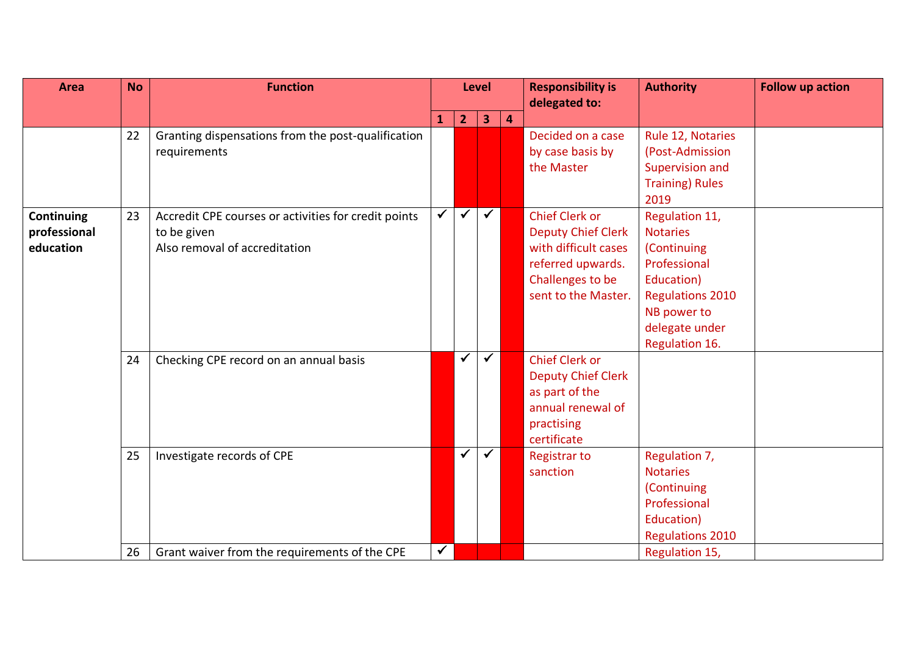| <b>Area</b>                             | <b>No</b> | <b>Function</b>                                                                                      |              | <b>Level</b>   |              |                | <b>Responsibility is</b><br>delegated to:                                                                                                  | <b>Authority</b>                                                                                                                                             | <b>Follow up action</b> |
|-----------------------------------------|-----------|------------------------------------------------------------------------------------------------------|--------------|----------------|--------------|----------------|--------------------------------------------------------------------------------------------------------------------------------------------|--------------------------------------------------------------------------------------------------------------------------------------------------------------|-------------------------|
|                                         |           |                                                                                                      | 1            | $\overline{2}$ | 3            | $\overline{4}$ |                                                                                                                                            |                                                                                                                                                              |                         |
|                                         | 22        | Granting dispensations from the post-qualification<br>requirements                                   |              |                |              |                | Decided on a case<br>by case basis by<br>the Master                                                                                        | Rule 12, Notaries<br>(Post-Admission<br>Supervision and<br><b>Training) Rules</b><br>2019                                                                    |                         |
| Continuing<br>professional<br>education | 23        | Accredit CPE courses or activities for credit points<br>to be given<br>Also removal of accreditation | ✓            | $\checkmark$   | $\checkmark$ |                | <b>Chief Clerk or</b><br><b>Deputy Chief Clerk</b><br>with difficult cases<br>referred upwards.<br>Challenges to be<br>sent to the Master. | Regulation 11,<br><b>Notaries</b><br>(Continuing<br>Professional<br>Education)<br><b>Regulations 2010</b><br>NB power to<br>delegate under<br>Regulation 16. |                         |
|                                         | 24        | Checking CPE record on an annual basis                                                               |              | $\checkmark$   | $\checkmark$ |                | <b>Chief Clerk or</b><br><b>Deputy Chief Clerk</b><br>as part of the<br>annual renewal of<br>practising<br>certificate                     |                                                                                                                                                              |                         |
|                                         | 25<br>26  | Investigate records of CPE<br>Grant waiver from the requirements of the CPE                          | $\checkmark$ | $\checkmark$   | $\checkmark$ |                | <b>Registrar to</b><br>sanction                                                                                                            | Regulation 7,<br><b>Notaries</b><br>(Continuing<br>Professional<br>Education)<br><b>Regulations 2010</b><br>Regulation 15,                                   |                         |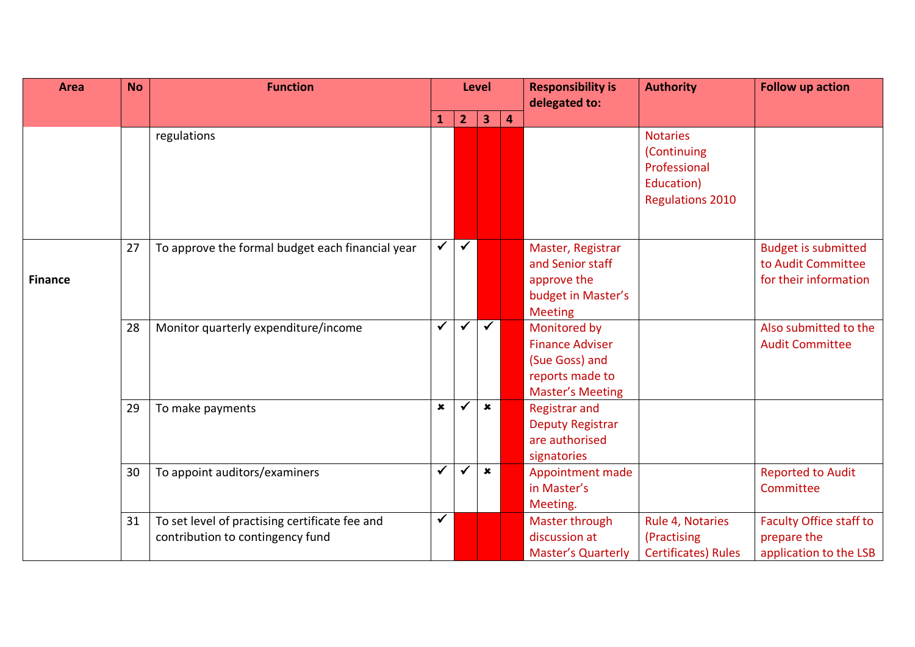| <b>Area</b>    | <b>No</b> | <b>Function</b>                                                                    |              |                | <b>Level</b>   |                         | <b>Responsibility is</b><br>delegated to:                                                              | <b>Authority</b>                                                                        | <b>Follow up action</b>                                                   |
|----------------|-----------|------------------------------------------------------------------------------------|--------------|----------------|----------------|-------------------------|--------------------------------------------------------------------------------------------------------|-----------------------------------------------------------------------------------------|---------------------------------------------------------------------------|
|                |           |                                                                                    | 1            | $\overline{2}$ | 3              | $\overline{\mathbf{4}}$ |                                                                                                        |                                                                                         |                                                                           |
|                |           | regulations                                                                        |              |                |                |                         |                                                                                                        | <b>Notaries</b><br>(Continuing<br>Professional<br>Education)<br><b>Regulations 2010</b> |                                                                           |
| <b>Finance</b> | 27        | To approve the formal budget each financial year                                   | $\checkmark$ | $\checkmark$   |                |                         | Master, Registrar<br>and Senior staff<br>approve the<br>budget in Master's<br><b>Meeting</b>           |                                                                                         | <b>Budget is submitted</b><br>to Audit Committee<br>for their information |
|                | 28        | Monitor quarterly expenditure/income                                               | ✓            | ✓              | $\checkmark$   |                         | Monitored by<br><b>Finance Adviser</b><br>(Sue Goss) and<br>reports made to<br><b>Master's Meeting</b> |                                                                                         | Also submitted to the<br><b>Audit Committee</b>                           |
|                | 29        | To make payments                                                                   | ×            | ✓              | $\pmb{\times}$ |                         | <b>Registrar and</b><br><b>Deputy Registrar</b><br>are authorised<br>signatories                       |                                                                                         |                                                                           |
|                | 30        | To appoint auditors/examiners                                                      | ✓            | $\checkmark$   | $\pmb{\times}$ |                         | Appointment made<br>in Master's<br>Meeting.                                                            |                                                                                         | <b>Reported to Audit</b><br>Committee                                     |
|                | 31        | To set level of practising certificate fee and<br>contribution to contingency fund | ✓            |                |                |                         | Master through<br>discussion at<br><b>Master's Quarterly</b>                                           | Rule 4, Notaries<br>(Practising<br><b>Certificates) Rules</b>                           | <b>Faculty Office staff to</b><br>prepare the<br>application to the LSB   |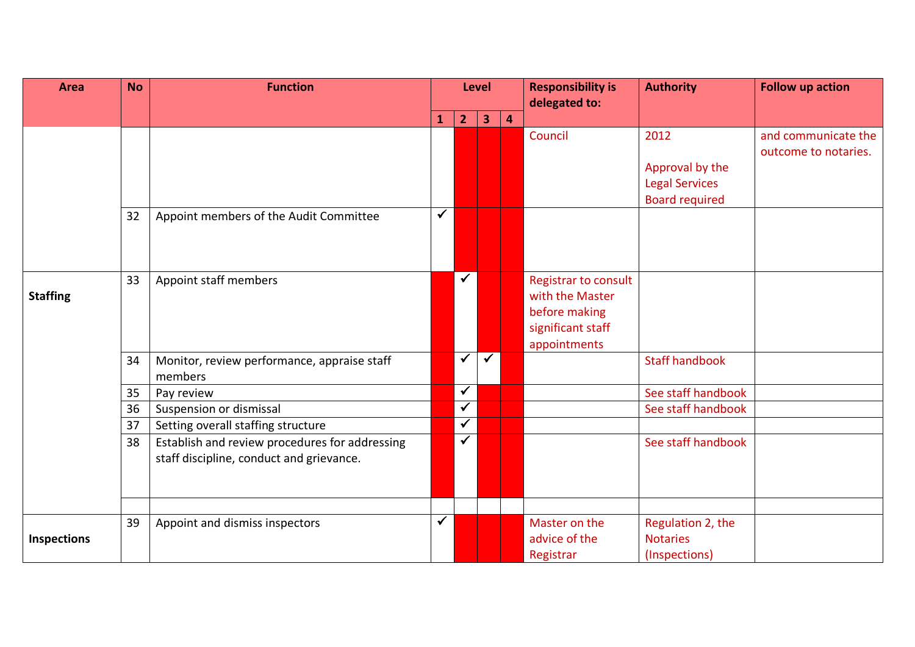| <b>Area</b>        | <b>No</b> | <b>Function</b>                                                                            |              | <b>Level</b>         |                         |                         | <b>Responsibility is</b><br>delegated to:                                                     | <b>Authority</b>                                                          | <b>Follow up action</b>                     |
|--------------------|-----------|--------------------------------------------------------------------------------------------|--------------|----------------------|-------------------------|-------------------------|-----------------------------------------------------------------------------------------------|---------------------------------------------------------------------------|---------------------------------------------|
|                    |           |                                                                                            | $\mathbf{1}$ | 2 <sup>1</sup>       | $\overline{\mathbf{3}}$ | $\overline{\mathbf{4}}$ |                                                                                               |                                                                           |                                             |
|                    | 32        | Appoint members of the Audit Committee                                                     | $\checkmark$ |                      |                         |                         | Council                                                                                       | 2012<br>Approval by the<br><b>Legal Services</b><br><b>Board required</b> | and communicate the<br>outcome to notaries. |
| <b>Staffing</b>    | 33        | Appoint staff members                                                                      |              | $\checkmark$         |                         |                         | Registrar to consult<br>with the Master<br>before making<br>significant staff<br>appointments |                                                                           |                                             |
|                    | 34        | Monitor, review performance, appraise staff<br>members                                     |              | $\checkmark$         | $\checkmark$            |                         |                                                                                               | <b>Staff handbook</b>                                                     |                                             |
|                    | 35        | Pay review                                                                                 |              | $\checkmark$         |                         |                         |                                                                                               | See staff handbook                                                        |                                             |
|                    | 36        | Suspension or dismissal                                                                    |              | $\blacktriangledown$ |                         |                         |                                                                                               | See staff handbook                                                        |                                             |
|                    | 37        | Setting overall staffing structure                                                         |              | $\checkmark$         |                         |                         |                                                                                               |                                                                           |                                             |
|                    | 38        | Establish and review procedures for addressing<br>staff discipline, conduct and grievance. |              | ✓                    |                         |                         |                                                                                               | See staff handbook                                                        |                                             |
| <b>Inspections</b> | 39        | Appoint and dismiss inspectors                                                             | ✓            |                      |                         |                         | Master on the<br>advice of the<br>Registrar                                                   | Regulation 2, the<br><b>Notaries</b><br>(Inspections)                     |                                             |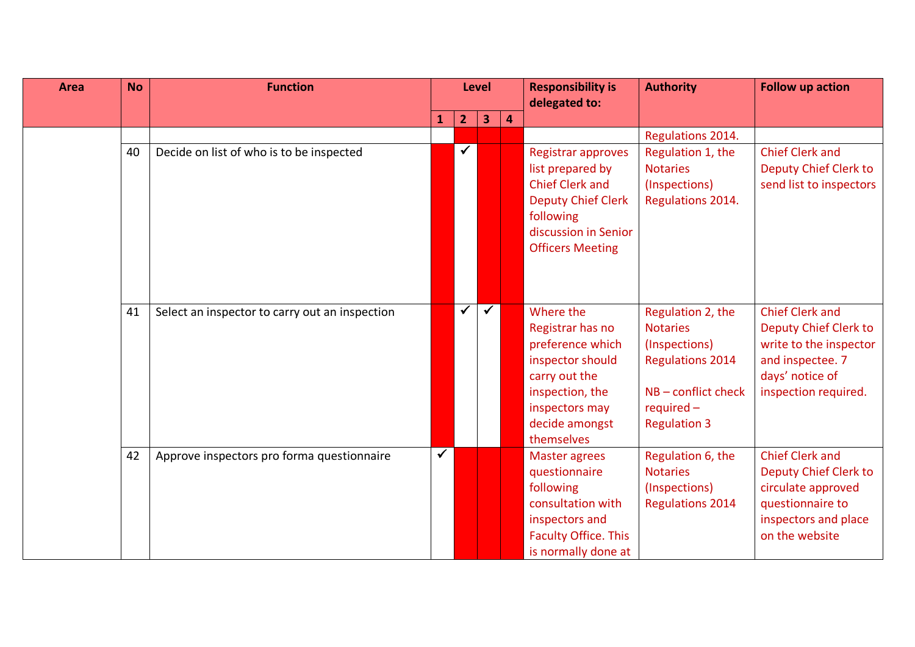| <b>Area</b> | <b>No</b> | <b>Function</b>                                |              |                | <b>Level</b>            |                         | <b>Responsibility is</b><br>delegated to:                                                                                                                            | <b>Authority</b>                                                                                                                                 | <b>Follow up action</b>                                                                                                                         |
|-------------|-----------|------------------------------------------------|--------------|----------------|-------------------------|-------------------------|----------------------------------------------------------------------------------------------------------------------------------------------------------------------|--------------------------------------------------------------------------------------------------------------------------------------------------|-------------------------------------------------------------------------------------------------------------------------------------------------|
|             |           |                                                | $\mathbf{1}$ | 2 <sub>1</sub> | $\overline{\mathbf{3}}$ | $\overline{\mathbf{4}}$ |                                                                                                                                                                      |                                                                                                                                                  |                                                                                                                                                 |
|             |           |                                                |              |                |                         |                         |                                                                                                                                                                      | Regulations 2014.                                                                                                                                |                                                                                                                                                 |
|             | 40        | Decide on list of who is to be inspected       |              | $\checkmark$   |                         |                         | <b>Registrar approves</b><br>list prepared by<br><b>Chief Clerk and</b><br><b>Deputy Chief Clerk</b><br>following<br>discussion in Senior<br><b>Officers Meeting</b> | Regulation 1, the<br><b>Notaries</b><br>(Inspections)<br>Regulations 2014.                                                                       | <b>Chief Clerk and</b><br><b>Deputy Chief Clerk to</b><br>send list to inspectors                                                               |
|             | 41        | Select an inspector to carry out an inspection |              | $\checkmark$   | $\checkmark$            |                         | Where the<br>Registrar has no<br>preference which<br>inspector should<br>carry out the<br>inspection, the<br>inspectors may<br>decide amongst<br>themselves          | Regulation 2, the<br><b>Notaries</b><br>(Inspections)<br><b>Regulations 2014</b><br>$NB$ – conflict check<br>$required -$<br><b>Regulation 3</b> | <b>Chief Clerk and</b><br><b>Deputy Chief Clerk to</b><br>write to the inspector<br>and inspectee. 7<br>days' notice of<br>inspection required. |
|             | 42        | Approve inspectors pro forma questionnaire     | $\checkmark$ |                |                         |                         | <b>Master agrees</b><br>questionnaire<br>following<br>consultation with<br>inspectors and<br><b>Faculty Office. This</b><br>is normally done at                      | Regulation 6, the<br><b>Notaries</b><br>(Inspections)<br><b>Regulations 2014</b>                                                                 | <b>Chief Clerk and</b><br><b>Deputy Chief Clerk to</b><br>circulate approved<br>questionnaire to<br>inspectors and place<br>on the website      |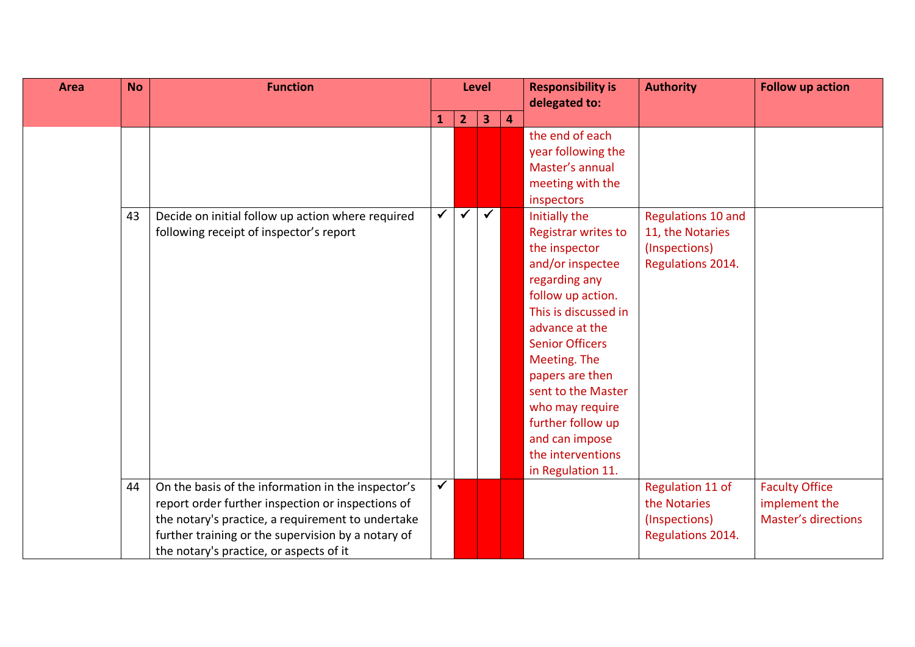| <b>Area</b> | <b>No</b> | <b>Function</b>                                                                                                                                                                                                                                               |              |                | <b>Level</b>            |                         | <b>Responsibility is</b><br>delegated to:                                                                                                                                                                                                                                                                                                                                                                                        | <b>Authority</b>                                                             | <b>Follow up action</b>                                              |
|-------------|-----------|---------------------------------------------------------------------------------------------------------------------------------------------------------------------------------------------------------------------------------------------------------------|--------------|----------------|-------------------------|-------------------------|----------------------------------------------------------------------------------------------------------------------------------------------------------------------------------------------------------------------------------------------------------------------------------------------------------------------------------------------------------------------------------------------------------------------------------|------------------------------------------------------------------------------|----------------------------------------------------------------------|
|             |           |                                                                                                                                                                                                                                                               | $\mathbf{1}$ | 2 <sub>1</sub> | $\overline{\mathbf{3}}$ | $\overline{\mathbf{4}}$ |                                                                                                                                                                                                                                                                                                                                                                                                                                  |                                                                              |                                                                      |
|             | 43        | Decide on initial follow up action where required<br>following receipt of inspector's report                                                                                                                                                                  | ✓            | $\checkmark$   | $\checkmark$            |                         | the end of each<br>year following the<br>Master's annual<br>meeting with the<br>inspectors<br>Initially the<br><b>Registrar writes to</b><br>the inspector<br>and/or inspectee<br>regarding any<br>follow up action.<br>This is discussed in<br>advance at the<br><b>Senior Officers</b><br>Meeting. The<br>papers are then<br>sent to the Master<br>who may require<br>further follow up<br>and can impose<br>the interventions | Regulations 10 and<br>11, the Notaries<br>(Inspections)<br>Regulations 2014. |                                                                      |
|             | 44        | On the basis of the information in the inspector's<br>report order further inspection or inspections of<br>the notary's practice, a requirement to undertake<br>further training or the supervision by a notary of<br>the notary's practice, or aspects of it | $\checkmark$ |                |                         |                         | in Regulation 11.                                                                                                                                                                                                                                                                                                                                                                                                                | Regulation 11 of<br>the Notaries<br>(Inspections)<br>Regulations 2014.       | <b>Faculty Office</b><br>implement the<br><b>Master's directions</b> |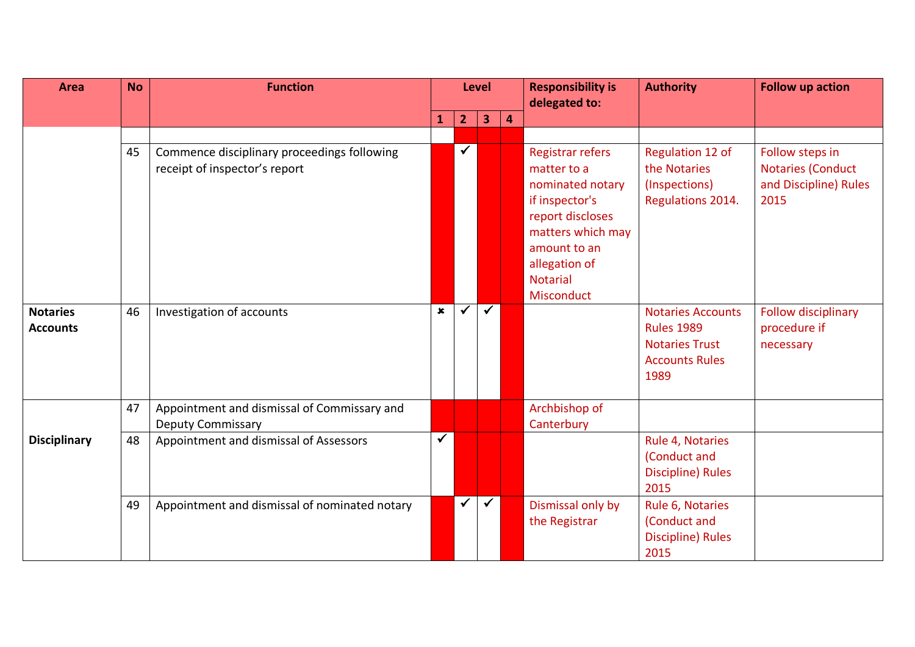| <b>Area</b>                        | <b>No</b> | <b>Function</b>                                                              |              | <b>Level</b>   |                         |   | <b>Responsibility is</b><br>delegated to:                                                                                                                                               | <b>Authority</b>                                                                                        | <b>Follow up action</b>                                                      |
|------------------------------------|-----------|------------------------------------------------------------------------------|--------------|----------------|-------------------------|---|-----------------------------------------------------------------------------------------------------------------------------------------------------------------------------------------|---------------------------------------------------------------------------------------------------------|------------------------------------------------------------------------------|
|                                    |           |                                                                              | $\mathbf{1}$ | 2 <sub>1</sub> | $\overline{\mathbf{3}}$ | 4 |                                                                                                                                                                                         |                                                                                                         |                                                                              |
|                                    | 45        | Commence disciplinary proceedings following<br>receipt of inspector's report |              | $\checkmark$   |                         |   | <b>Registrar refers</b><br>matter to a<br>nominated notary<br>if inspector's<br>report discloses<br>matters which may<br>amount to an<br>allegation of<br><b>Notarial</b><br>Misconduct | Regulation 12 of<br>the Notaries<br>(Inspections)<br>Regulations 2014.                                  | Follow steps in<br><b>Notaries (Conduct</b><br>and Discipline) Rules<br>2015 |
| <b>Notaries</b><br><b>Accounts</b> | 46        | Investigation of accounts                                                    | $\mathbf x$  | ✓              | $\checkmark$            |   |                                                                                                                                                                                         | <b>Notaries Accounts</b><br><b>Rules 1989</b><br><b>Notaries Trust</b><br><b>Accounts Rules</b><br>1989 | <b>Follow disciplinary</b><br>procedure if<br>necessary                      |
|                                    | 47        | Appointment and dismissal of Commissary and<br><b>Deputy Commissary</b>      |              |                |                         |   | Archbishop of<br>Canterbury                                                                                                                                                             |                                                                                                         |                                                                              |
| <b>Disciplinary</b>                | 48        | Appointment and dismissal of Assessors                                       | ✓            |                |                         |   |                                                                                                                                                                                         | Rule 4, Notaries<br>(Conduct and<br>Discipline) Rules<br>2015                                           |                                                                              |
|                                    | 49        | Appointment and dismissal of nominated notary                                |              | $\checkmark$   | $\checkmark$            |   | Dismissal only by<br>the Registrar                                                                                                                                                      | Rule 6, Notaries<br>(Conduct and<br><b>Discipline) Rules</b><br>2015                                    |                                                                              |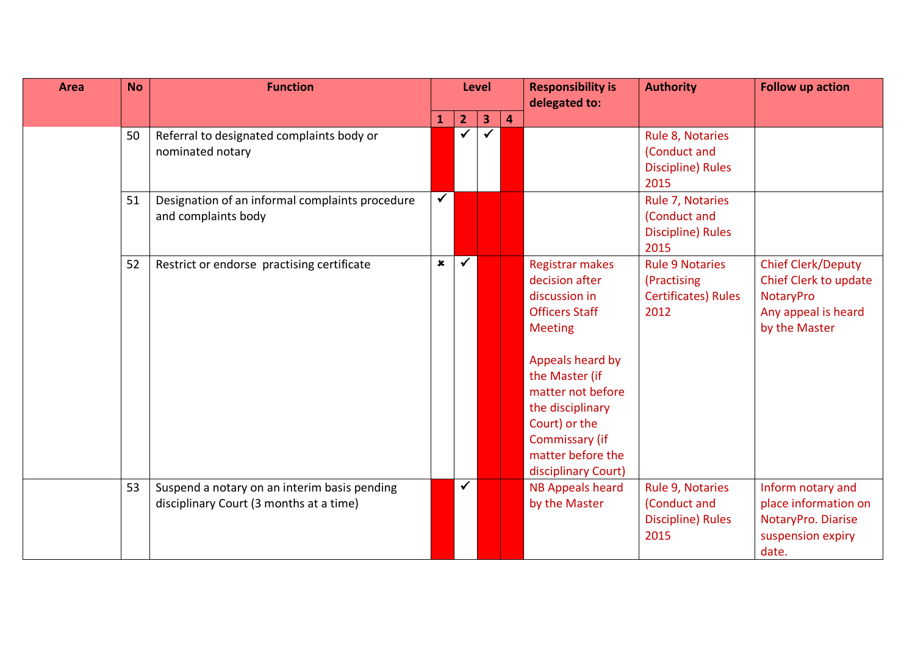| <b>Area</b> | <b>No</b> | <b>Function</b>                                                                         |                | <b>Level</b>            |                         |                         | <b>Responsibility is</b><br>delegated to:                                                                                                                                                                                                                          | <b>Authority</b>                                                            | <b>Follow up action</b>                                                                                 |
|-------------|-----------|-----------------------------------------------------------------------------------------|----------------|-------------------------|-------------------------|-------------------------|--------------------------------------------------------------------------------------------------------------------------------------------------------------------------------------------------------------------------------------------------------------------|-----------------------------------------------------------------------------|---------------------------------------------------------------------------------------------------------|
|             |           |                                                                                         | $\mathbf{1}$   | 2 <sub>1</sub>          | $\overline{\mathbf{3}}$ | $\overline{\mathbf{4}}$ |                                                                                                                                                                                                                                                                    |                                                                             |                                                                                                         |
|             | 50        | Referral to designated complaints body or<br>nominated notary                           |                | $\overline{\checkmark}$ |                         |                         |                                                                                                                                                                                                                                                                    | Rule 8, Notaries<br>(Conduct and<br>Discipline) Rules<br>2015               |                                                                                                         |
|             | 51        | Designation of an informal complaints procedure<br>and complaints body                  | $\checkmark$   |                         |                         |                         |                                                                                                                                                                                                                                                                    | Rule 7, Notaries<br>(Conduct and<br>Discipline) Rules<br>2015               |                                                                                                         |
|             | 52        | Restrict or endorse practising certificate                                              | $\pmb{\times}$ | ✓                       |                         |                         | <b>Registrar makes</b><br>decision after<br>discussion in<br><b>Officers Staff</b><br><b>Meeting</b><br>Appeals heard by<br>the Master (if<br>matter not before<br>the disciplinary<br>Court) or the<br>Commissary (if<br>matter before the<br>disciplinary Court) | <b>Rule 9 Notaries</b><br>(Practising<br><b>Certificates) Rules</b><br>2012 | <b>Chief Clerk/Deputy</b><br>Chief Clerk to update<br>NotaryPro<br>Any appeal is heard<br>by the Master |
|             | 53        | Suspend a notary on an interim basis pending<br>disciplinary Court (3 months at a time) |                | $\checkmark$            |                         |                         | <b>NB Appeals heard</b><br>by the Master                                                                                                                                                                                                                           | Rule 9, Notaries<br>(Conduct and<br><b>Discipline) Rules</b><br>2015        | Inform notary and<br>place information on<br>NotaryPro. Diarise<br>suspension expiry<br>date.           |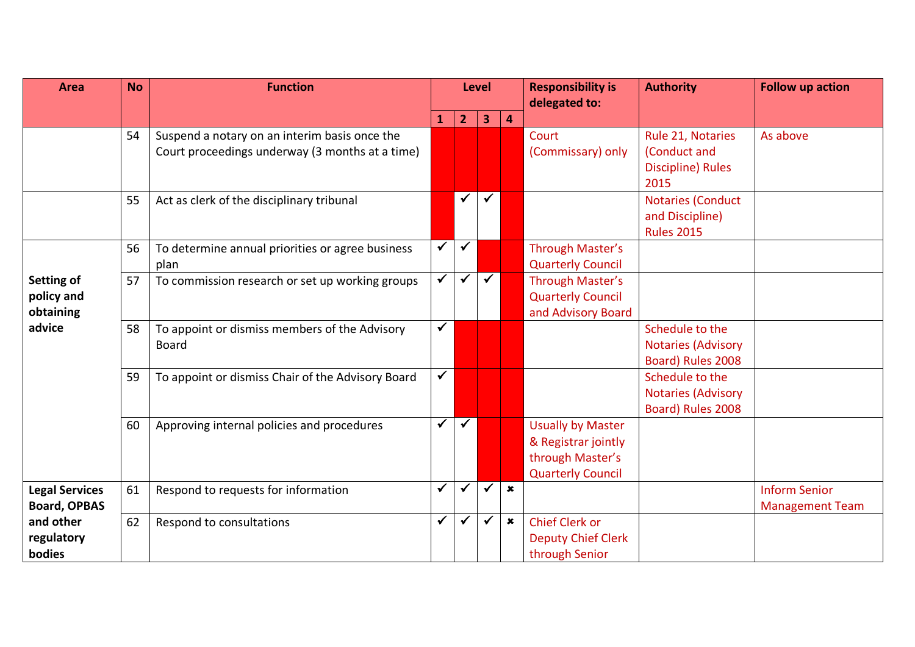| <b>Area</b>           | <b>No</b> | <b>Function</b>                                   | <b>Level</b> |                |              | <b>Responsibility is</b> | <b>Authority</b>          | <b>Follow up action</b>   |                        |
|-----------------------|-----------|---------------------------------------------------|--------------|----------------|--------------|--------------------------|---------------------------|---------------------------|------------------------|
|                       |           |                                                   |              |                |              |                          | delegated to:             |                           |                        |
|                       |           |                                                   | 1            | $\overline{2}$ | 3            | 4                        |                           |                           |                        |
|                       | 54        | Suspend a notary on an interim basis once the     |              |                |              |                          | Court                     | Rule 21, Notaries         | As above               |
|                       |           | Court proceedings underway (3 months at a time)   |              |                |              |                          | (Commissary) only         | (Conduct and              |                        |
|                       |           |                                                   |              |                |              |                          |                           | <b>Discipline) Rules</b>  |                        |
|                       |           |                                                   |              |                |              |                          |                           | 2015                      |                        |
|                       | 55        | Act as clerk of the disciplinary tribunal         |              | $\checkmark$   | $\checkmark$ |                          |                           | <b>Notaries (Conduct</b>  |                        |
|                       |           |                                                   |              |                |              |                          |                           | and Discipline)           |                        |
|                       |           |                                                   |              |                |              |                          |                           | <b>Rules 2015</b>         |                        |
|                       | 56        | To determine annual priorities or agree business  | $\checkmark$ | $\checkmark$   |              |                          | Through Master's          |                           |                        |
|                       |           | plan                                              |              |                |              |                          | <b>Quarterly Council</b>  |                           |                        |
| <b>Setting of</b>     | 57        | To commission research or set up working groups   | ✓            | $\checkmark$   | $\checkmark$ |                          | Through Master's          |                           |                        |
| policy and            |           |                                                   |              |                |              |                          | <b>Quarterly Council</b>  |                           |                        |
| obtaining             |           |                                                   |              |                |              |                          | and Advisory Board        |                           |                        |
| advice                | 58        | To appoint or dismiss members of the Advisory     | ✓            |                |              |                          |                           | Schedule to the           |                        |
|                       |           | <b>Board</b>                                      |              |                |              |                          |                           | <b>Notaries (Advisory</b> |                        |
|                       |           |                                                   |              |                |              |                          |                           | Board) Rules 2008         |                        |
|                       | 59        | To appoint or dismiss Chair of the Advisory Board | $\checkmark$ |                |              |                          |                           | Schedule to the           |                        |
|                       |           |                                                   |              |                |              |                          |                           | <b>Notaries (Advisory</b> |                        |
|                       |           |                                                   |              |                |              |                          |                           | Board) Rules 2008         |                        |
|                       | 60        | Approving internal policies and procedures        | ✓            | $\checkmark$   |              |                          | <b>Usually by Master</b>  |                           |                        |
|                       |           |                                                   |              |                |              |                          | & Registrar jointly       |                           |                        |
|                       |           |                                                   |              |                |              |                          | through Master's          |                           |                        |
|                       |           |                                                   |              |                |              |                          | <b>Quarterly Council</b>  |                           |                        |
| <b>Legal Services</b> | 61        | Respond to requests for information               | $\checkmark$ | $\checkmark$   | $\checkmark$ | $\pmb{\times}$           |                           |                           | <b>Inform Senior</b>   |
| <b>Board, OPBAS</b>   |           |                                                   |              |                |              |                          |                           |                           | <b>Management Team</b> |
| and other             | 62        | Respond to consultations                          | ✓            | ✔              | ✔            | $\pmb{\times}$           | <b>Chief Clerk or</b>     |                           |                        |
| regulatory            |           |                                                   |              |                |              |                          | <b>Deputy Chief Clerk</b> |                           |                        |
| bodies                |           |                                                   |              |                |              |                          | through Senior            |                           |                        |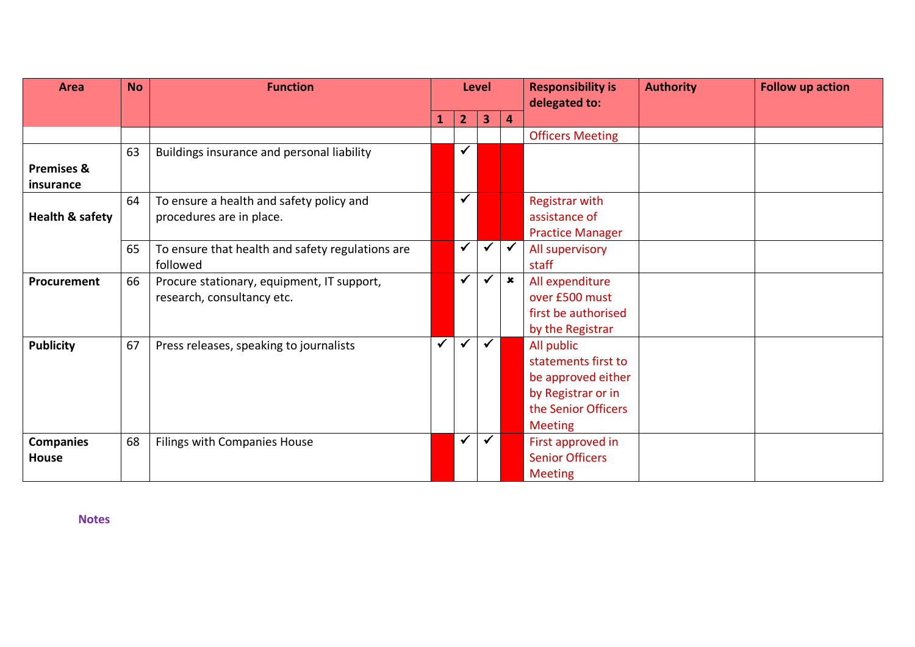| <b>Area</b>           | <b>No</b> | <b>Function</b>                                  | <b>Level</b> |                |              |                | <b>Responsibility is</b><br>delegated to: | <b>Authority</b> | <b>Follow up action</b> |
|-----------------------|-----------|--------------------------------------------------|--------------|----------------|--------------|----------------|-------------------------------------------|------------------|-------------------------|
|                       |           |                                                  | $\mathbf{1}$ | $\overline{2}$ | $\mathbf{3}$ | 4              |                                           |                  |                         |
|                       |           |                                                  |              |                |              |                | <b>Officers Meeting</b>                   |                  |                         |
|                       | 63        | Buildings insurance and personal liability       |              | $\checkmark$   |              |                |                                           |                  |                         |
| <b>Premises &amp;</b> |           |                                                  |              |                |              |                |                                           |                  |                         |
| insurance             |           |                                                  |              |                |              |                |                                           |                  |                         |
|                       | 64        | To ensure a health and safety policy and         |              | $\checkmark$   |              |                | Registrar with                            |                  |                         |
| Health & safety       |           | procedures are in place.                         |              |                |              |                | assistance of                             |                  |                         |
|                       |           |                                                  |              |                |              |                | <b>Practice Manager</b>                   |                  |                         |
|                       | 65        | To ensure that health and safety regulations are |              | $\checkmark$   | $\checkmark$ | $\checkmark$   | All supervisory                           |                  |                         |
|                       |           | followed                                         |              |                |              |                | staff                                     |                  |                         |
| Procurement           | 66        | Procure stationary, equipment, IT support,       |              | $\checkmark$   | $\checkmark$ | $\pmb{\times}$ | All expenditure                           |                  |                         |
|                       |           | research, consultancy etc.                       |              |                |              |                | over £500 must                            |                  |                         |
|                       |           |                                                  |              |                |              |                | first be authorised                       |                  |                         |
|                       |           |                                                  |              |                |              |                | by the Registrar                          |                  |                         |
| <b>Publicity</b>      | 67        | Press releases, speaking to journalists          | $\checkmark$ | $\checkmark$   | $\checkmark$ |                | All public                                |                  |                         |
|                       |           |                                                  |              |                |              |                | statements first to                       |                  |                         |
|                       |           |                                                  |              |                |              |                | be approved either                        |                  |                         |
|                       |           |                                                  |              |                |              |                | by Registrar or in                        |                  |                         |
|                       |           |                                                  |              |                |              |                | the Senior Officers                       |                  |                         |
|                       |           |                                                  |              |                |              |                | <b>Meeting</b>                            |                  |                         |
| <b>Companies</b>      | 68        | <b>Filings with Companies House</b>              |              | $\checkmark$   | $\checkmark$ |                | First approved in                         |                  |                         |
| <b>House</b>          |           |                                                  |              |                |              |                | <b>Senior Officers</b>                    |                  |                         |
|                       |           |                                                  |              |                |              |                | <b>Meeting</b>                            |                  |                         |

**Notes**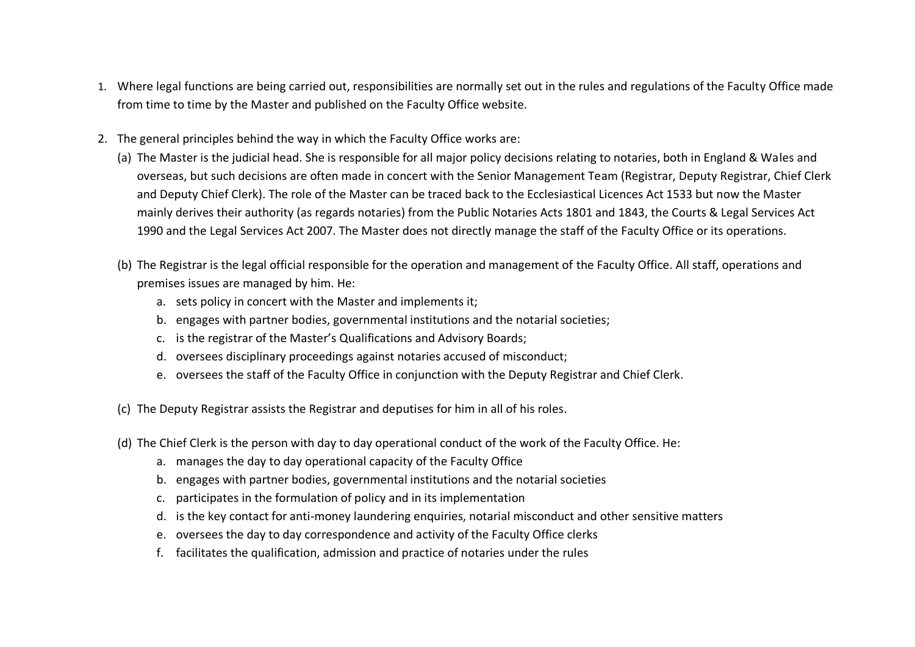- 1. Where legal functions are being carried out, responsibilities are normally set out in the rules and regulations of the Faculty Office made from time to time by the Master and published on the Faculty Office website.
- 2. The general principles behind the way in which the Faculty Office works are:
	- (a) The Master is the judicial head. She is responsible for all major policy decisions relating to notaries, both in England & Wales and overseas, but such decisions are often made in concert with the Senior Management Team (Registrar, Deputy Registrar, Chief Clerk and Deputy Chief Clerk). The role of the Master can be traced back to the Ecclesiastical Licences Act 1533 but now the Master mainly derives their authority (as regards notaries) from the Public Notaries Acts 1801 and 1843, the Courts & Legal Services Act 1990 and the Legal Services Act 2007. The Master does not directly manage the staff of the Faculty Office or its operations.
	- (b) The Registrar is the legal official responsible for the operation and management of the Faculty Office. All staff, operations and premises issues are managed by him. He:
		- a. sets policy in concert with the Master and implements it;
		- b. engages with partner bodies, governmental institutions and the notarial societies;
		- c. is the registrar of the Master's Qualifications and Advisory Boards;
		- d. oversees disciplinary proceedings against notaries accused of misconduct;
		- e. oversees the staff of the Faculty Office in conjunction with the Deputy Registrar and Chief Clerk.
	- (c) The Deputy Registrar assists the Registrar and deputises for him in all of his roles.
	- (d) The Chief Clerk is the person with day to day operational conduct of the work of the Faculty Office. He:
		- a. manages the day to day operational capacity of the Faculty Office
		- b. engages with partner bodies, governmental institutions and the notarial societies
		- c. participates in the formulation of policy and in its implementation
		- d. is the key contact for anti-money laundering enquiries, notarial misconduct and other sensitive matters
		- e. oversees the day to day correspondence and activity of the Faculty Office clerks
		- f. facilitates the qualification, admission and practice of notaries under the rules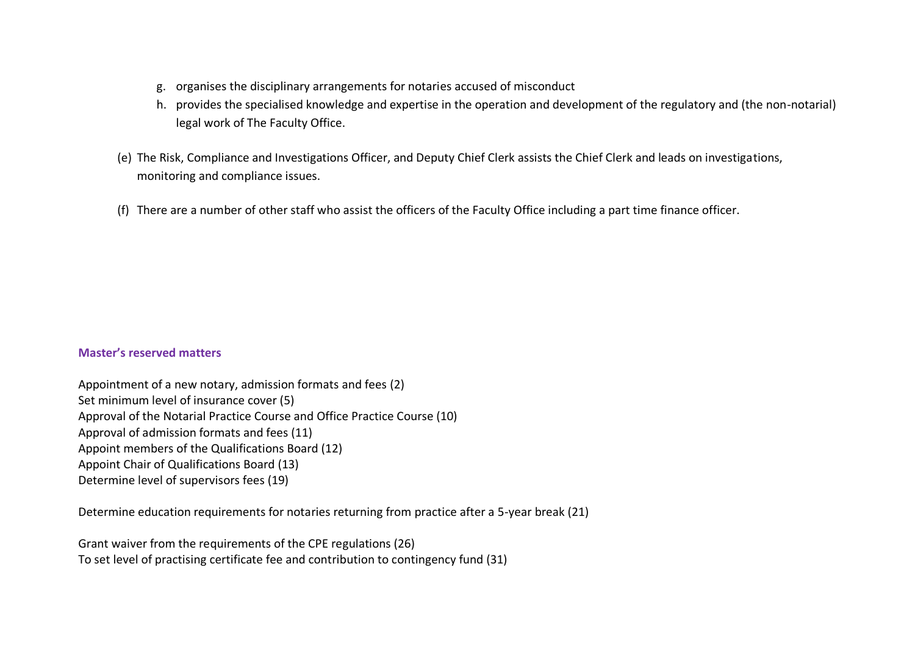- g. organises the disciplinary arrangements for notaries accused of misconduct
- h. provides the specialised knowledge and expertise in the operation and development of the regulatory and (the non-notarial) legal work of The Faculty Office.
- (e) The Risk, Compliance and Investigations Officer, and Deputy Chief Clerk assists the Chief Clerk and leads on investigations, monitoring and compliance issues.
- (f) There are a number of other staff who assist the officers of the Faculty Office including a part time finance officer.

#### **Master's reserved matters**

Appointment of a new notary, admission formats and fees (2) Set minimum level of insurance cover (5) Approval of the Notarial Practice Course and Office Practice Course (10) Approval of admission formats and fees (11) Appoint members of the Qualifications Board (12) Appoint Chair of Qualifications Board (13) Determine level of supervisors fees (19)

Determine education requirements for notaries returning from practice after a 5-year break (21)

Grant waiver from the requirements of the CPE regulations (26) To set level of practising certificate fee and contribution to contingency fund (31)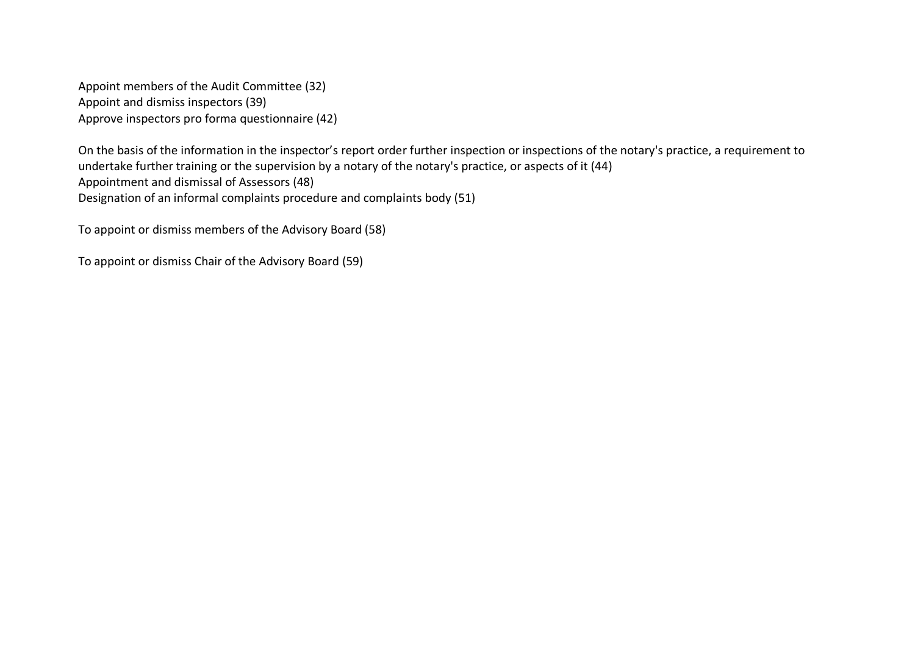Appoint members of the Audit Committee (32) Appoint and dismiss inspectors (39) Approve inspectors pro forma questionnaire (42)

On the basis of the information in the inspector's report order further inspection or inspections of the notary's practice, a requirement to undertake further training or the supervision by a notary of the notary's practice, or aspects of it (44) Appointment and dismissal of Assessors (48) Designation of an informal complaints procedure and complaints body (51)

To appoint or dismiss members of the Advisory Board (58)

To appoint or dismiss Chair of the Advisory Board (59)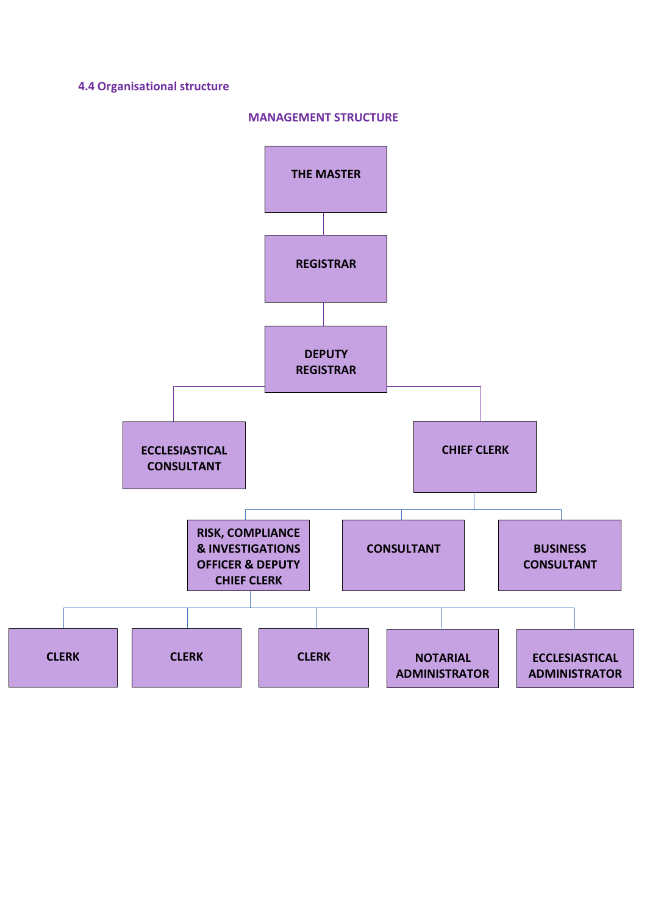# **4.4 Organisational structure**

#### **MANAGEMENT STRUCTURE**

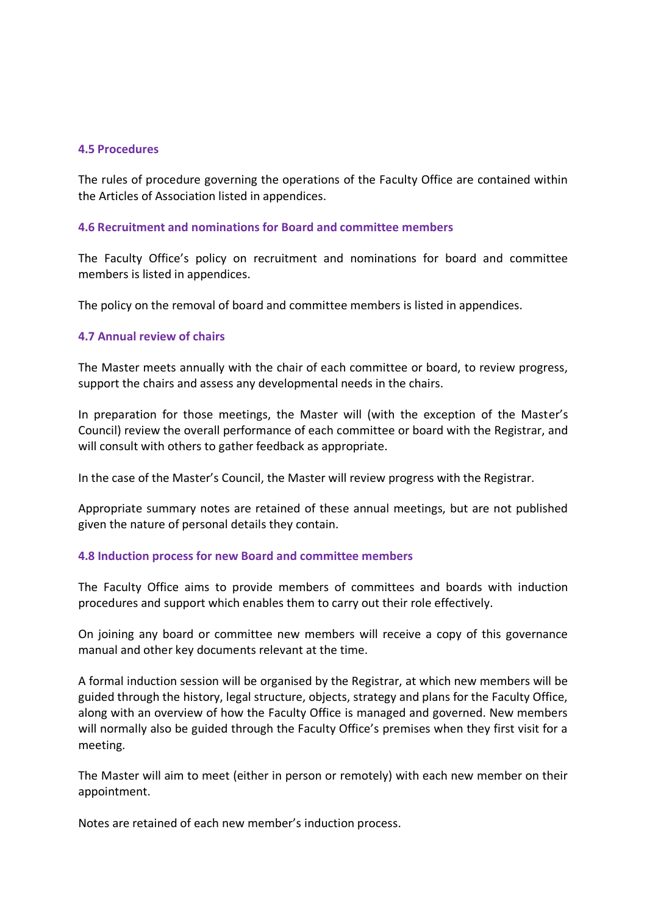#### **4.5 Procedures**

The rules of procedure governing the operations of the Faculty Office are contained within the Articles of Association listed in appendices.

### **4.6 Recruitment and nominations for Board and committee members**

The Faculty Office's policy on recruitment and nominations for board and committee members is listed in appendices.

The policy on the removal of board and committee members is listed in appendices.

### **4.7 Annual review of chairs**

The Master meets annually with the chair of each committee or board, to review progress, support the chairs and assess any developmental needs in the chairs.

In preparation for those meetings, the Master will (with the exception of the Master's Council) review the overall performance of each committee or board with the Registrar, and will consult with others to gather feedback as appropriate.

In the case of the Master's Council, the Master will review progress with the Registrar.

Appropriate summary notes are retained of these annual meetings, but are not published given the nature of personal details they contain.

### **4.8 Induction process for new Board and committee members**

The Faculty Office aims to provide members of committees and boards with induction procedures and support which enables them to carry out their role effectively.

On joining any board or committee new members will receive a copy of this governance manual and other key documents relevant at the time.

A formal induction session will be organised by the Registrar, at which new members will be guided through the history, legal structure, objects, strategy and plans for the Faculty Office, along with an overview of how the Faculty Office is managed and governed. New members will normally also be guided through the Faculty Office's premises when they first visit for a meeting.

The Master will aim to meet (either in person or remotely) with each new member on their appointment.

Notes are retained of each new member's induction process.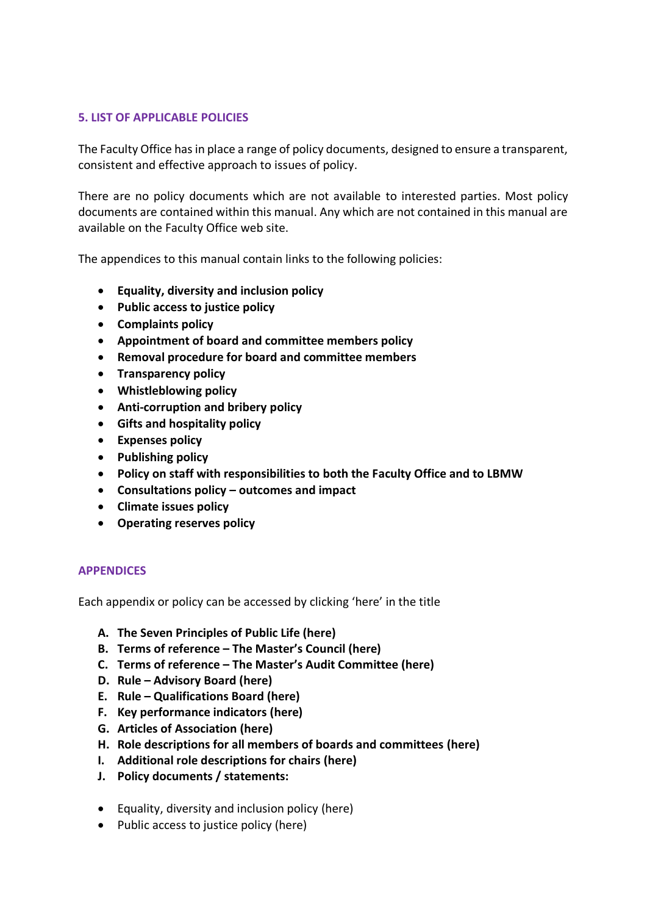### **5. LIST OF APPLICABLE POLICIES**

The Faculty Office has in place a range of policy documents, designed to ensure a transparent, consistent and effective approach to issues of policy.

There are no policy documents which are not available to interested parties. Most policy documents are contained within this manual. Any which are not contained in this manual are available on the Faculty Office web site.

The appendices to this manual contain links to the following policies:

- **Equality, diversity and inclusion policy**
- **Public access to justice policy**
- **Complaints policy**
- **Appointment of board and committee members policy**
- **Removal procedure for board and committee members**
- **Transparency policy**
- **Whistleblowing policy**
- **Anti-corruption and bribery policy**
- **Gifts and hospitality policy**
- **Expenses policy**
- **Publishing policy**
- **Policy on staff with responsibilities to both the Faculty Office and to LBMW**
- **Consultations policy – outcomes and impact**
- **Climate issues policy**
- **Operating reserves policy**

#### **APPENDICES**

Each appendix or policy can be accessed by clicking 'here' in the title

- **A. The Seven Principles of Public Life (here)**
- **B. Terms of reference – The Master's Council (here)**
- **C. Terms of reference – The Master's Audit Committee (here)**
- **D. Rule – Advisory Board (here)**
- **E. Rule – Qualifications Board (here)**
- **F. Key performance indicators (here)**
- **G. Articles of Association (here)**
- **H. Role descriptions for all members of boards and committees (here)**
- **I. Additional role descriptions for chairs (here)**
- **J. Policy documents / statements:**
- Equality, diversity and inclusion policy (here)
- Public access to justice policy (here)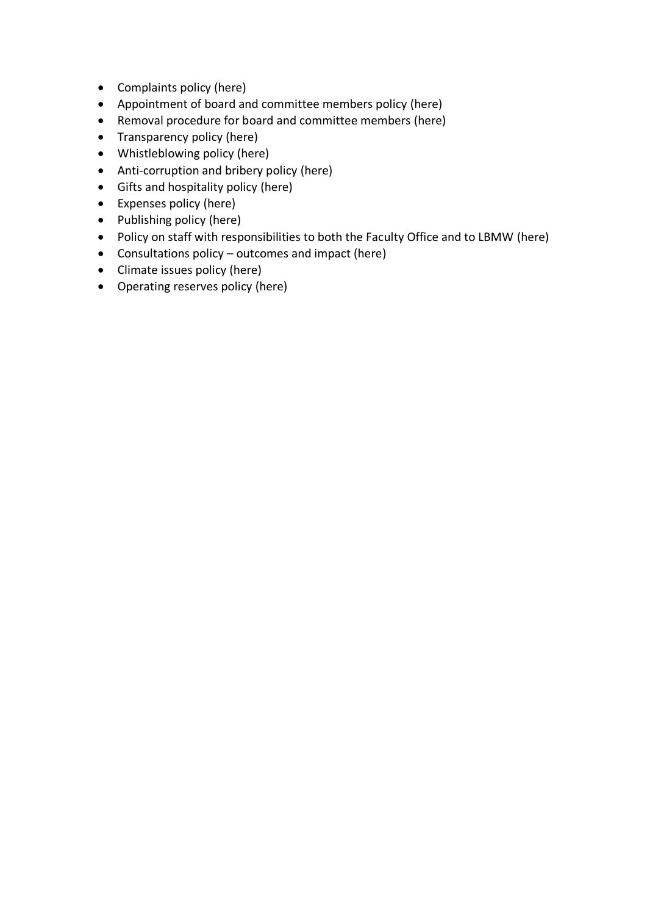- Complaints policy (here)
- Appointment of board and committee members policy (here)
- Removal procedure for board and committee members (here)
- Transparency policy (here)
- Whistleblowing policy (here)
- Anti-corruption and bribery policy (here)
- Gifts and hospitality policy (here)
- Expenses policy (here)
- Publishing policy (here)
- Policy on staff with responsibilities to both the Faculty Office and to LBMW (here)
- Consultations policy outcomes and impact (here)
- Climate issues policy (here)
- Operating reserves policy (here)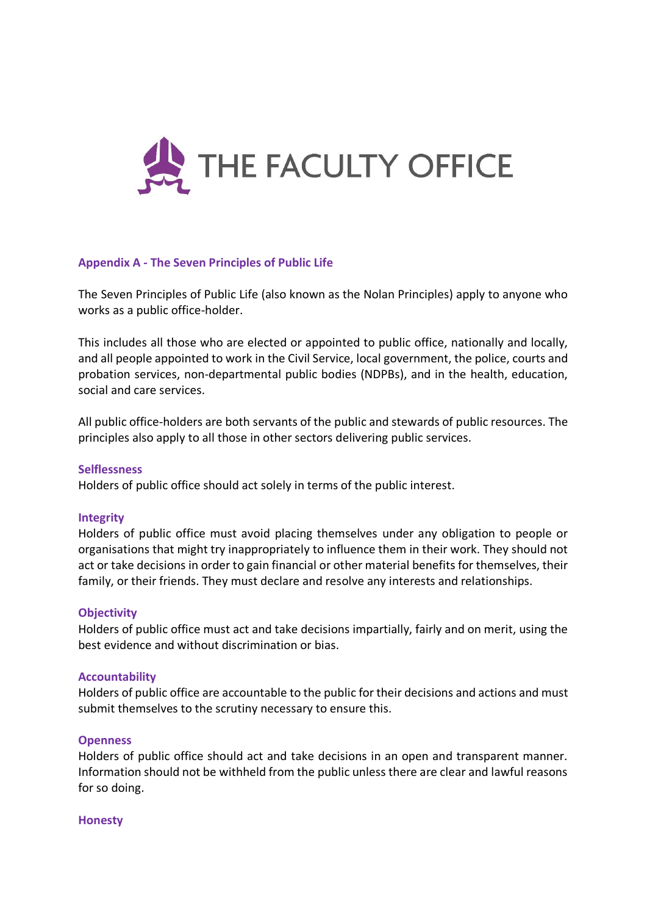

### **Appendix A - The Seven Principles of Public Life**

The Seven Principles of Public Life (also known as the Nolan Principles) apply to anyone who works as a public office-holder.

This includes all those who are elected or appointed to public office, nationally and locally, and all people appointed to work in the Civil Service, local government, the police, courts and probation services, non-departmental public bodies (NDPBs), and in the health, education, social and care services.

All public office-holders are both servants of the public and stewards of public resources. The principles also apply to all those in other sectors delivering public services.

#### **Selflessness**

Holders of public office should act solely in terms of the public interest.

#### **Integrity**

Holders of public office must avoid placing themselves under any obligation to people or organisations that might try inappropriately to influence them in their work. They should not act or take decisions in order to gain financial or other material benefits for themselves, their family, or their friends. They must declare and resolve any interests and relationships.

#### **Objectivity**

Holders of public office must act and take decisions impartially, fairly and on merit, using the best evidence and without discrimination or bias.

#### **Accountability**

Holders of public office are accountable to the public for their decisions and actions and must submit themselves to the scrutiny necessary to ensure this.

#### **Openness**

Holders of public office should act and take decisions in an open and transparent manner. Information should not be withheld from the public unless there are clear and lawful reasons for so doing.

#### **Honesty**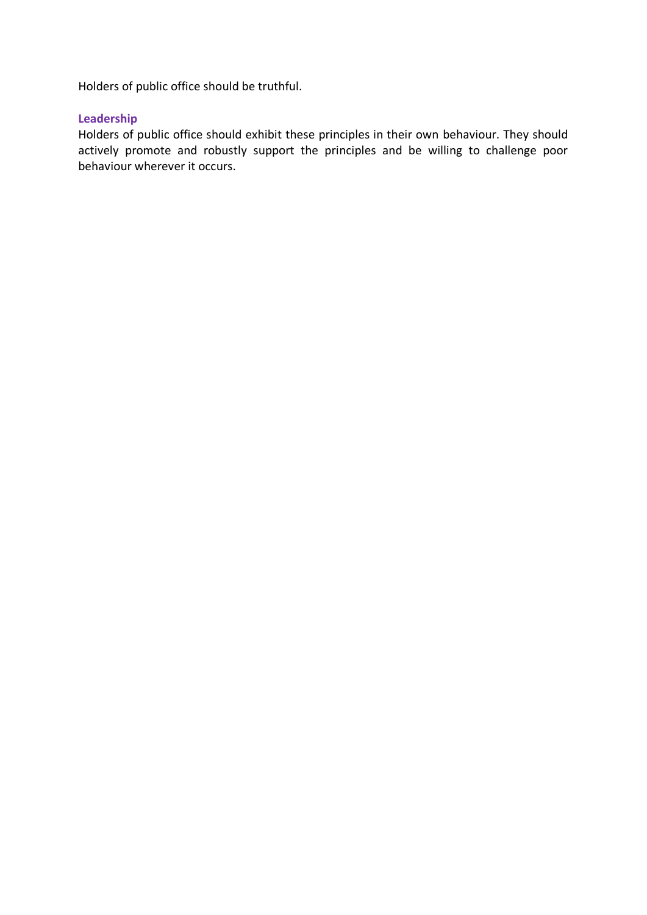Holders of public office should be truthful.

# **Leadership**

Holders of public office should exhibit these principles in their own behaviour. They should actively promote and robustly support the principles and be willing to challenge poor behaviour wherever it occurs.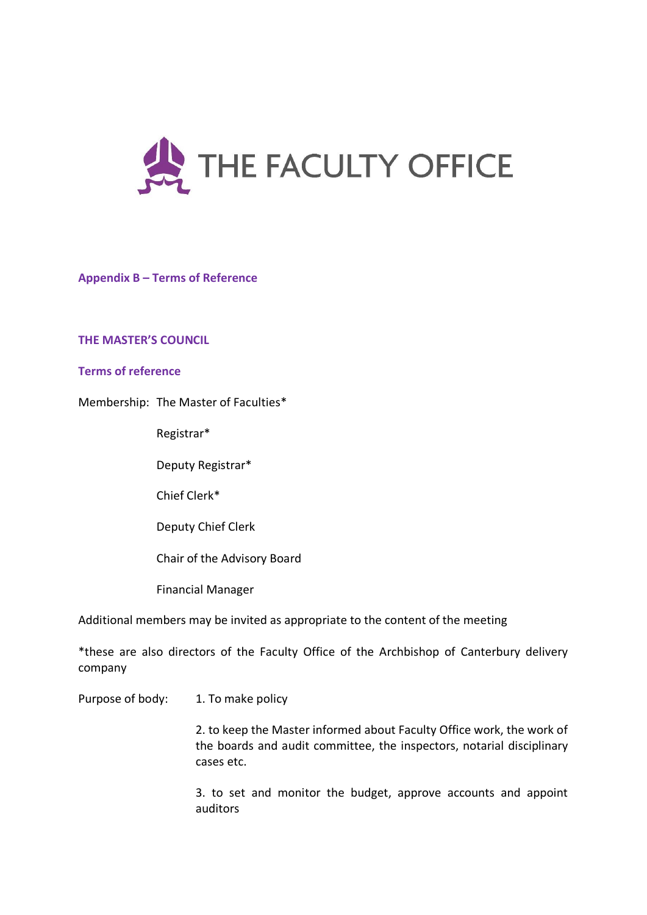

### **Appendix B – Terms of Reference**

#### **THE MASTER'S COUNCIL**

#### **Terms of reference**

Membership: The Master of Faculties\*

Registrar\*

Deputy Registrar\*

Chief Clerk\*

Deputy Chief Clerk

Chair of the Advisory Board

Financial Manager

Additional members may be invited as appropriate to the content of the meeting

\*these are also directors of the Faculty Office of the Archbishop of Canterbury delivery company

Purpose of body: 1. To make policy

2. to keep the Master informed about Faculty Office work, the work of the boards and audit committee, the inspectors, notarial disciplinary cases etc.

3. to set and monitor the budget, approve accounts and appoint auditors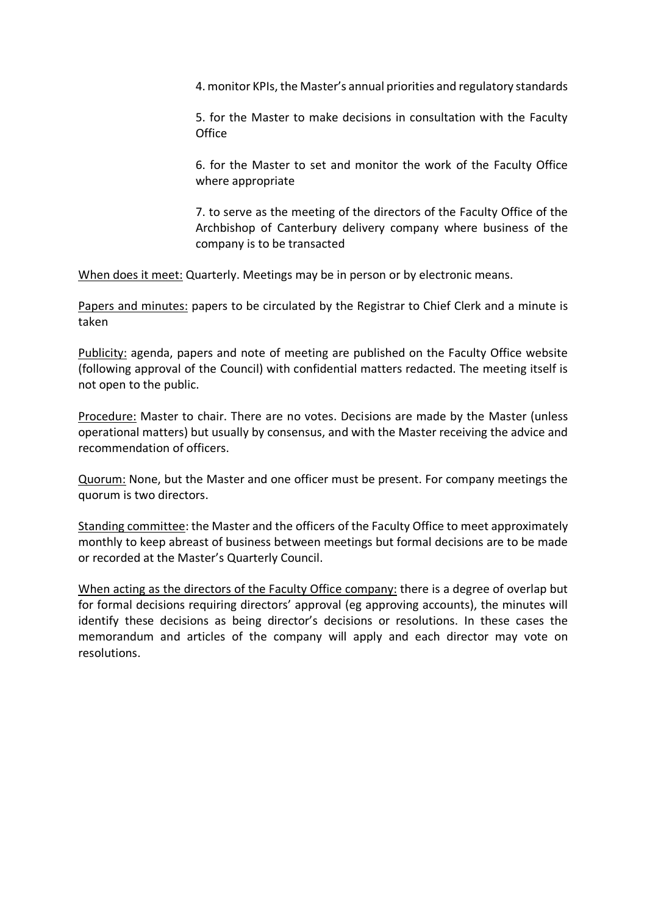4. monitor KPIs, the Master's annual priorities and regulatory standards

5. for the Master to make decisions in consultation with the Faculty **Office** 

6. for the Master to set and monitor the work of the Faculty Office where appropriate

7. to serve as the meeting of the directors of the Faculty Office of the Archbishop of Canterbury delivery company where business of the company is to be transacted

When does it meet: Quarterly. Meetings may be in person or by electronic means.

Papers and minutes: papers to be circulated by the Registrar to Chief Clerk and a minute is taken

Publicity: agenda, papers and note of meeting are published on the Faculty Office website (following approval of the Council) with confidential matters redacted. The meeting itself is not open to the public.

Procedure: Master to chair. There are no votes. Decisions are made by the Master (unless operational matters) but usually by consensus, and with the Master receiving the advice and recommendation of officers.

Quorum: None, but the Master and one officer must be present. For company meetings the quorum is two directors.

Standing committee: the Master and the officers of the Faculty Office to meet approximately monthly to keep abreast of business between meetings but formal decisions are to be made or recorded at the Master's Quarterly Council.

When acting as the directors of the Faculty Office company: there is a degree of overlap but for formal decisions requiring directors' approval (eg approving accounts), the minutes will identify these decisions as being director's decisions or resolutions. In these cases the memorandum and articles of the company will apply and each director may vote on resolutions.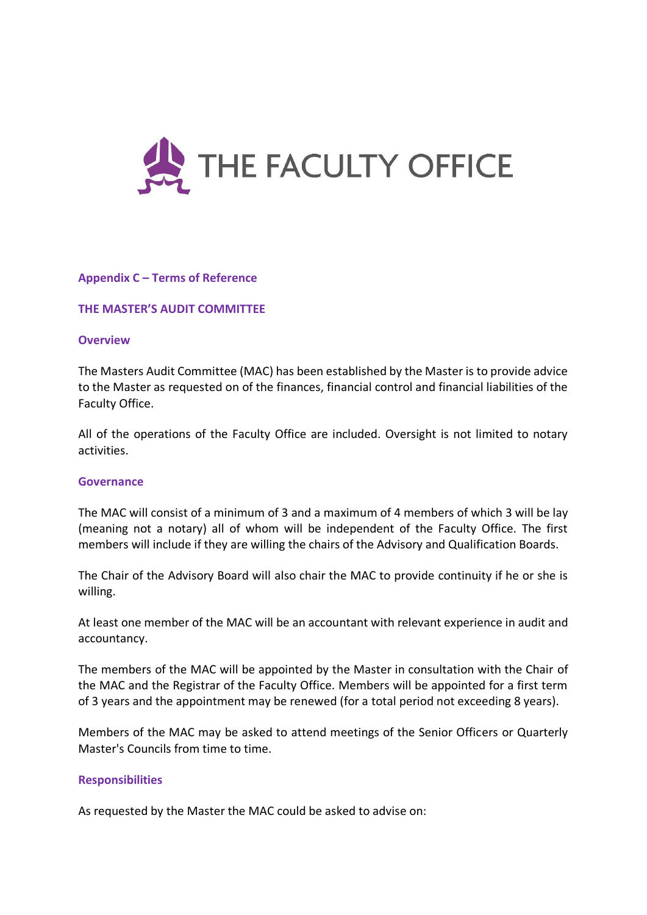

### **Appendix C – Terms of Reference**

#### **THE MASTER'S AUDIT COMMITTEE**

#### **Overview**

The Masters Audit Committee (MAC) has been established by the Master is to provide advice to the Master as requested on of the finances, financial control and financial liabilities of the Faculty Office.

All of the operations of the Faculty Office are included. Oversight is not limited to notary activities.

#### **Governance**

The MAC will consist of a minimum of 3 and a maximum of 4 members of which 3 will be lay (meaning not a notary) all of whom will be independent of the Faculty Office. The first members will include if they are willing the chairs of the Advisory and Qualification Boards.

The Chair of the Advisory Board will also chair the MAC to provide continuity if he or she is willing.

At least one member of the MAC will be an accountant with relevant experience in audit and accountancy.

The members of the MAC will be appointed by the Master in consultation with the Chair of the MAC and the Registrar of the Faculty Office. Members will be appointed for a first term of 3 years and the appointment may be renewed (for a total period not exceeding 8 years).

Members of the MAC may be asked to attend meetings of the Senior Officers or Quarterly Master's Councils from time to time.

#### **Responsibilities**

As requested by the Master the MAC could be asked to advise on: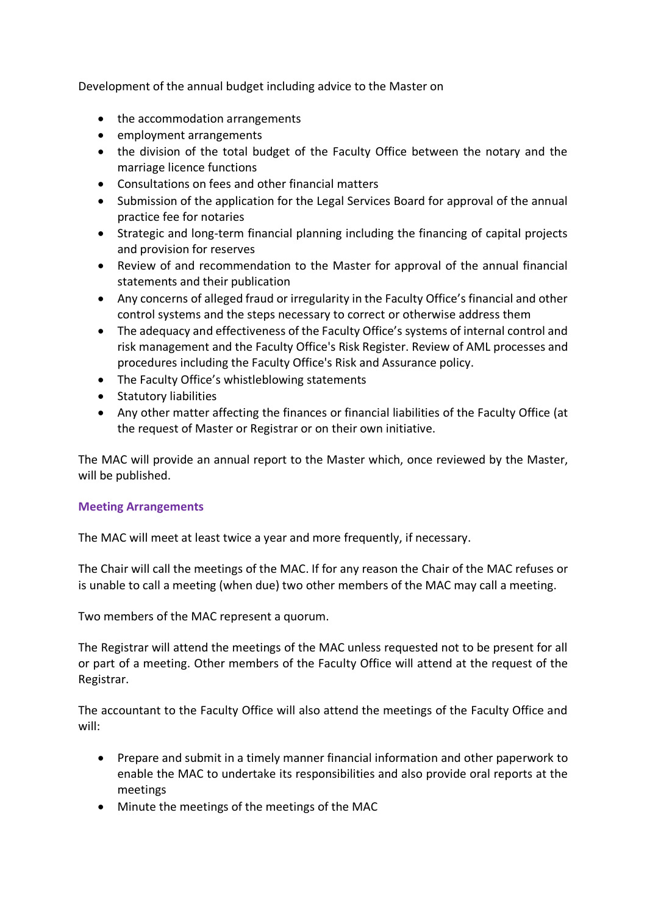Development of the annual budget including advice to the Master on

- the accommodation arrangements
- employment arrangements
- the division of the total budget of the Faculty Office between the notary and the marriage licence functions
- Consultations on fees and other financial matters
- Submission of the application for the Legal Services Board for approval of the annual practice fee for notaries
- Strategic and long-term financial planning including the financing of capital projects and provision for reserves
- Review of and recommendation to the Master for approval of the annual financial statements and their publication
- Any concerns of alleged fraud or irregularity in the Faculty Office's financial and other control systems and the steps necessary to correct or otherwise address them
- The adequacy and effectiveness of the Faculty Office's systems of internal control and risk management and the Faculty Office's Risk Register. Review of AML processes and procedures including the Faculty Office's Risk and Assurance policy.
- The Faculty Office's whistleblowing statements
- Statutory liabilities
- Any other matter affecting the finances or financial liabilities of the Faculty Office (at the request of Master or Registrar or on their own initiative.

The MAC will provide an annual report to the Master which, once reviewed by the Master, will be published.

# **Meeting Arrangements**

The MAC will meet at least twice a year and more frequently, if necessary.

The Chair will call the meetings of the MAC. If for any reason the Chair of the MAC refuses or is unable to call a meeting (when due) two other members of the MAC may call a meeting.

Two members of the MAC represent a quorum.

The Registrar will attend the meetings of the MAC unless requested not to be present for all or part of a meeting. Other members of the Faculty Office will attend at the request of the Registrar.

The accountant to the Faculty Office will also attend the meetings of the Faculty Office and will:

- Prepare and submit in a timely manner financial information and other paperwork to enable the MAC to undertake its responsibilities and also provide oral reports at the meetings
- Minute the meetings of the meetings of the MAC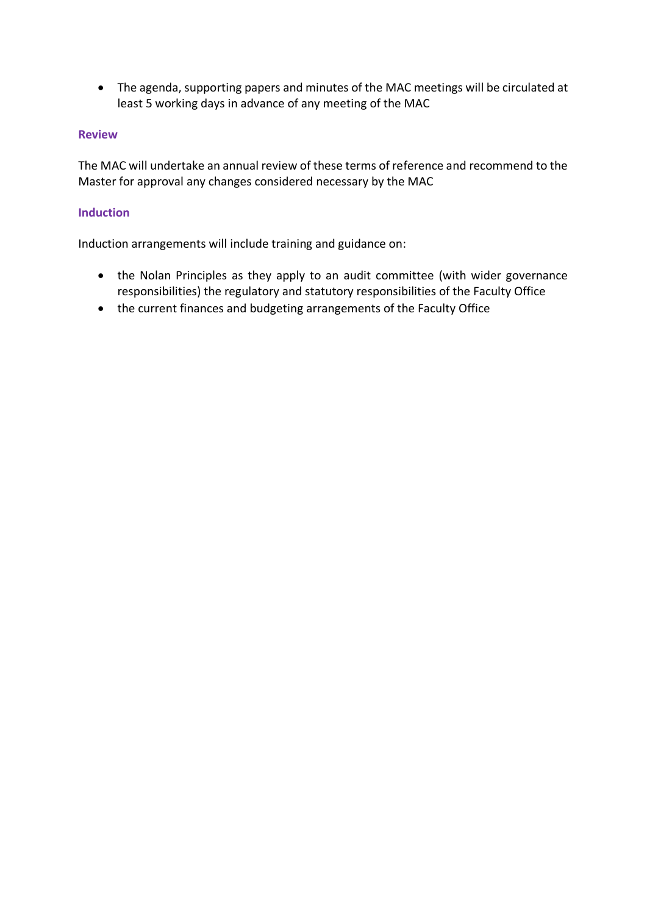• The agenda, supporting papers and minutes of the MAC meetings will be circulated at least 5 working days in advance of any meeting of the MAC

# **Review**

The MAC will undertake an annual review of these terms of reference and recommend to the Master for approval any changes considered necessary by the MAC

## **Induction**

Induction arrangements will include training and guidance on:

- the Nolan Principles as they apply to an audit committee (with wider governance responsibilities) the regulatory and statutory responsibilities of the Faculty Office
- the current finances and budgeting arrangements of the Faculty Office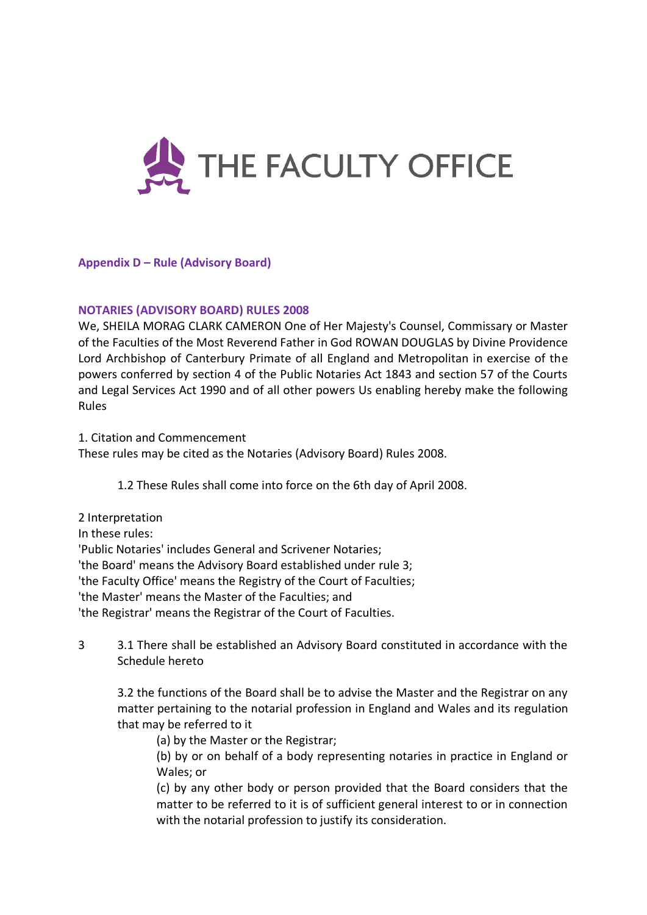

**Appendix D – Rule (Advisory Board)**

# **NOTARIES (ADVISORY BOARD) RULES 2008**

We, SHEILA MORAG CLARK CAMERON One of Her Majesty's Counsel, Commissary or Master of the Faculties of the Most Reverend Father in God ROWAN DOUGLAS by Divine Providence Lord Archbishop of Canterbury Primate of all England and Metropolitan in exercise of the powers conferred by section 4 of the Public Notaries Act 1843 and section 57 of the Courts and Legal Services Act 1990 and of all other powers Us enabling hereby make the following Rules

1. Citation and Commencement These rules may be cited as the Notaries (Advisory Board) Rules 2008.

1.2 These Rules shall come into force on the 6th day of April 2008.

2 Interpretation In these rules: 'Public Notaries' includes General and Scrivener Notaries; 'the Board' means the Advisory Board established under rule 3; 'the Faculty Office' means the Registry of the Court of Faculties; 'the Master' means the Master of the Faculties; and 'the Registrar' means the Registrar of the Court of Faculties.

3 3.1 There shall be established an Advisory Board constituted in accordance with the Schedule hereto

3.2 the functions of the Board shall be to advise the Master and the Registrar on any matter pertaining to the notarial profession in England and Wales and its regulation that may be referred to it

(a) by the Master or the Registrar;

(b) by or on behalf of a body representing notaries in practice in England or Wales; or

(c) by any other body or person provided that the Board considers that the matter to be referred to it is of sufficient general interest to or in connection with the notarial profession to justify its consideration.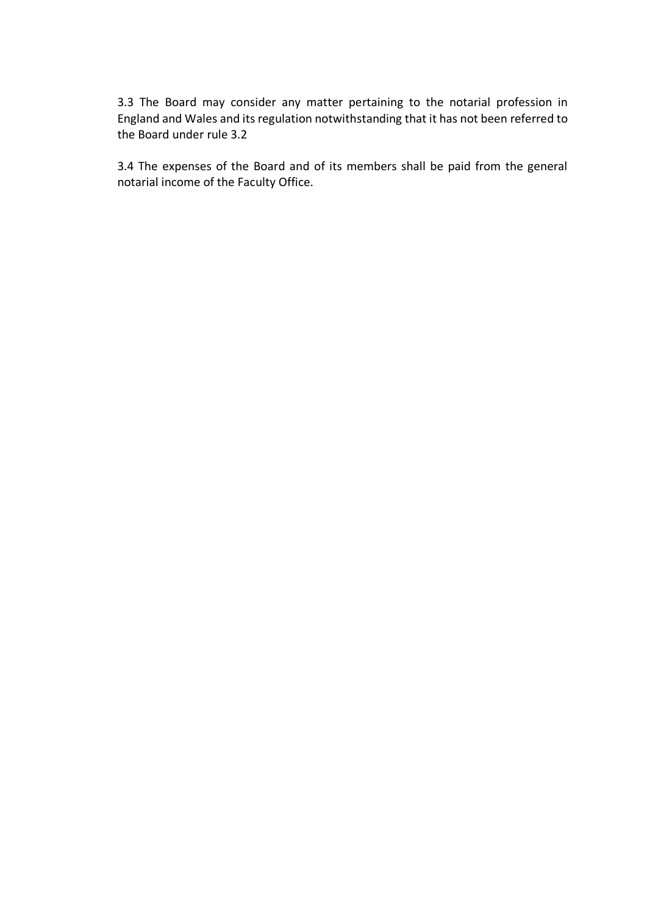3.3 The Board may consider any matter pertaining to the notarial profession in England and Wales and its regulation notwithstanding that it has not been referred to the Board under rule 3.2

3.4 The expenses of the Board and of its members shall be paid from the general notarial income of the Faculty Office.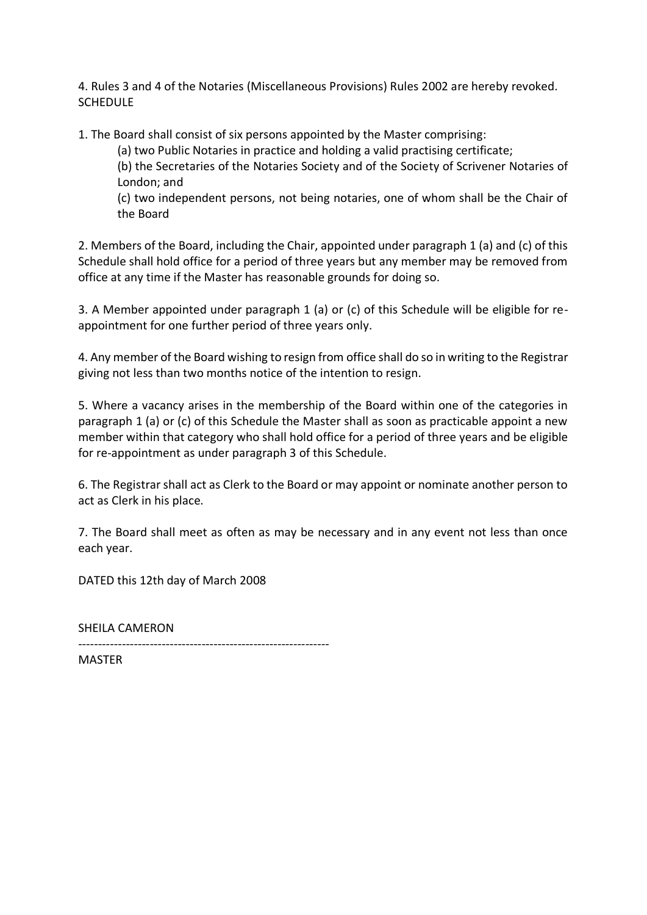4. Rules 3 and 4 of the Notaries (Miscellaneous Provisions) Rules 2002 are hereby revoked. **SCHEDULE** 

1. The Board shall consist of six persons appointed by the Master comprising:

(a) two Public Notaries in practice and holding a valid practising certificate;

(b) the Secretaries of the Notaries Society and of the Society of Scrivener Notaries of London; and

(c) two independent persons, not being notaries, one of whom shall be the Chair of the Board

2. Members of the Board, including the Chair, appointed under paragraph 1 (a) and (c) of this Schedule shall hold office for a period of three years but any member may be removed from office at any time if the Master has reasonable grounds for doing so.

3. A Member appointed under paragraph 1 (a) or (c) of this Schedule will be eligible for reappointment for one further period of three years only.

4. Any member of the Board wishing to resign from office shall do so in writing to the Registrar giving not less than two months notice of the intention to resign.

5. Where a vacancy arises in the membership of the Board within one of the categories in paragraph 1 (a) or (c) of this Schedule the Master shall as soon as practicable appoint a new member within that category who shall hold office for a period of three years and be eligible for re-appointment as under paragraph 3 of this Schedule.

6. The Registrar shall act as Clerk to the Board or may appoint or nominate another person to act as Clerk in his place.

7. The Board shall meet as often as may be necessary and in any event not less than once each year.

DATED this 12th day of March 2008

SHEILA CAMERON

---------------------------------------------------------------

MASTER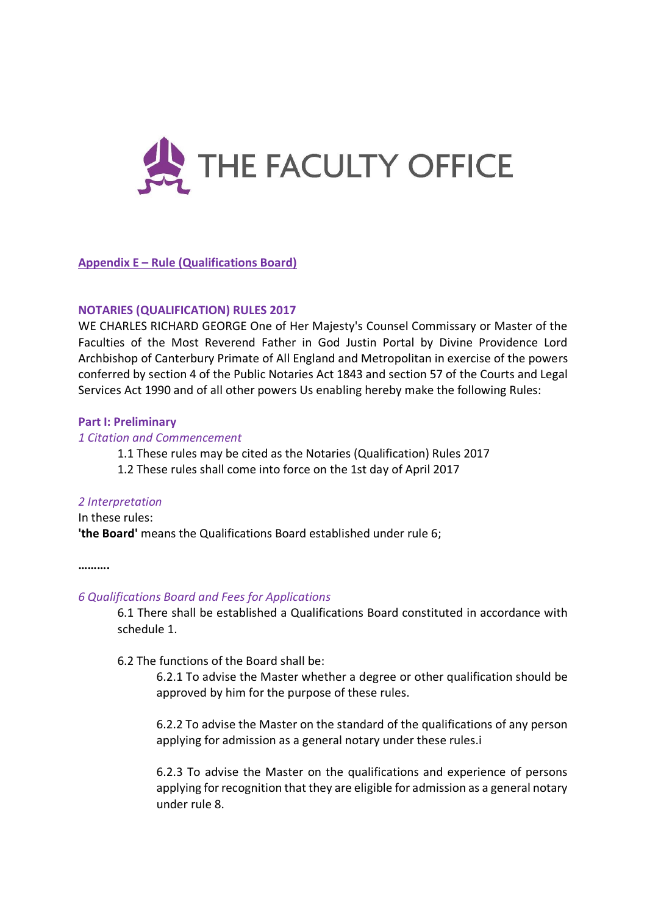

## **Appendix E – Rule (Qualifications Board)**

## **NOTARIES (QUALIFICATION) RULES 2017**

WE CHARLES RICHARD GEORGE One of Her Majesty's Counsel Commissary or Master of the Faculties of the Most Reverend Father in God Justin Portal by Divine Providence Lord Archbishop of Canterbury Primate of All England and Metropolitan in exercise of the powers conferred by section 4 of the Public Notaries Act 1843 and section 57 of the Courts and Legal Services Act 1990 and of all other powers Us enabling hereby make the following Rules:

### **Part I: Preliminary**

### *1 Citation and Commencement*

1.1 These rules may be cited as the Notaries (Qualification) Rules 2017

1.2 These rules shall come into force on the 1st day of April 2017

### *2 Interpretation*

In these rules: **'the Board'** means the Qualifications Board established under rule 6;

**……….**

### *6 Qualifications Board and Fees for Applications*

6.1 There shall be established a Qualifications Board constituted in accordance with schedule 1.

## 6.2 The functions of the Board shall be:

6.2.1 To advise the Master whether a degree or other qualification should be approved by him for the purpose of these rules.

6.2.2 To advise the Master on the standard of the qualifications of any person applying for admission as a general notary under these rules.i

6.2.3 To advise the Master on the qualifications and experience of persons applying for recognition that they are eligible for admission as a general notary under rule 8.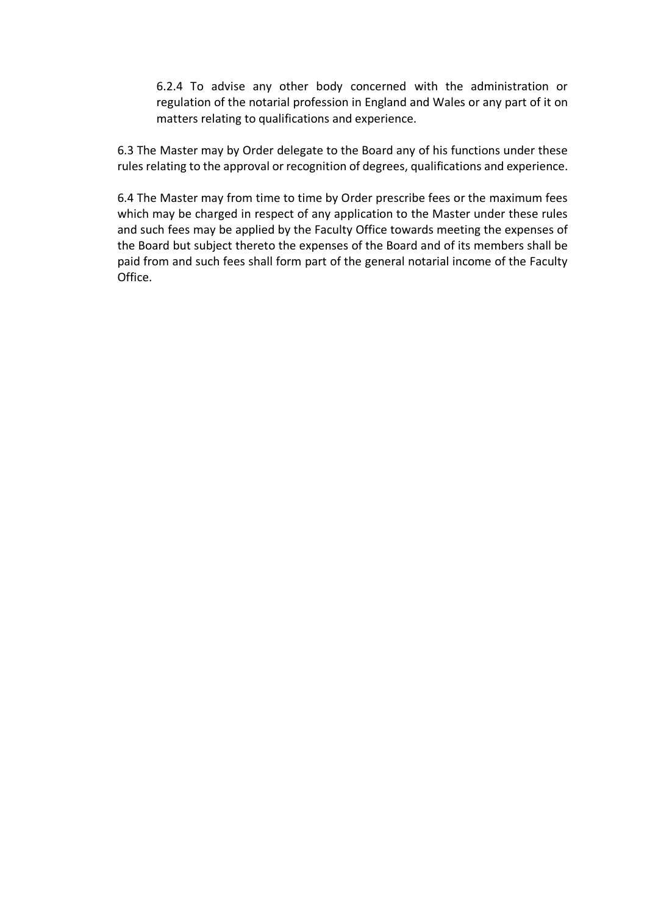6.2.4 To advise any other body concerned with the administration or regulation of the notarial profession in England and Wales or any part of it on matters relating to qualifications and experience.

6.3 The Master may by Order delegate to the Board any of his functions under these rules relating to the approval or recognition of degrees, qualifications and experience.

6.4 The Master may from time to time by Order prescribe fees or the maximum fees which may be charged in respect of any application to the Master under these rules and such fees may be applied by the Faculty Office towards meeting the expenses of the Board but subject thereto the expenses of the Board and of its members shall be paid from and such fees shall form part of the general notarial income of the Faculty Office.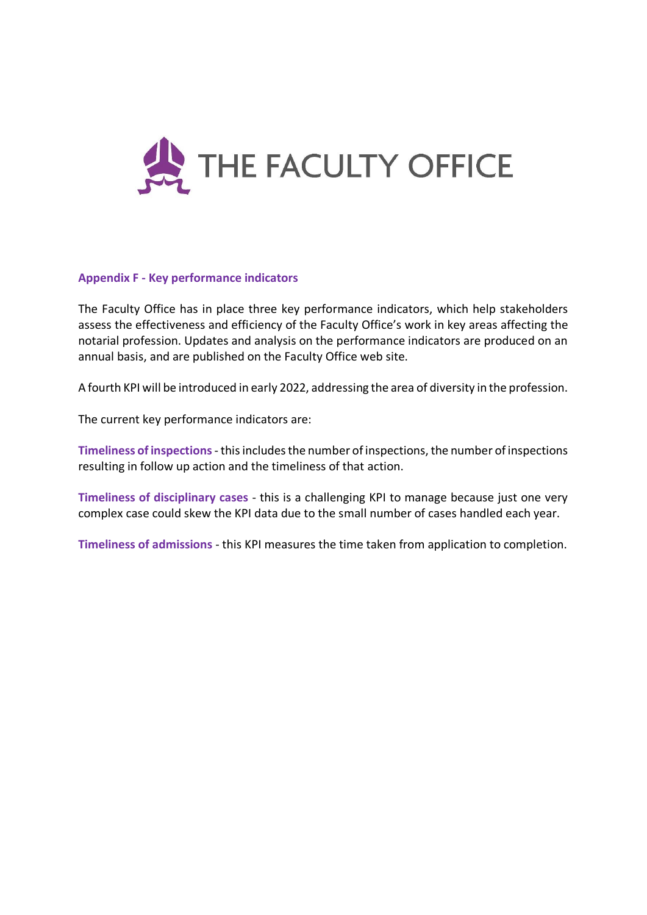

## **Appendix F - Key performance indicators**

The Faculty Office has in place three key performance indicators, which help stakeholders assess the effectiveness and efficiency of the Faculty Office's work in key areas affecting the notarial profession. Updates and analysis on the performance indicators are produced on an annual basis, and are published on the Faculty Office web site.

A fourth KPI will be introduced in early 2022, addressing the area of diversity in the profession.

The current key performance indicators are:

**Timeliness of inspections**- this includes the number of inspections, the number of inspections resulting in follow up action and the timeliness of that action.

**Timeliness of disciplinary cases** - this is a challenging KPI to manage because just one very complex case could skew the KPI data due to the small number of cases handled each year.

**Timeliness of admissions** - this KPI measures the time taken from application to completion.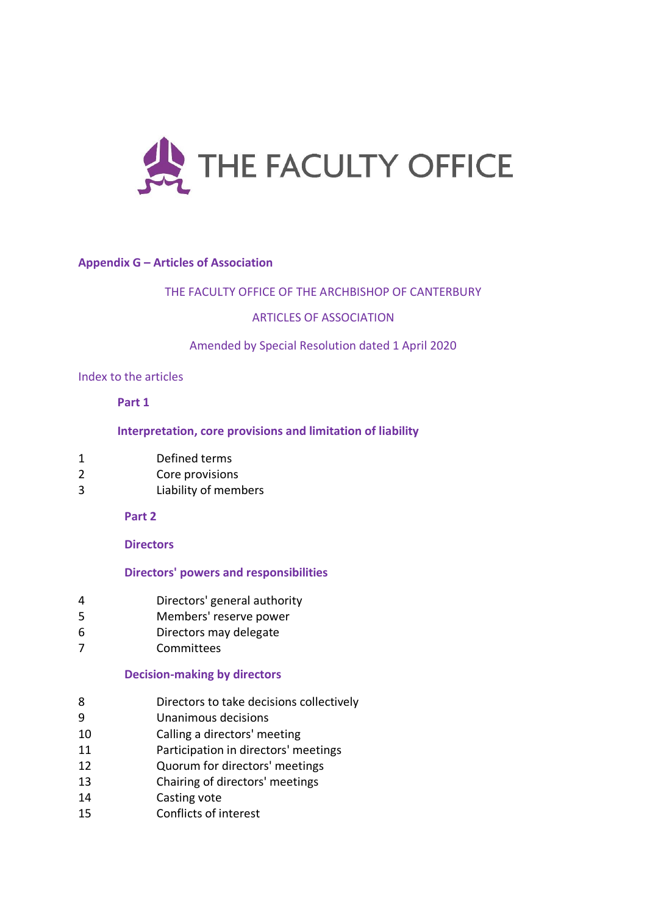

### **Appendix G – Articles of Association**

### THE FACULTY OFFICE OF THE ARCHBISHOP OF CANTERBURY

## ARTICLES OF ASSOCIATION

### Amended by Special Resolution dated 1 April 2020

### Index to the articles

## **Part 1**

### **Interpretation, core provisions and limitation of liability**

- 2 Core provisions
- <span id="page-45-3"></span>3 Liability of members

## **Part 2**

### **Directors**

## **Directors' powers and responsibilities**

- 4 Directors' general authority
- 5 Members' reserve power
- 6 Directors may delegate
- 7 Committees

### **Decision-making by directors**

- 8 Directors to take decisions collectively
- <span id="page-45-2"></span>9 Unanimous decisions
- 10 Calling a directors' meeting
- <span id="page-45-1"></span>11 Participation in directors' meetings
- 12 Quorum for directors' meetings
- <span id="page-45-0"></span>13 Chairing of directors' meetings
- 14 Casting vote
- 15 Conflicts of interest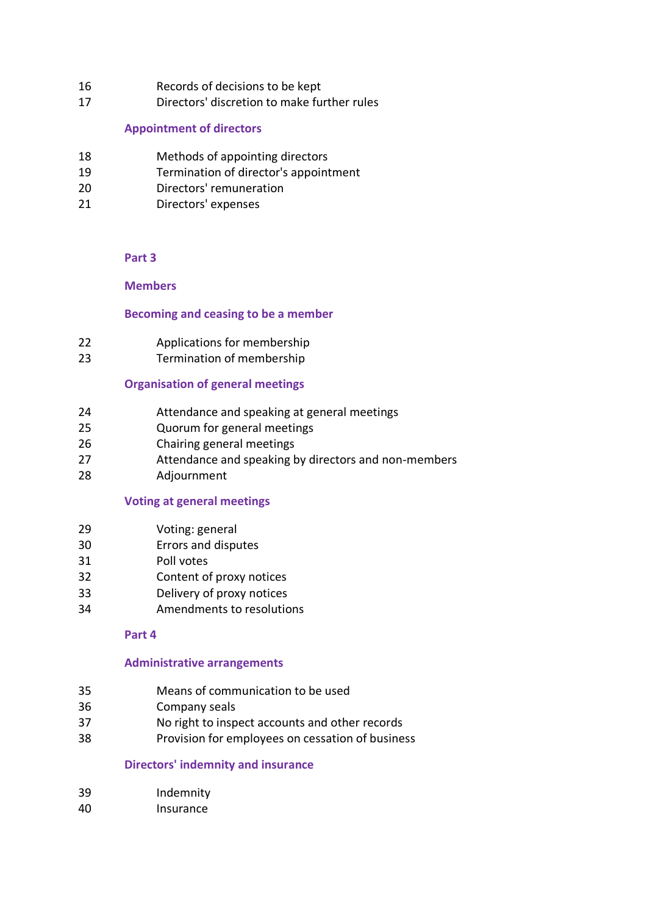- Records of decisions to be kept
- Directors' discretion to make further rules

# **Appointment of directors**

- Methods of appointing directors
- Termination of director's appointment
- Directors' remuneration
- Directors' expenses

# **Part 3**

## **Members**

# **Becoming and ceasing to be a member**

- Applications for membership
- Termination of membership

# **Organisation of general meetings**

- Attendance and speaking at general meetings
- Quorum for general meetings
- <span id="page-46-0"></span>Chairing general meetings
- Attendance and speaking by directors and non-members
- Adjournment

## **Voting at general meetings**

- Voting: general
- Errors and disputes
- Poll votes
- <span id="page-46-1"></span>Content of proxy notices
- Delivery of proxy notices
- Amendments to resolutions

## **Part 4**

## **Administrative arrangements**

- Means of communication to be used
- Company seals
- No right to inspect accounts and other records
- Provision for employees on cessation of business

# **Directors' indemnity and insurance**

| 39 | Indemnity |
|----|-----------|
| 40 | Insurance |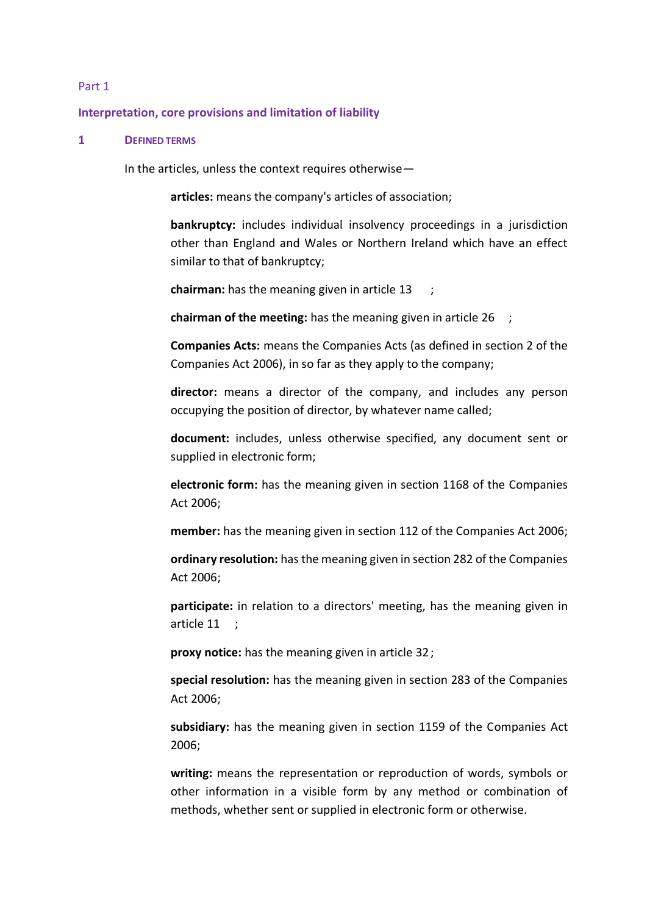#### Part 1

#### **Interpretation, core provisions and limitation of liability**

### **1 DEFINED TERMS**

In the articles, unless the context requires otherwise—

**articles:** means the company's articles of association;

**bankruptcy:** includes individual insolvency proceedings in a jurisdiction other than England and Wales or Northern Ireland which have an effect similar to that of bankruptcy;

**chairman:** has the meaning given in article [13](#page-45-0) ;

**chairman of the meeting:** has the meaning given in article [26](#page-46-0) ;

**Companies Acts:** means the Companies Acts (as defined in section 2 of the Companies Act 2006), in so far as they apply to the company;

**director:** means a director of the company, and includes any person occupying the position of director, by whatever name called;

**document:** includes, unless otherwise specified, any document sent or supplied in electronic form;

**electronic form:** has the meaning given in section 1168 of the Companies Act 2006;

**member:** has the meaning given in section 112 of the Companies Act 2006;

**ordinary resolution:** has the meaning given in section 282 of the Companies Act 2006;

**participate:** in relation to a directors' meeting, has the meaning given in article [11](#page-45-1) ;

**proxy notice:** has the meaning given in article [32;](#page-46-1)

**special resolution:** has the meaning given in section 283 of the Companies Act 2006;

**subsidiary:** has the meaning given in section 1159 of the Companies Act 2006;

**writing:** means the representation or reproduction of words, symbols or other information in a visible form by any method or combination of methods, whether sent or supplied in electronic form or otherwise.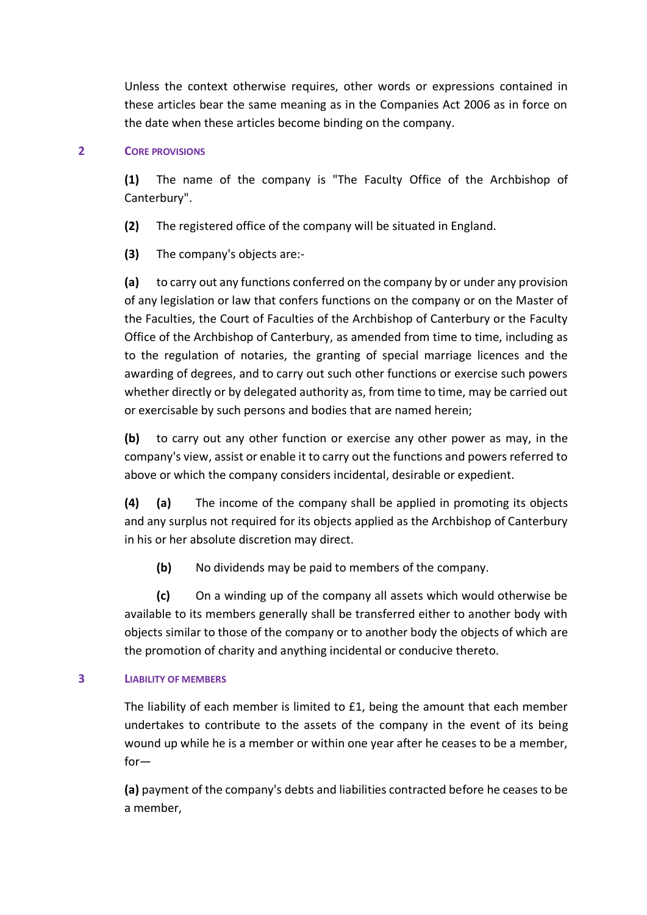Unless the context otherwise requires, other words or expressions contained in these articles bear the same meaning as in the Companies Act 2006 as in force on the date when these articles become binding on the company.

## **2 CORE PROVISIONS**

**(1)** The name of the company is "The Faculty Office of the Archbishop of Canterbury".

**(2)** The registered office of the company will be situated in England.

**(3)** The company's objects are:-

**(a)** to carry out any functions conferred on the company by or under any provision of any legislation or law that confers functions on the company or on the Master of the Faculties, the Court of Faculties of the Archbishop of Canterbury or the Faculty Office of the Archbishop of Canterbury, as amended from time to time, including as to the regulation of notaries, the granting of special marriage licences and the awarding of degrees, and to carry out such other functions or exercise such powers whether directly or by delegated authority as, from time to time, may be carried out or exercisable by such persons and bodies that are named herein;

**(b)** to carry out any other function or exercise any other power as may, in the company's view, assist or enable it to carry out the functions and powers referred to above or which the company considers incidental, desirable or expedient.

**(4) (a)** The income of the company shall be applied in promoting its objects and any surplus not required for its objects applied as the Archbishop of Canterbury in his or her absolute discretion may direct.

**(b)** No dividends may be paid to members of the company.

**(c)** On a winding up of the company all assets which would otherwise be available to its members generally shall be transferred either to another body with objects similar to those of the company or to another body the objects of which are the promotion of charity and anything incidental or conducive thereto.

## **3 LIABILITY OF MEMBERS**

The liability of each member is limited to £1, being the amount that each member undertakes to contribute to the assets of the company in the event of its being wound up while he is a member or within one year after he ceases to be a member, for—

**(a)** payment of the company's debts and liabilities contracted before he ceases to be a member,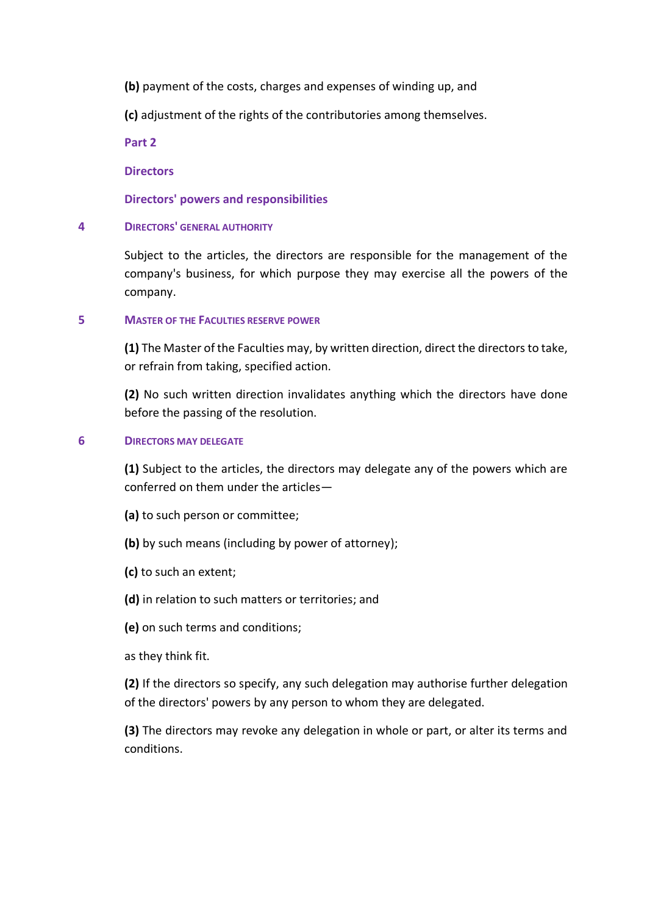**(b)** payment of the costs, charges and expenses of winding up, and

**(c)** adjustment of the rights of the contributories among themselves.

**Part 2**

**Directors**

**Directors' powers and responsibilities**

## **4 DIRECTORS' GENERAL AUTHORITY**

Subject to the articles, the directors are responsible for the management of the company's business, for which purpose they may exercise all the powers of the company.

## **5 MASTER OF THE FACULTIES RESERVE POWER**

**(1)** The Master of the Faculties may, by written direction, direct the directors to take, or refrain from taking, specified action.

**(2)** No such written direction invalidates anything which the directors have done before the passing of the resolution.

## **6 DIRECTORS MAY DELEGATE**

**(1)** Subject to the articles, the directors may delegate any of the powers which are conferred on them under the articles—

- **(a)** to such person or committee;
- **(b)** by such means (including by power of attorney);
- **(c)** to such an extent;
- **(d)** in relation to such matters or territories; and
- **(e)** on such terms and conditions;

as they think fit.

**(2)** If the directors so specify, any such delegation may authorise further delegation of the directors' powers by any person to whom they are delegated.

**(3)** The directors may revoke any delegation in whole or part, or alter its terms and conditions.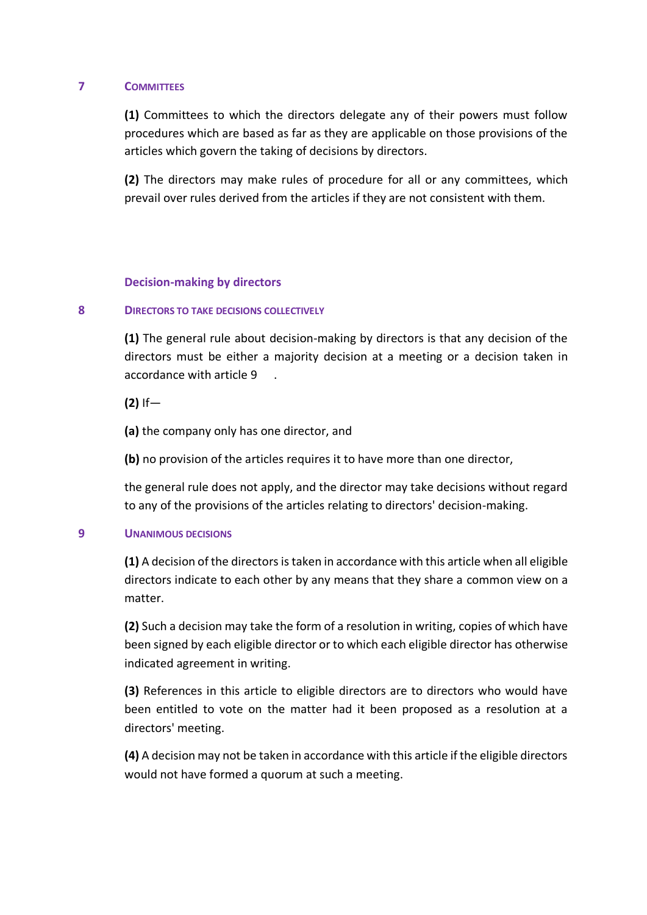### **7 COMMITTEES**

**(1)** Committees to which the directors delegate any of their powers must follow procedures which are based as far as they are applicable on those provisions of the articles which govern the taking of decisions by directors.

**(2)** The directors may make rules of procedure for all or any committees, which prevail over rules derived from the articles if they are not consistent with them.

### **Decision-making by directors**

### **8 DIRECTORS TO TAKE DECISIONS COLLECTIVELY**

**(1)** The general rule about decision-making by directors is that any decision of the directors must be either a majority decision at a meeting or a decision taken in accordance with article [9](#page-45-2) .

**(2)** If—

**(a)** the company only has one director, and

**(b)** no provision of the articles requires it to have more than one director,

the general rule does not apply, and the director may take decisions without regard to any of the provisions of the articles relating to directors' decision-making.

### **9 UNANIMOUS DECISIONS**

**(1)** A decision of the directors is taken in accordance with this article when all eligible directors indicate to each other by any means that they share a common view on a matter.

**(2)** Such a decision may take the form of a resolution in writing, copies of which have been signed by each eligible director or to which each eligible director has otherwise indicated agreement in writing.

**(3)** References in this article to eligible directors are to directors who would have been entitled to vote on the matter had it been proposed as a resolution at a directors' meeting.

**(4)** A decision may not be taken in accordance with this article if the eligible directors would not have formed a quorum at such a meeting.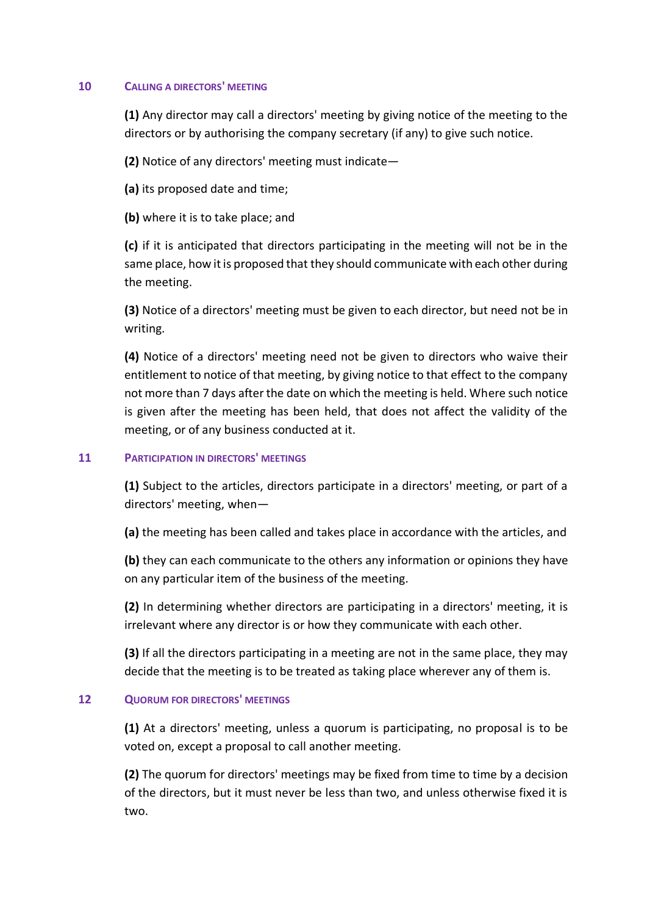### **10 CALLING A DIRECTORS' MEETING**

**(1)** Any director may call a directors' meeting by giving notice of the meeting to the directors or by authorising the company secretary (if any) to give such notice.

**(2)** Notice of any directors' meeting must indicate—

**(a)** its proposed date and time;

**(b)** where it is to take place; and

**(c)** if it is anticipated that directors participating in the meeting will not be in the same place, how it is proposed that they should communicate with each other during the meeting.

**(3)** Notice of a directors' meeting must be given to each director, but need not be in writing.

**(4)** Notice of a directors' meeting need not be given to directors who waive their entitlement to notice of that meeting, by giving notice to that effect to the company not more than 7 days after the date on which the meeting is held. Where such notice is given after the meeting has been held, that does not affect the validity of the meeting, or of any business conducted at it.

## **11 PARTICIPATION IN DIRECTORS' MEETINGS**

**(1)** Subject to the articles, directors participate in a directors' meeting, or part of a directors' meeting, when—

**(a)** the meeting has been called and takes place in accordance with the articles, and

**(b)** they can each communicate to the others any information or opinions they have on any particular item of the business of the meeting.

**(2)** In determining whether directors are participating in a directors' meeting, it is irrelevant where any director is or how they communicate with each other.

**(3)** If all the directors participating in a meeting are not in the same place, they may decide that the meeting is to be treated as taking place wherever any of them is.

## **12 QUORUM FOR DIRECTORS' MEETINGS**

**(1)** At a directors' meeting, unless a quorum is participating, no proposal is to be voted on, except a proposal to call another meeting.

**(2)** The quorum for directors' meetings may be fixed from time to time by a decision of the directors, but it must never be less than two, and unless otherwise fixed it is two.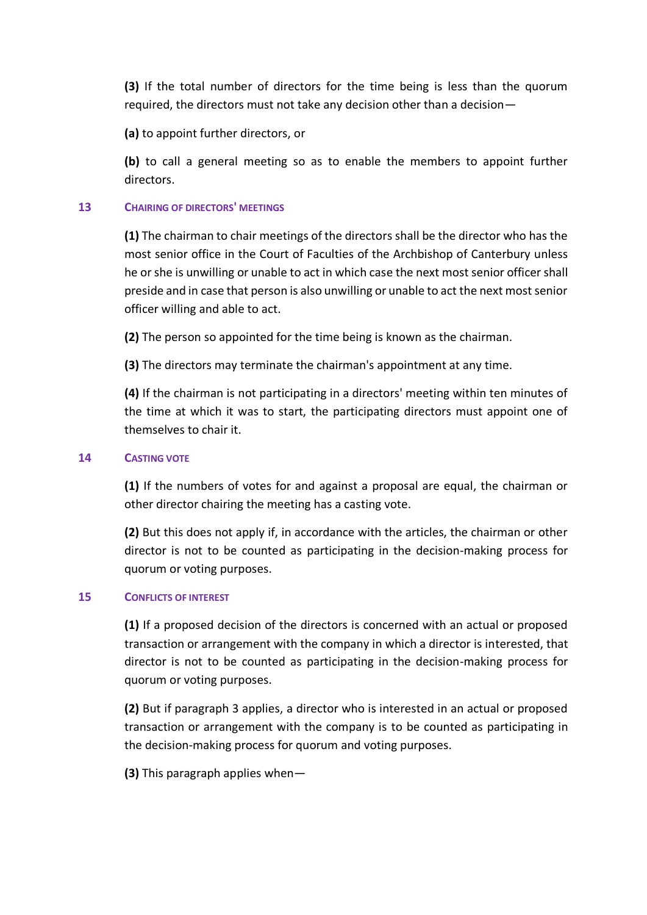**(3)** If the total number of directors for the time being is less than the quorum required, the directors must not take any decision other than a decision—

**(a)** to appoint further directors, or

**(b)** to call a general meeting so as to enable the members to appoint further directors.

# **13 CHAIRING OF DIRECTORS' MEETINGS**

**(1)** The chairman to chair meetings of the directors shall be the director who has the most senior office in the Court of Faculties of the Archbishop of Canterbury unless he or she is unwilling or unable to act in which case the next most senior officer shall preside and in case that person is also unwilling or unable to act the next most senior officer willing and able to act.

**(2)** The person so appointed for the time being is known as the chairman.

**(3)** The directors may terminate the chairman's appointment at any time.

**(4)** If the chairman is not participating in a directors' meeting within ten minutes of the time at which it was to start, the participating directors must appoint one of themselves to chair it.

## **14 CASTING VOTE**

**(1)** If the numbers of votes for and against a proposal are equal, the chairman or other director chairing the meeting has a casting vote.

**(2)** But this does not apply if, in accordance with the articles, the chairman or other director is not to be counted as participating in the decision-making process for quorum or voting purposes.

## **15 CONFLICTS OF INTEREST**

**(1)** If a proposed decision of the directors is concerned with an actual or proposed transaction or arrangement with the company in which a director is interested, that director is not to be counted as participating in the decision-making process for quorum or voting purposes.

**(2)** But if paragraph 3 applies, a director who is interested in an actual or proposed transaction or arrangement with the company is to be counted as participating in the decision-making process for quorum and voting purposes.

**(3)** This paragraph applies when—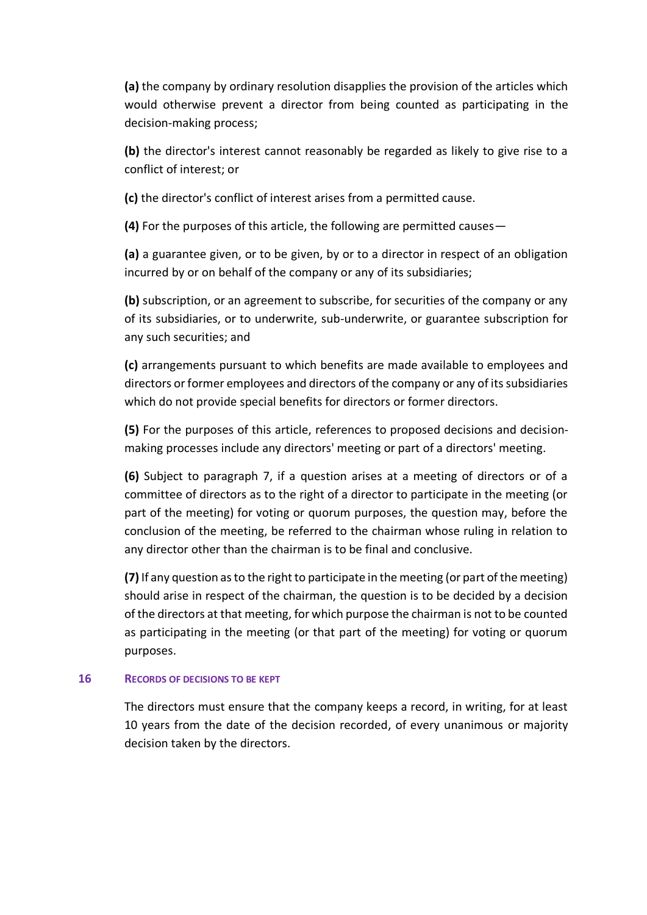**(a)** the company by ordinary resolution disapplies the provision of the articles which would otherwise prevent a director from being counted as participating in the decision-making process;

**(b)** the director's interest cannot reasonably be regarded as likely to give rise to a conflict of interest; or

**(c)** the director's conflict of interest arises from a permitted cause.

**(4)** For the purposes of this article, the following are permitted causes—

**(a)** a guarantee given, or to be given, by or to a director in respect of an obligation incurred by or on behalf of the company or any of its subsidiaries;

**(b)** subscription, or an agreement to subscribe, for securities of the company or any of its subsidiaries, or to underwrite, sub-underwrite, or guarantee subscription for any such securities; and

**(c)** arrangements pursuant to which benefits are made available to employees and directors or former employees and directors of the company or any of its subsidiaries which do not provide special benefits for directors or former directors.

**(5)** For the purposes of this article, references to proposed decisions and decisionmaking processes include any directors' meeting or part of a directors' meeting.

**(6)** Subject to paragraph 7, if a question arises at a meeting of directors or of a committee of directors as to the right of a director to participate in the meeting (or part of the meeting) for voting or quorum purposes, the question may, before the conclusion of the meeting, be referred to the chairman whose ruling in relation to any director other than the chairman is to be final and conclusive.

**(7)** If any question as to the right to participate in the meeting (or part of the meeting) should arise in respect of the chairman, the question is to be decided by a decision of the directors at that meeting, for which purpose the chairman is not to be counted as participating in the meeting (or that part of the meeting) for voting or quorum purposes.

## **16 RECORDS OF DECISIONS TO BE KEPT**

The directors must ensure that the company keeps a record, in writing, for at least 10 years from the date of the decision recorded, of every unanimous or majority decision taken by the directors.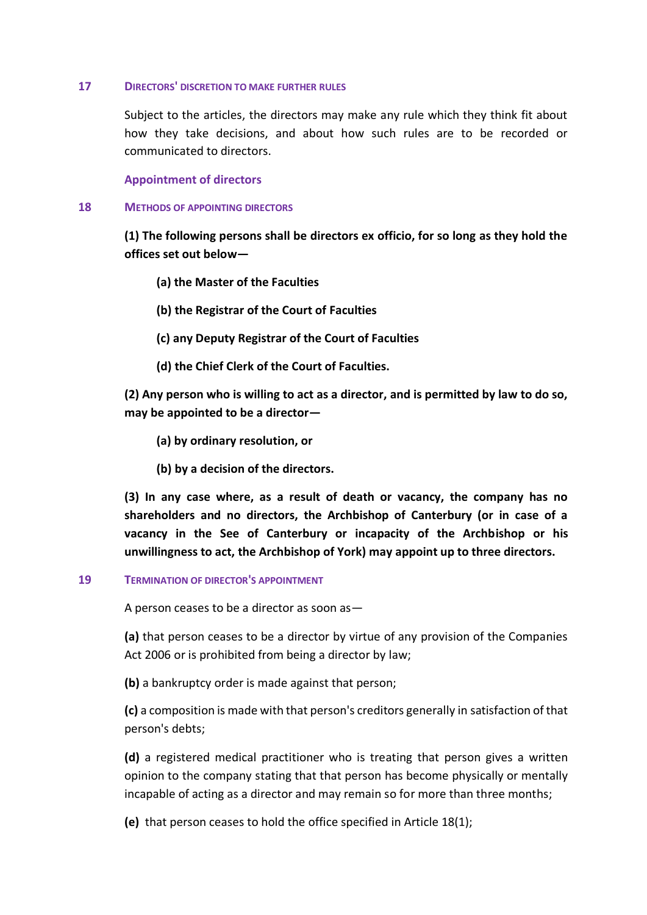### **17 DIRECTORS' DISCRETION TO MAKE FURTHER RULES**

Subject to the articles, the directors may make any rule which they think fit about how they take decisions, and about how such rules are to be recorded or communicated to directors.

**Appointment of directors**

### **18 METHODS OF APPOINTING DIRECTORS**

**(1) The following persons shall be directors ex officio, for so long as they hold the offices set out below—**

# **(a) the Master of the Faculties**

- **(b) the Registrar of the Court of Faculties**
- **(c) any Deputy Registrar of the Court of Faculties**
- **(d) the Chief Clerk of the Court of Faculties.**

**(2) Any person who is willing to act as a director, and is permitted by law to do so, may be appointed to be a director—**

- **(a) by ordinary resolution, or**
- **(b) by a decision of the directors.**

**(3) In any case where, as a result of death or vacancy, the company has no shareholders and no directors, the Archbishop of Canterbury (or in case of a vacancy in the See of Canterbury or incapacity of the Archbishop or his unwillingness to act, the Archbishop of York) may appoint up to three directors.**

### **19 TERMINATION OF DIRECTOR'S APPOINTMENT**

A person ceases to be a director as soon as—

**(a)** that person ceases to be a director by virtue of any provision of the Companies Act 2006 or is prohibited from being a director by law;

**(b)** a bankruptcy order is made against that person;

**(c)** a composition is made with that person's creditors generally in satisfaction of that person's debts;

**(d)** a registered medical practitioner who is treating that person gives a written opinion to the company stating that that person has become physically or mentally incapable of acting as a director and may remain so for more than three months;

**(e)** that person ceases to hold the office specified in Article 18(1);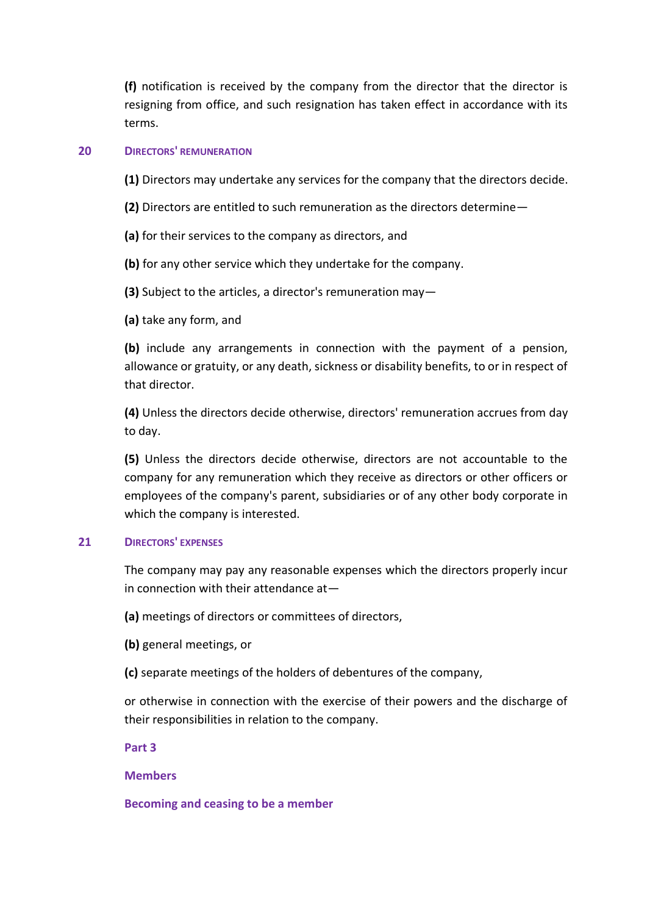**(f)** notification is received by the company from the director that the director is resigning from office, and such resignation has taken effect in accordance with its terms.

## **20 DIRECTORS' REMUNERATION**

**(1)** Directors may undertake any services for the company that the directors decide.

**(2)** Directors are entitled to such remuneration as the directors determine—

**(a)** for their services to the company as directors, and

**(b)** for any other service which they undertake for the company.

**(3)** Subject to the articles, a director's remuneration may—

**(a)** take any form, and

**(b)** include any arrangements in connection with the payment of a pension, allowance or gratuity, or any death, sickness or disability benefits, to or in respect of that director.

**(4)** Unless the directors decide otherwise, directors' remuneration accrues from day to day.

**(5)** Unless the directors decide otherwise, directors are not accountable to the company for any remuneration which they receive as directors or other officers or employees of the company's parent, subsidiaries or of any other body corporate in which the company is interested.

## **21 DIRECTORS' EXPENSES**

The company may pay any reasonable expenses which the directors properly incur in connection with their attendance at—

**(a)** meetings of directors or committees of directors,

**(b)** general meetings, or

**(c)** separate meetings of the holders of debentures of the company,

or otherwise in connection with the exercise of their powers and the discharge of their responsibilities in relation to the company.

**Part 3**

## **Members**

## **Becoming and ceasing to be a member**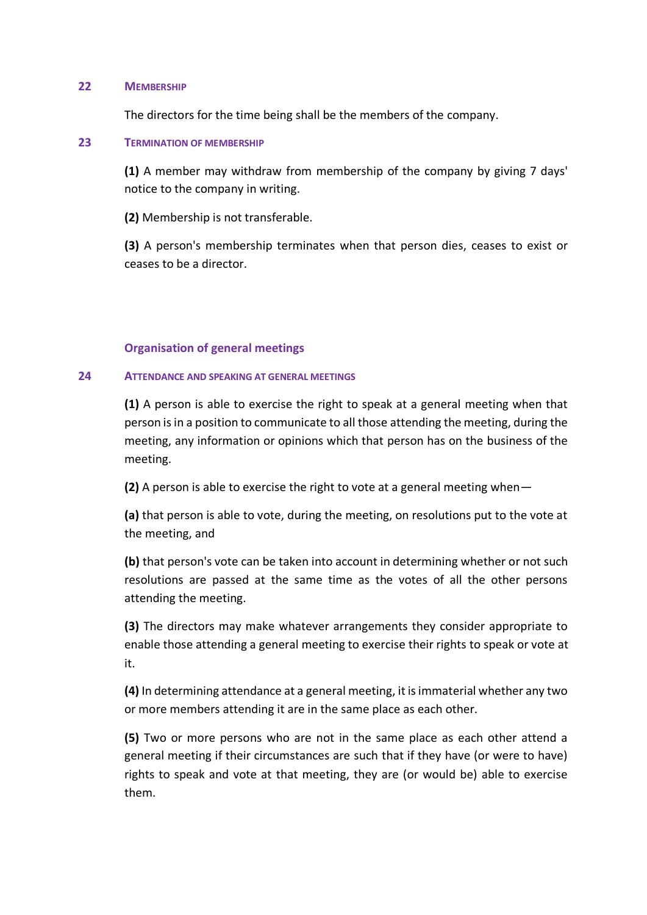### **22 MEMBERSHIP**

The directors for the time being shall be the members of the company.

### **23 TERMINATION OF MEMBERSHIP**

**(1)** A member may withdraw from membership of the company by giving 7 days' notice to the company in writing.

**(2)** Membership is not transferable.

**(3)** A person's membership terminates when that person dies, ceases to exist or ceases to be a director.

# **Organisation of general meetings**

## **24 ATTENDANCE AND SPEAKING AT GENERAL MEETINGS**

**(1)** A person is able to exercise the right to speak at a general meeting when that person is in a position to communicate to all those attending the meeting, during the meeting, any information or opinions which that person has on the business of the meeting.

**(2)** A person is able to exercise the right to vote at a general meeting when—

**(a)** that person is able to vote, during the meeting, on resolutions put to the vote at the meeting, and

**(b)** that person's vote can be taken into account in determining whether or not such resolutions are passed at the same time as the votes of all the other persons attending the meeting.

**(3)** The directors may make whatever arrangements they consider appropriate to enable those attending a general meeting to exercise their rights to speak or vote at it.

**(4)** In determining attendance at a general meeting, it is immaterial whether any two or more members attending it are in the same place as each other.

**(5)** Two or more persons who are not in the same place as each other attend a general meeting if their circumstances are such that if they have (or were to have) rights to speak and vote at that meeting, they are (or would be) able to exercise them.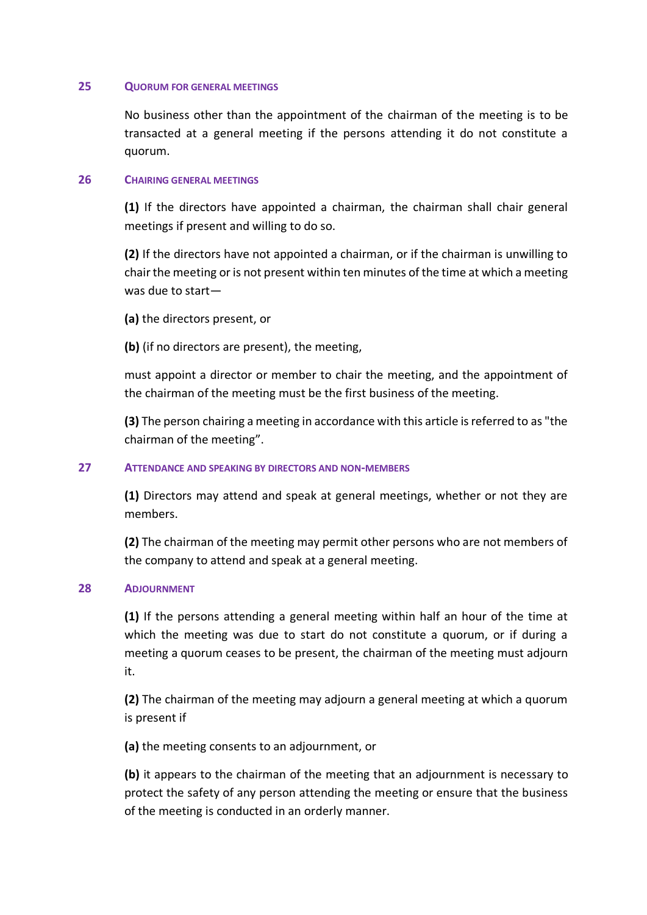### **25 QUORUM FOR GENERAL MEETINGS**

No business other than the appointment of the chairman of the meeting is to be transacted at a general meeting if the persons attending it do not constitute a quorum.

### **26 CHAIRING GENERAL MEETINGS**

**(1)** If the directors have appointed a chairman, the chairman shall chair general meetings if present and willing to do so.

**(2)** If the directors have not appointed a chairman, or if the chairman is unwilling to chair the meeting or is not present within ten minutes of the time at which a meeting was due to start—

- **(a)** the directors present, or
- **(b)** (if no directors are present), the meeting,

must appoint a director or member to chair the meeting, and the appointment of the chairman of the meeting must be the first business of the meeting.

**(3)** The person chairing a meeting in accordance with this article is referred to as "the chairman of the meeting".

### **27 ATTENDANCE AND SPEAKING BY DIRECTORS AND NON-MEMBERS**

**(1)** Directors may attend and speak at general meetings, whether or not they are members.

**(2)** The chairman of the meeting may permit other persons who are not members of the company to attend and speak at a general meeting.

## **28 ADJOURNMENT**

**(1)** If the persons attending a general meeting within half an hour of the time at which the meeting was due to start do not constitute a quorum, or if during a meeting a quorum ceases to be present, the chairman of the meeting must adjourn it.

**(2)** The chairman of the meeting may adjourn a general meeting at which a quorum is present if

**(a)** the meeting consents to an adjournment, or

**(b)** it appears to the chairman of the meeting that an adjournment is necessary to protect the safety of any person attending the meeting or ensure that the business of the meeting is conducted in an orderly manner.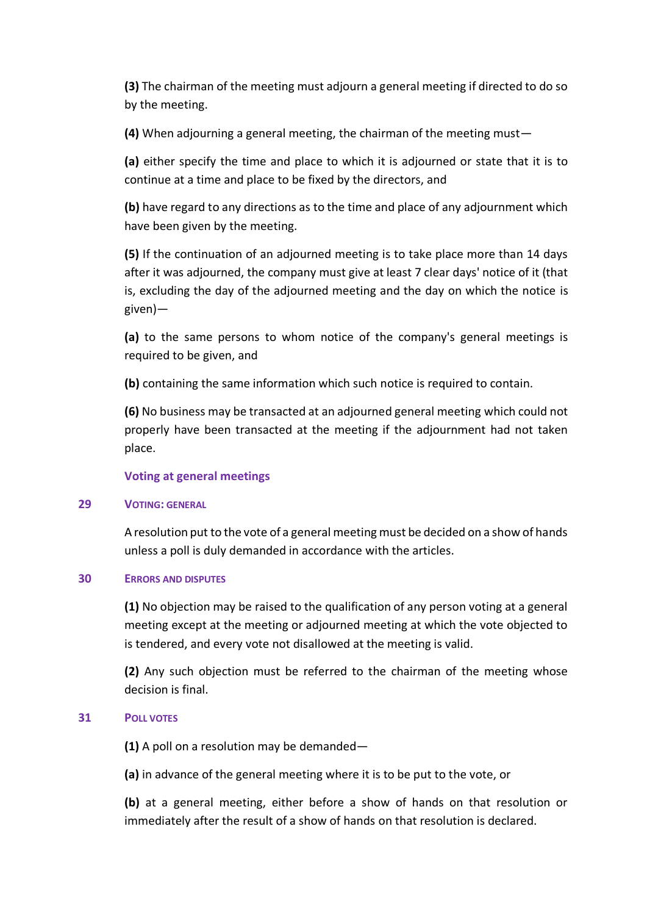**(3)** The chairman of the meeting must adjourn a general meeting if directed to do so by the meeting.

**(4)** When adjourning a general meeting, the chairman of the meeting must—

**(a)** either specify the time and place to which it is adjourned or state that it is to continue at a time and place to be fixed by the directors, and

**(b)** have regard to any directions as to the time and place of any adjournment which have been given by the meeting.

**(5)** If the continuation of an adjourned meeting is to take place more than 14 days after it was adjourned, the company must give at least 7 clear days' notice of it (that is, excluding the day of the adjourned meeting and the day on which the notice is given)—

**(a)** to the same persons to whom notice of the company's general meetings is required to be given, and

**(b)** containing the same information which such notice is required to contain.

**(6)** No business may be transacted at an adjourned general meeting which could not properly have been transacted at the meeting if the adjournment had not taken place.

## **Voting at general meetings**

## **29 VOTING: GENERAL**

A resolution put to the vote of a general meeting must be decided on a show of hands unless a poll is duly demanded in accordance with the articles.

### **30 ERRORS AND DISPUTES**

**(1)** No objection may be raised to the qualification of any person voting at a general meeting except at the meeting or adjourned meeting at which the vote objected to is tendered, and every vote not disallowed at the meeting is valid.

**(2)** Any such objection must be referred to the chairman of the meeting whose decision is final.

## **31 POLL VOTES**

**(1)** A poll on a resolution may be demanded—

**(a)** in advance of the general meeting where it is to be put to the vote, or

**(b)** at a general meeting, either before a show of hands on that resolution or immediately after the result of a show of hands on that resolution is declared.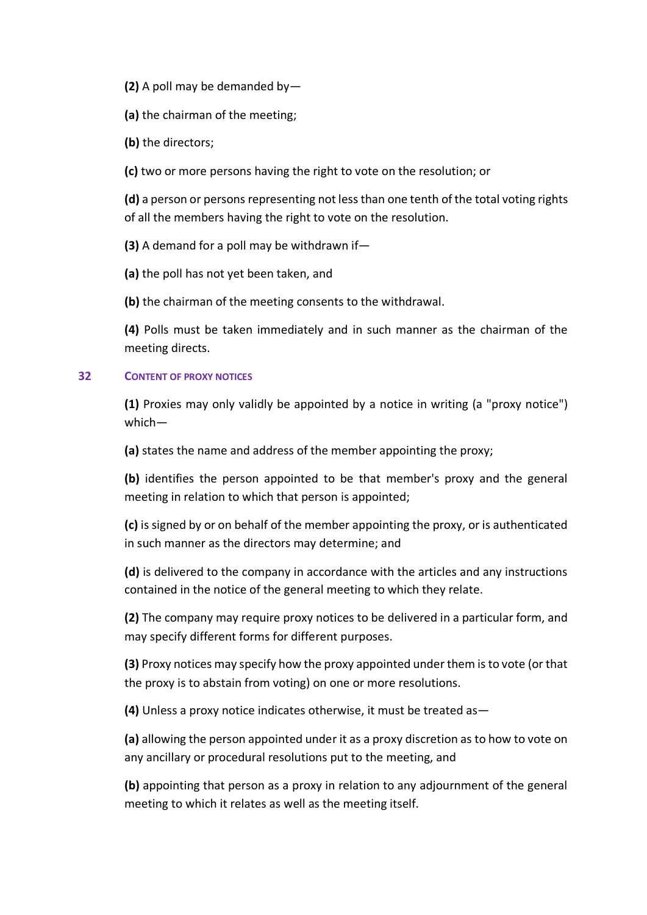- **(2)** A poll may be demanded by—
- **(a)** the chairman of the meeting;
- **(b)** the directors;

**(c)** two or more persons having the right to vote on the resolution; or

**(d)** a person or persons representing not less than one tenth of the total voting rights of all the members having the right to vote on the resolution.

**(3)** A demand for a poll may be withdrawn if—

**(a)** the poll has not yet been taken, and

**(b)** the chairman of the meeting consents to the withdrawal.

**(4)** Polls must be taken immediately and in such manner as the chairman of the meeting directs.

## **32 CONTENT OF PROXY NOTICES**

**(1)** Proxies may only validly be appointed by a notice in writing (a "proxy notice") which—

**(a)** states the name and address of the member appointing the proxy;

**(b)** identifies the person appointed to be that member's proxy and the general meeting in relation to which that person is appointed;

**(c)** is signed by or on behalf of the member appointing the proxy, or is authenticated in such manner as the directors may determine; and

**(d)** is delivered to the company in accordance with the articles and any instructions contained in the notice of the general meeting to which they relate.

**(2)** The company may require proxy notices to be delivered in a particular form, and may specify different forms for different purposes.

**(3)** Proxy notices may specify how the proxy appointed under them is to vote (or that the proxy is to abstain from voting) on one or more resolutions.

**(4)** Unless a proxy notice indicates otherwise, it must be treated as—

**(a)** allowing the person appointed under it as a proxy discretion as to how to vote on any ancillary or procedural resolutions put to the meeting, and

**(b)** appointing that person as a proxy in relation to any adjournment of the general meeting to which it relates as well as the meeting itself.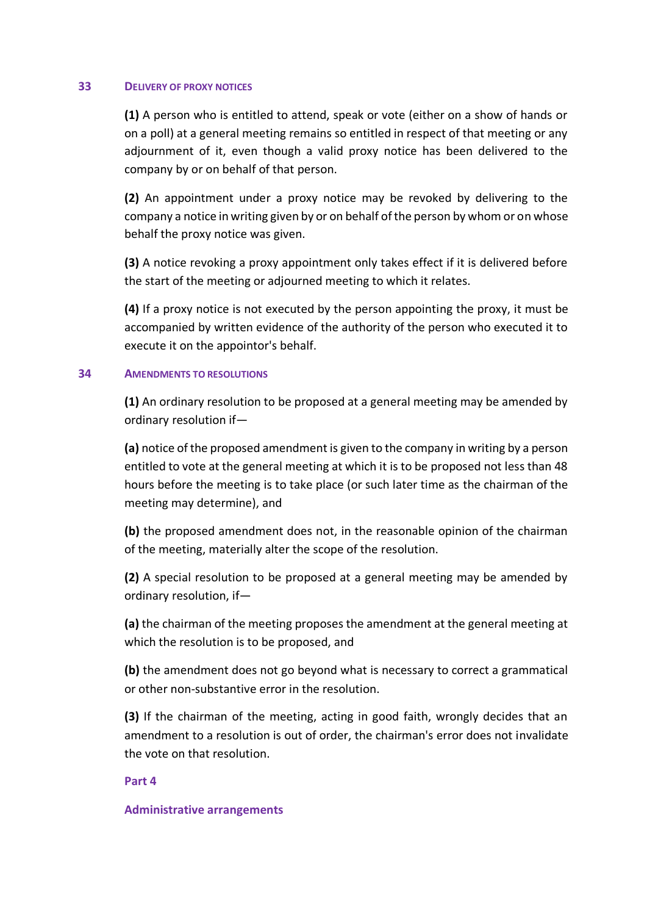### **33 DELIVERY OF PROXY NOTICES**

**(1)** A person who is entitled to attend, speak or vote (either on a show of hands or on a poll) at a general meeting remains so entitled in respect of that meeting or any adjournment of it, even though a valid proxy notice has been delivered to the company by or on behalf of that person.

**(2)** An appointment under a proxy notice may be revoked by delivering to the company a notice in writing given by or on behalf of the person by whom or on whose behalf the proxy notice was given.

**(3)** A notice revoking a proxy appointment only takes effect if it is delivered before the start of the meeting or adjourned meeting to which it relates.

**(4)** If a proxy notice is not executed by the person appointing the proxy, it must be accompanied by written evidence of the authority of the person who executed it to execute it on the appointor's behalf.

## **34 AMENDMENTS TO RESOLUTIONS**

**(1)** An ordinary resolution to be proposed at a general meeting may be amended by ordinary resolution if—

**(a)** notice of the proposed amendment is given to the company in writing by a person entitled to vote at the general meeting at which it is to be proposed not less than 48 hours before the meeting is to take place (or such later time as the chairman of the meeting may determine), and

**(b)** the proposed amendment does not, in the reasonable opinion of the chairman of the meeting, materially alter the scope of the resolution.

**(2)** A special resolution to be proposed at a general meeting may be amended by ordinary resolution, if—

**(a)** the chairman of the meeting proposes the amendment at the general meeting at which the resolution is to be proposed, and

**(b)** the amendment does not go beyond what is necessary to correct a grammatical or other non-substantive error in the resolution.

**(3)** If the chairman of the meeting, acting in good faith, wrongly decides that an amendment to a resolution is out of order, the chairman's error does not invalidate the vote on that resolution.

## **Part 4**

## **Administrative arrangements**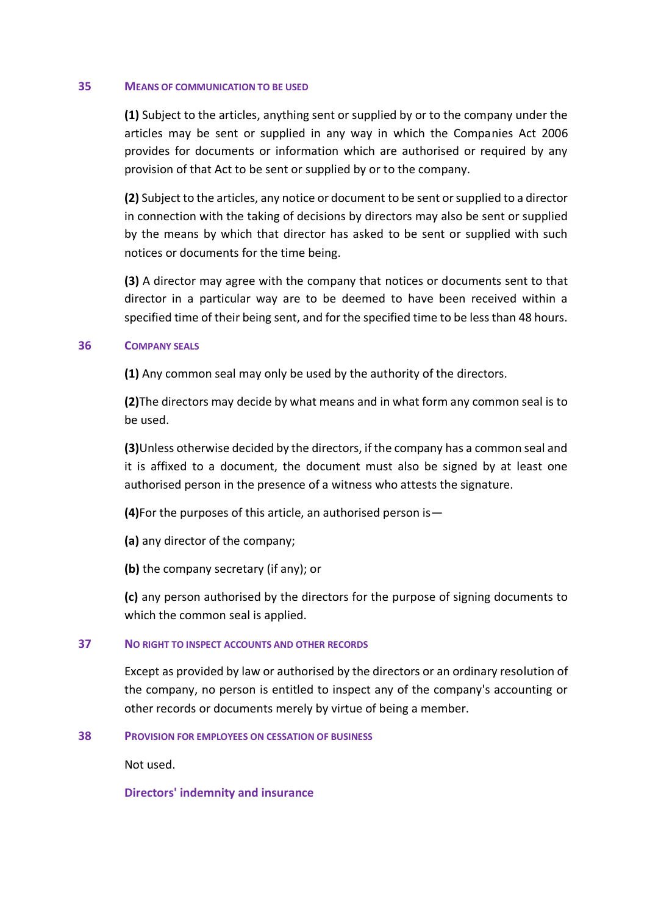### **35 MEANS OF COMMUNICATION TO BE USED**

**(1)** Subject to the articles, anything sent or supplied by or to the company under the articles may be sent or supplied in any way in which the Companies Act 2006 provides for documents or information which are authorised or required by any provision of that Act to be sent or supplied by or to the company.

**(2)** Subject to the articles, any notice or document to be sent or supplied to a director in connection with the taking of decisions by directors may also be sent or supplied by the means by which that director has asked to be sent or supplied with such notices or documents for the time being.

**(3)** A director may agree with the company that notices or documents sent to that director in a particular way are to be deemed to have been received within a specified time of their being sent, and for the specified time to be less than 48 hours.

### **36 COMPANY SEALS**

**(1)** Any common seal may only be used by the authority of the directors.

**(2)**The directors may decide by what means and in what form any common seal is to be used.

**(3)**Unless otherwise decided by the directors, if the company has a common seal and it is affixed to a document, the document must also be signed by at least one authorised person in the presence of a witness who attests the signature.

**(4)**For the purposes of this article, an authorised person is—

- **(a)** any director of the company;
- **(b)** the company secretary (if any); or

**(c)** any person authorised by the directors for the purpose of signing documents to which the common seal is applied.

## **37 NO RIGHT TO INSPECT ACCOUNTS AND OTHER RECORDS**

Except as provided by law or authorised by the directors or an ordinary resolution of the company, no person is entitled to inspect any of the company's accounting or other records or documents merely by virtue of being a member.

## **38 PROVISION FOR EMPLOYEES ON CESSATION OF BUSINESS**

Not used.

## **Directors' indemnity and insurance**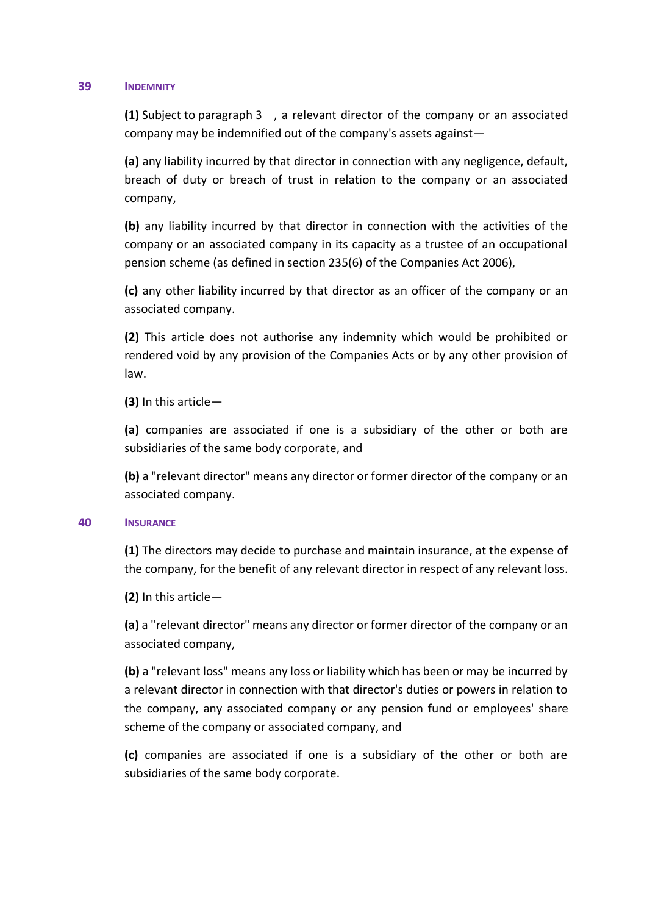### **39 INDEMNITY**

**(1)** Subject to paragraph [3](#page-45-3) , a relevant director of the company or an associated company may be indemnified out of the company's assets against—

**(a)** any liability incurred by that director in connection with any negligence, default, breach of duty or breach of trust in relation to the company or an associated company,

**(b)** any liability incurred by that director in connection with the activities of the company or an associated company in its capacity as a trustee of an occupational pension scheme (as defined in section 235(6) of the Companies Act 2006),

**(c)** any other liability incurred by that director as an officer of the company or an associated company.

**(2)** This article does not authorise any indemnity which would be prohibited or rendered void by any provision of the Companies Acts or by any other provision of law.

**(3)** In this article—

**(a)** companies are associated if one is a subsidiary of the other or both are subsidiaries of the same body corporate, and

**(b)** a "relevant director" means any director or former director of the company or an associated company.

## **40 INSURANCE**

**(1)** The directors may decide to purchase and maintain insurance, at the expense of the company, for the benefit of any relevant director in respect of any relevant loss.

**(2)** In this article—

**(a)** a "relevant director" means any director or former director of the company or an associated company,

**(b)** a "relevant loss" means any loss or liability which has been or may be incurred by a relevant director in connection with that director's duties or powers in relation to the company, any associated company or any pension fund or employees' share scheme of the company or associated company, and

**(c)** companies are associated if one is a subsidiary of the other or both are subsidiaries of the same body corporate.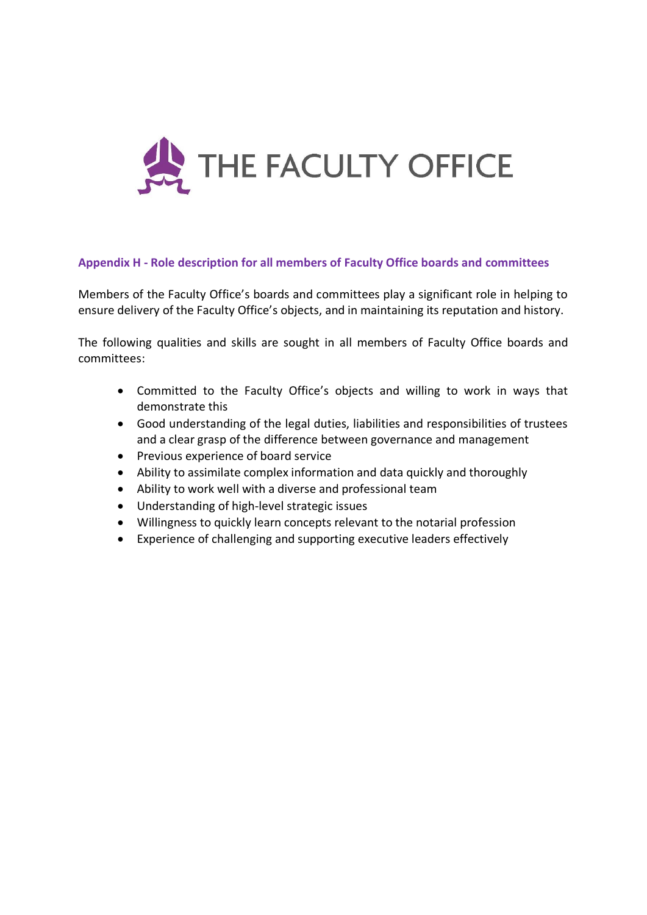

# **Appendix H - Role description for all members of Faculty Office boards and committees**

Members of the Faculty Office's boards and committees play a significant role in helping to ensure delivery of the Faculty Office's objects, and in maintaining its reputation and history.

The following qualities and skills are sought in all members of Faculty Office boards and committees:

- Committed to the Faculty Office's objects and willing to work in ways that demonstrate this
- Good understanding of the legal duties, liabilities and responsibilities of trustees and a clear grasp of the difference between governance and management
- Previous experience of board service
- Ability to assimilate complex information and data quickly and thoroughly
- Ability to work well with a diverse and professional team
- Understanding of high-level strategic issues
- Willingness to quickly learn concepts relevant to the notarial profession
- Experience of challenging and supporting executive leaders effectively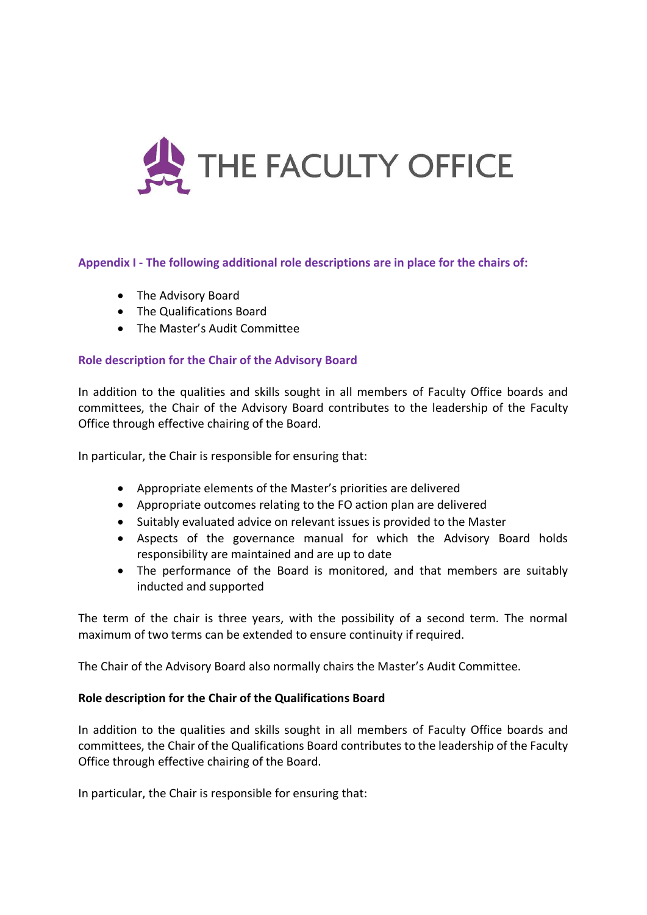

**Appendix I - The following additional role descriptions are in place for the chairs of:**

- The Advisory Board
- The Qualifications Board
- The Master's Audit Committee

# **Role description for the Chair of the Advisory Board**

In addition to the qualities and skills sought in all members of Faculty Office boards and committees, the Chair of the Advisory Board contributes to the leadership of the Faculty Office through effective chairing of the Board.

In particular, the Chair is responsible for ensuring that:

- Appropriate elements of the Master's priorities are delivered
- Appropriate outcomes relating to the FO action plan are delivered
- Suitably evaluated advice on relevant issues is provided to the Master
- Aspects of the governance manual for which the Advisory Board holds responsibility are maintained and are up to date
- The performance of the Board is monitored, and that members are suitably inducted and supported

The term of the chair is three years, with the possibility of a second term. The normal maximum of two terms can be extended to ensure continuity if required.

The Chair of the Advisory Board also normally chairs the Master's Audit Committee.

## **Role description for the Chair of the Qualifications Board**

In addition to the qualities and skills sought in all members of Faculty Office boards and committees, the Chair of the Qualifications Board contributes to the leadership of the Faculty Office through effective chairing of the Board.

In particular, the Chair is responsible for ensuring that: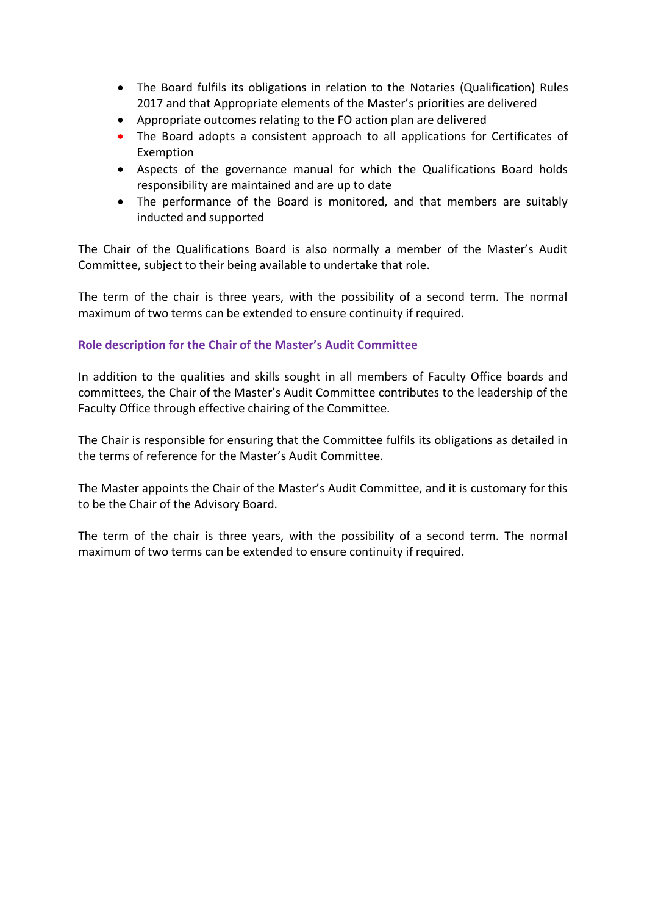- The Board fulfils its obligations in relation to the Notaries (Qualification) Rules 2017 and that Appropriate elements of the Master's priorities are delivered
- Appropriate outcomes relating to the FO action plan are delivered
- The Board adopts a consistent approach to all applications for Certificates of Exemption
- Aspects of the governance manual for which the Qualifications Board holds responsibility are maintained and are up to date
- The performance of the Board is monitored, and that members are suitably inducted and supported

The Chair of the Qualifications Board is also normally a member of the Master's Audit Committee, subject to their being available to undertake that role.

The term of the chair is three years, with the possibility of a second term. The normal maximum of two terms can be extended to ensure continuity if required.

# **Role description for the Chair of the Master's Audit Committee**

In addition to the qualities and skills sought in all members of Faculty Office boards and committees, the Chair of the Master's Audit Committee contributes to the leadership of the Faculty Office through effective chairing of the Committee.

The Chair is responsible for ensuring that the Committee fulfils its obligations as detailed in the terms of reference for the Master's Audit Committee.

The Master appoints the Chair of the Master's Audit Committee, and it is customary for this to be the Chair of the Advisory Board.

The term of the chair is three years, with the possibility of a second term. The normal maximum of two terms can be extended to ensure continuity if required.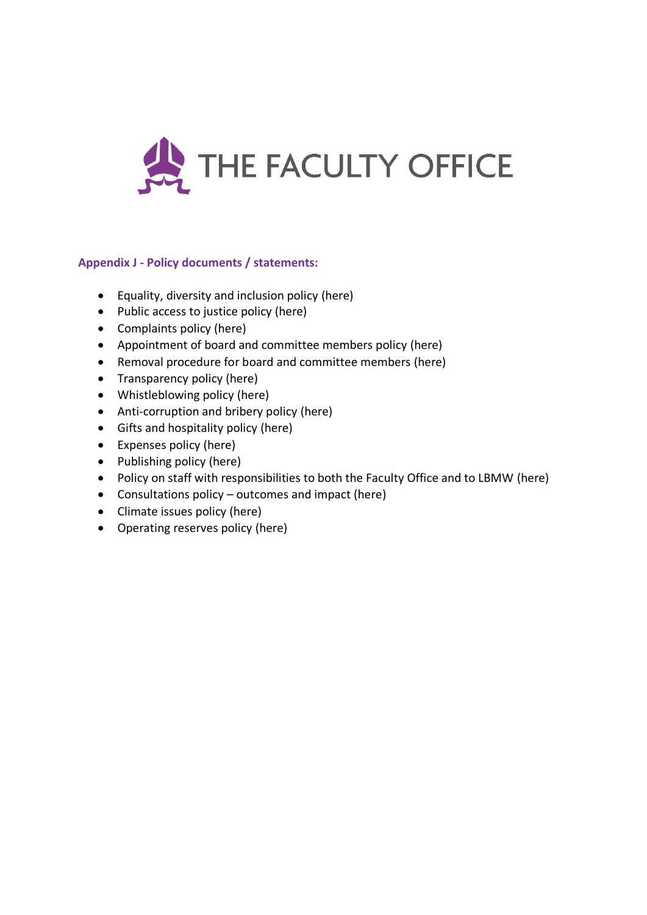

# **Appendix J - Policy documents / statements:**

- Equality, diversity and inclusion policy (here)
- Public access to justice policy (here)
- Complaints policy (here)
- Appointment of board and committee members policy (here)
- Removal procedure for board and committee members (here)
- Transparency policy (here)
- Whistleblowing policy (here)
- Anti-corruption and bribery policy (here)
- Gifts and hospitality policy (here)
- Expenses policy (here)
- Publishing policy (here)
- Policy on staff with responsibilities to both the Faculty Office and to LBMW (here)
- Consultations policy outcomes and impact (here)
- Climate issues policy (here)
- Operating reserves policy (here)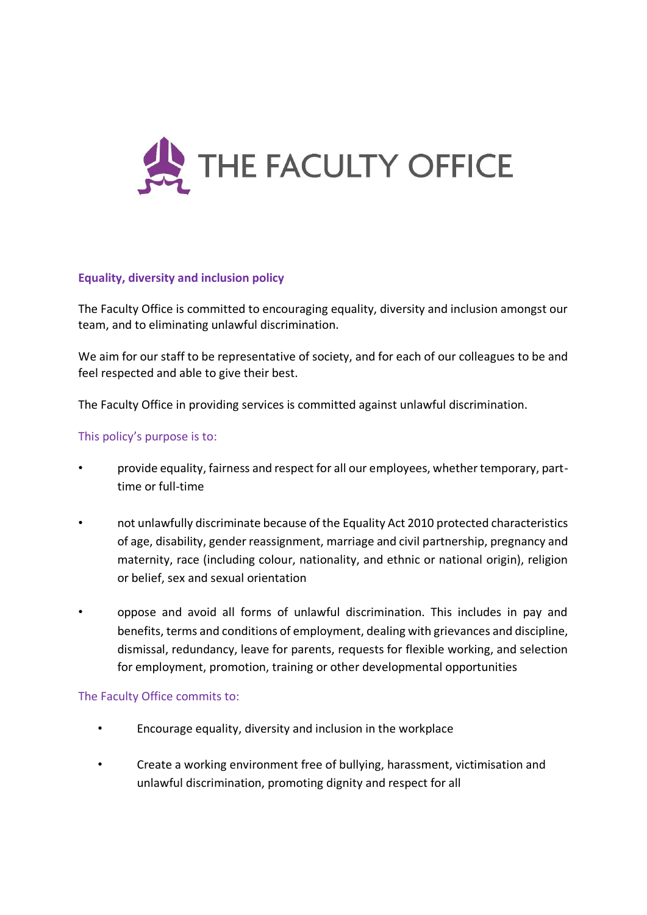

# **Equality, diversity and inclusion policy**

The Faculty Office is committed to encouraging equality, diversity and inclusion amongst our team, and to eliminating unlawful discrimination.

We aim for our staff to be representative of society, and for each of our colleagues to be and feel respected and able to give their best.

The Faculty Office in providing services is committed against unlawful discrimination.

# This policy's purpose is to:

- provide equality, fairness and respect for all our employees, whether temporary, parttime or full-time
- not unlawfully discriminate because of the Equality Act 2010 protected characteristics of age, disability, gender reassignment, marriage and civil partnership, pregnancy and maternity, race (including colour, nationality, and ethnic or national origin), religion or belief, sex and sexual orientation
- oppose and avoid all forms of unlawful discrimination. This includes in pay and benefits, terms and conditions of employment, dealing with grievances and discipline, dismissal, redundancy, leave for parents, requests for flexible working, and selection for employment, promotion, training or other developmental opportunities

## The Faculty Office commits to:

- Encourage equality, diversity and inclusion in the workplace
- Create a working environment free of bullying, harassment, victimisation and unlawful discrimination, promoting dignity and respect for all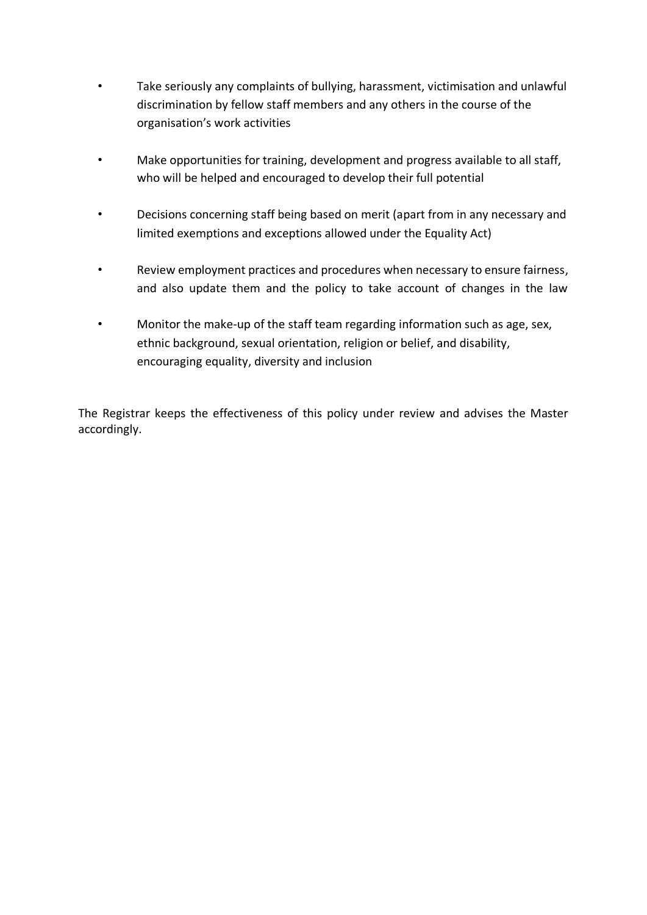- Take seriously any complaints of bullying, harassment, victimisation and unlawful discrimination by fellow staff members and any others in the course of the organisation's work activities
- Make opportunities for training, development and progress available to all staff, who will be helped and encouraged to develop their full potential
- Decisions concerning staff being based on merit (apart from in any necessary and limited exemptions and exceptions allowed under the Equality Act)
- Review employment practices and procedures when necessary to ensure fairness, and also update them and the policy to take account of changes in the law
- Monitor the make-up of the staff team regarding information such as age, sex, ethnic background, sexual orientation, religion or belief, and disability, encouraging equality, diversity and inclusion

The Registrar keeps the effectiveness of this policy under review and advises the Master accordingly.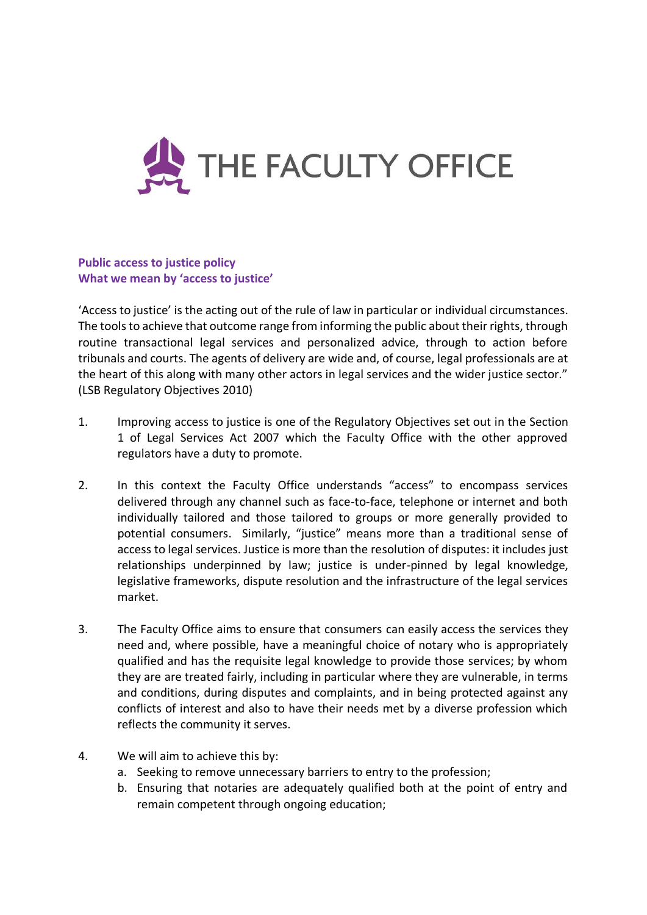

# **Public access to justice policy What we mean by 'access to justice'**

'Access to justice' is the acting out of the rule of law in particular or individual circumstances. The tools to achieve that outcome range from informing the public about their rights, through routine transactional legal services and personalized advice, through to action before tribunals and courts. The agents of delivery are wide and, of course, legal professionals are at the heart of this along with many other actors in legal services and the wider justice sector." (LSB Regulatory Objectives 2010)

- 1. Improving access to justice is one of the Regulatory Objectives set out in the Section 1 of Legal Services Act 2007 which the Faculty Office with the other approved regulators have a duty to promote.
- 2. In this context the Faculty Office understands "access" to encompass services delivered through any channel such as face-to-face, telephone or internet and both individually tailored and those tailored to groups or more generally provided to potential consumers. Similarly, "justice" means more than a traditional sense of access to legal services. Justice is more than the resolution of disputes: it includes just relationships underpinned by law; justice is under-pinned by legal knowledge, legislative frameworks, dispute resolution and the infrastructure of the legal services market.
- 3. The Faculty Office aims to ensure that consumers can easily access the services they need and, where possible, have a meaningful choice of notary who is appropriately qualified and has the requisite legal knowledge to provide those services; by whom they are are treated fairly, including in particular where they are vulnerable, in terms and conditions, during disputes and complaints, and in being protected against any conflicts of interest and also to have their needs met by a diverse profession which reflects the community it serves.
- 4. We will aim to achieve this by:
	- a. Seeking to remove unnecessary barriers to entry to the profession;
	- b. Ensuring that notaries are adequately qualified both at the point of entry and remain competent through ongoing education;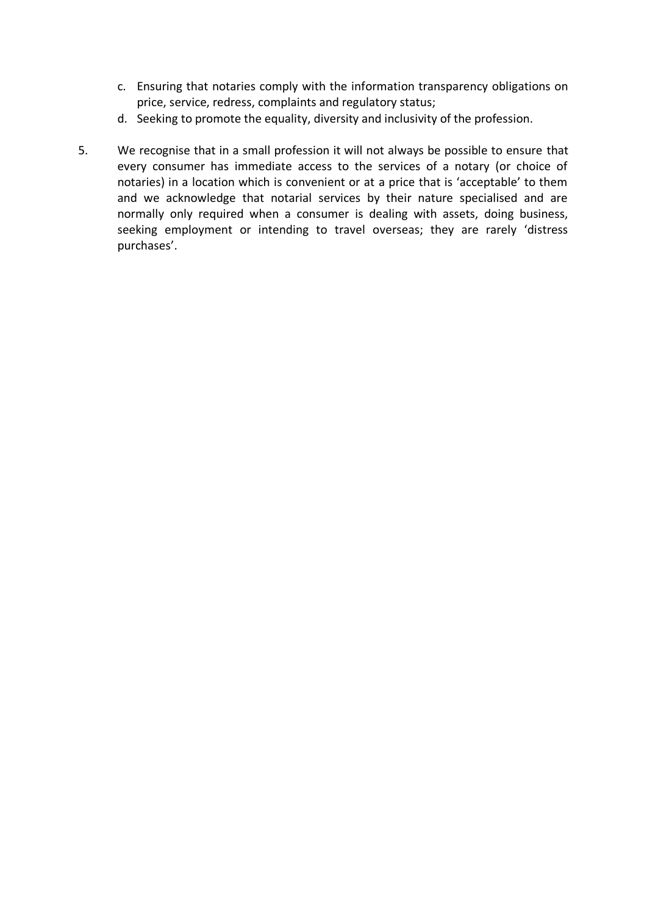- c. Ensuring that notaries comply with the information transparency obligations on price, service, redress, complaints and regulatory status;
- d. Seeking to promote the equality, diversity and inclusivity of the profession.
- 5. We recognise that in a small profession it will not always be possible to ensure that every consumer has immediate access to the services of a notary (or choice of notaries) in a location which is convenient or at a price that is 'acceptable' to them and we acknowledge that notarial services by their nature specialised and are normally only required when a consumer is dealing with assets, doing business, seeking employment or intending to travel overseas; they are rarely 'distress purchases'.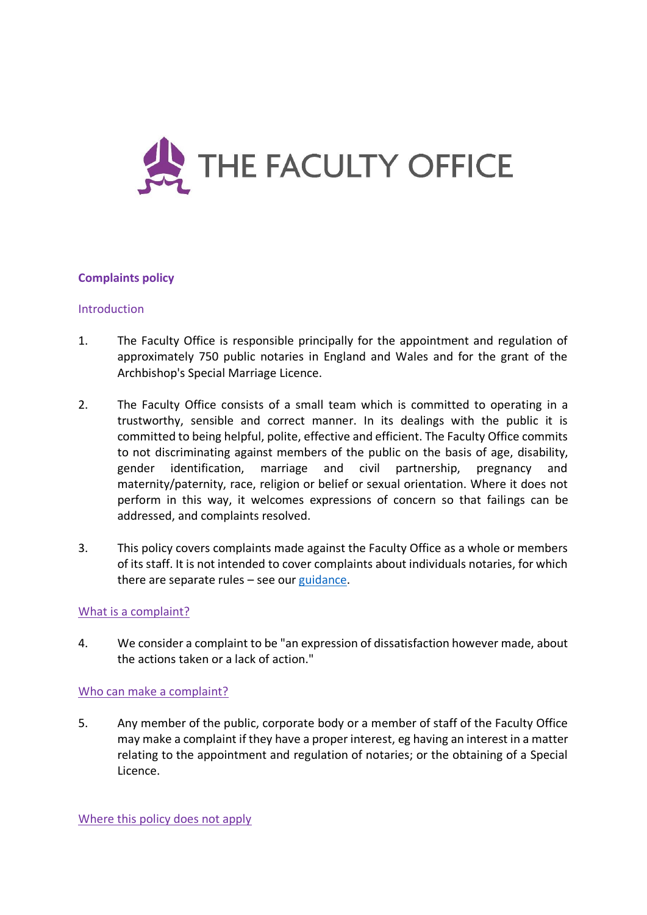

# **Complaints policy**

## **Introduction**

- 1. The Faculty Office is responsible principally for the appointment and regulation of approximately 750 public notaries in England and Wales and for the grant of the Archbishop's Special Marriage Licence.
- 2. The Faculty Office consists of a small team which is committed to operating in a trustworthy, sensible and correct manner. In its dealings with the public it is committed to being helpful, polite, effective and efficient. The Faculty Office commits to not discriminating against members of the public on the basis of age, disability, gender identification, marriage and civil partnership, pregnancy and maternity/paternity, race, religion or belief or sexual orientation. Where it does not perform in this way, it welcomes expressions of concern so that failings can be addressed, and complaints resolved.
- 3. This policy covers complaints made against the Faculty Office as a whole or members of its staff. It is not intended to cover complaints about individuals notaries, for which there are separate rules  $-$  see our [guidance.](http://www.facultyoffice.org.uk/notary/potential-or-existing-client-of-a-notary/complaints-procedure/)

## What is a complaint?

4. We consider a complaint to be "an expression of dissatisfaction however made, about the actions taken or a lack of action."

## Who can make a complaint?

5. Any member of the public, corporate body or a member of staff of the Faculty Office may make a complaint if they have a proper interest, eg having an interest in a matter relating to the appointment and regulation of notaries; or the obtaining of a Special Licence.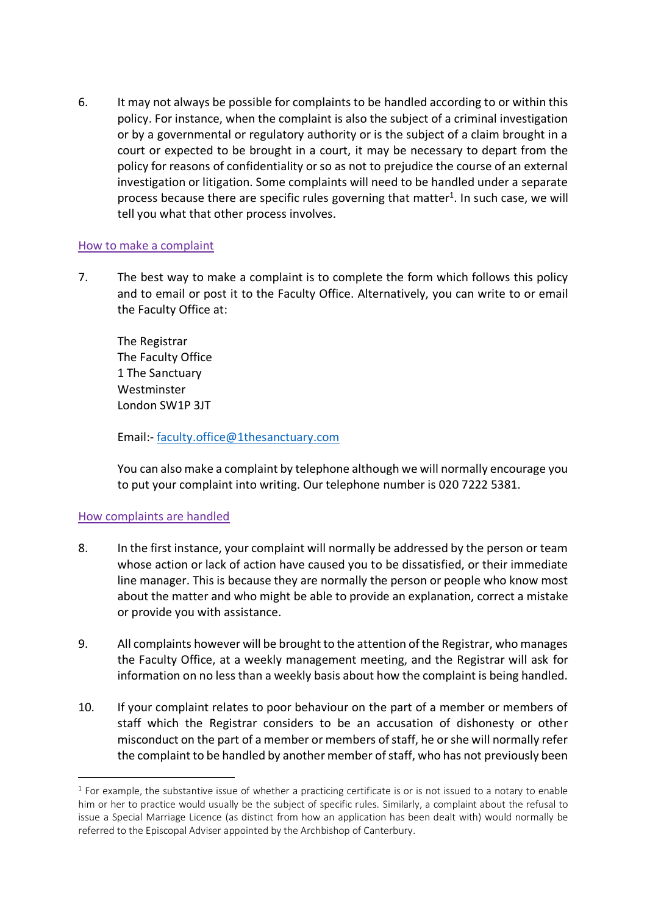6. It may not always be possible for complaints to be handled according to or within this policy. For instance, when the complaint is also the subject of a criminal investigation or by a governmental or regulatory authority or is the subject of a claim brought in a court or expected to be brought in a court, it may be necessary to depart from the policy for reasons of confidentiality or so as not to prejudice the course of an external investigation or litigation. Some complaints will need to be handled under a separate process because there are specific rules governing that matter<sup>1</sup>. In such case, we will tell you what that other process involves.

# How to make a complaint

7. The best way to make a complaint is to complete the form which follows this policy and to email or post it to the Faculty Office. Alternatively, you can write to or email the Faculty Office at:

The Registrar The Faculty Office 1 The Sanctuary Westminster London SW1P 3JT

Email:- [faculty.office@1thesanctuary.com](mailto:faculty.office@1thesanctuary.com)

You can also make a complaint by telephone although we will normally encourage you to put your complaint into writing. Our telephone number is 020 7222 5381.

# How complaints are handled

- 8. In the first instance, your complaint will normally be addressed by the person or team whose action or lack of action have caused you to be dissatisfied, or their immediate line manager. This is because they are normally the person or people who know most about the matter and who might be able to provide an explanation, correct a mistake or provide you with assistance.
- 9. All complaints however will be brought to the attention of the Registrar, who manages the Faculty Office, at a weekly management meeting, and the Registrar will ask for information on no less than a weekly basis about how the complaint is being handled.
- 10. If your complaint relates to poor behaviour on the part of a member or members of staff which the Registrar considers to be an accusation of dishonesty or other misconduct on the part of a member or members of staff, he or she will normally refer the complaint to be handled by another member of staff, who has not previously been

 $<sup>1</sup>$  For example, the substantive issue of whether a practicing certificate is or is not issued to a notary to enable</sup> him or her to practice would usually be the subject of specific rules. Similarly, a complaint about the refusal to issue a Special Marriage Licence (as distinct from how an application has been dealt with) would normally be referred to the Episcopal Adviser appointed by the Archbishop of Canterbury.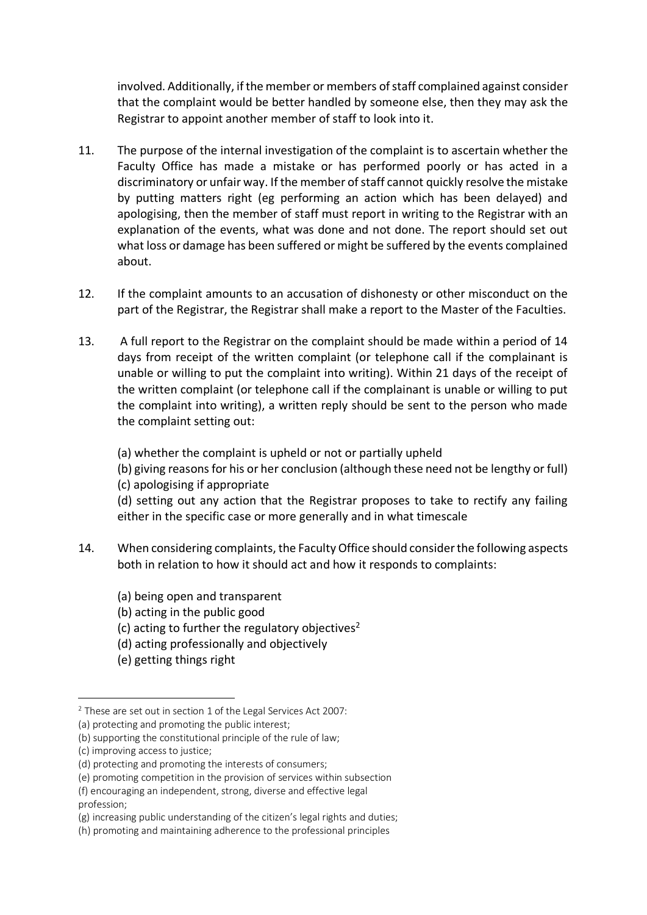involved. Additionally, if the member or members of staff complained against consider that the complaint would be better handled by someone else, then they may ask the Registrar to appoint another member of staff to look into it.

- 11. The purpose of the internal investigation of the complaint is to ascertain whether the Faculty Office has made a mistake or has performed poorly or has acted in a discriminatory or unfair way. If the member of staff cannot quickly resolve the mistake by putting matters right (eg performing an action which has been delayed) and apologising, then the member of staff must report in writing to the Registrar with an explanation of the events, what was done and not done. The report should set out what loss or damage has been suffered or might be suffered by the events complained about.
- 12. If the complaint amounts to an accusation of dishonesty or other misconduct on the part of the Registrar, the Registrar shall make a report to the Master of the Faculties.
- 13. A full report to the Registrar on the complaint should be made within a period of 14 days from receipt of the written complaint (or telephone call if the complainant is unable or willing to put the complaint into writing). Within 21 days of the receipt of the written complaint (or telephone call if the complainant is unable or willing to put the complaint into writing), a written reply should be sent to the person who made the complaint setting out:

(a) whether the complaint is upheld or not or partially upheld

(b) giving reasons for his or her conclusion (although these need not be lengthy or full) (c) apologising if appropriate

(d) setting out any action that the Registrar proposes to take to rectify any failing either in the specific case or more generally and in what timescale

- 14. When considering complaints, the Faculty Office should consider the following aspects both in relation to how it should act and how it responds to complaints:
	- (a) being open and transparent
	- (b) acting in the public good
	- (c) acting to further the regulatory objectives<sup>2</sup>
	- (d) acting professionally and objectively
	- (e) getting things right

 $2$  These are set out in section 1 of the Legal Services Act 2007:

<sup>(</sup>a) protecting and promoting the public interest;

<sup>(</sup>b) supporting the constitutional principle of the rule of law;

<sup>(</sup>c) improving access to justice;

<sup>(</sup>d) protecting and promoting the interests of consumers;

<sup>(</sup>e) promoting competition in the provision of services within subsection

<sup>(</sup>f) encouraging an independent, strong, diverse and effective legal profession;

<sup>(</sup>g) increasing public understanding of the citizen's legal rights and duties;

<sup>(</sup>h) promoting and maintaining adherence to the professional principles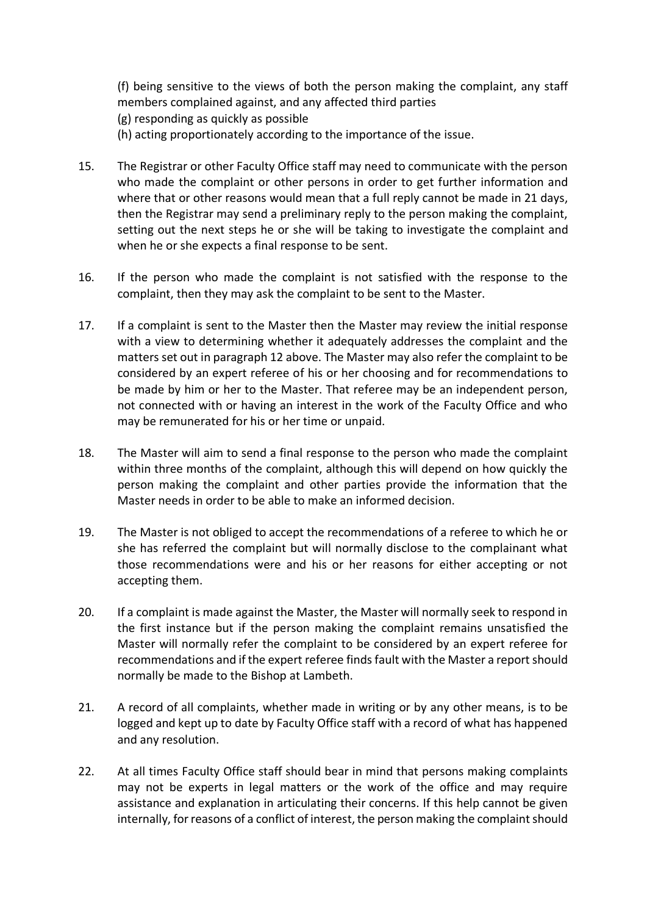(f) being sensitive to the views of both the person making the complaint, any staff members complained against, and any affected third parties (g) responding as quickly as possible

(h) acting proportionately according to the importance of the issue.

- 15. The Registrar or other Faculty Office staff may need to communicate with the person who made the complaint or other persons in order to get further information and where that or other reasons would mean that a full reply cannot be made in 21 days, then the Registrar may send a preliminary reply to the person making the complaint, setting out the next steps he or she will be taking to investigate the complaint and when he or she expects a final response to be sent.
- 16. If the person who made the complaint is not satisfied with the response to the complaint, then they may ask the complaint to be sent to the Master.
- 17. If a complaint is sent to the Master then the Master may review the initial response with a view to determining whether it adequately addresses the complaint and the matters set out in paragraph 12 above. The Master may also refer the complaint to be considered by an expert referee of his or her choosing and for recommendations to be made by him or her to the Master. That referee may be an independent person, not connected with or having an interest in the work of the Faculty Office and who may be remunerated for his or her time or unpaid.
- 18. The Master will aim to send a final response to the person who made the complaint within three months of the complaint, although this will depend on how quickly the person making the complaint and other parties provide the information that the Master needs in order to be able to make an informed decision.
- 19. The Master is not obliged to accept the recommendations of a referee to which he or she has referred the complaint but will normally disclose to the complainant what those recommendations were and his or her reasons for either accepting or not accepting them.
- 20. If a complaint is made against the Master, the Master will normally seek to respond in the first instance but if the person making the complaint remains unsatisfied the Master will normally refer the complaint to be considered by an expert referee for recommendations and if the expert referee finds fault with the Master a report should normally be made to the Bishop at Lambeth.
- 21. A record of all complaints, whether made in writing or by any other means, is to be logged and kept up to date by Faculty Office staff with a record of what has happened and any resolution.
- 22. At all times Faculty Office staff should bear in mind that persons making complaints may not be experts in legal matters or the work of the office and may require assistance and explanation in articulating their concerns. If this help cannot be given internally, for reasons of a conflict of interest, the person making the complaint should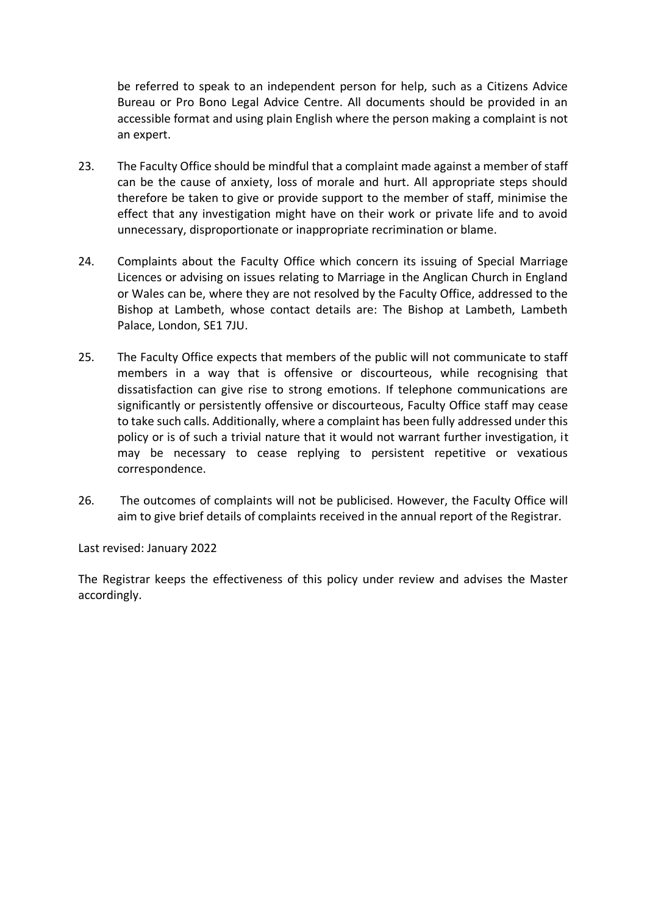be referred to speak to an independent person for help, such as a Citizens Advice Bureau or Pro Bono Legal Advice Centre. All documents should be provided in an accessible format and using plain English where the person making a complaint is not an expert.

- 23. The Faculty Office should be mindful that a complaint made against a member of staff can be the cause of anxiety, loss of morale and hurt. All appropriate steps should therefore be taken to give or provide support to the member of staff, minimise the effect that any investigation might have on their work or private life and to avoid unnecessary, disproportionate or inappropriate recrimination or blame.
- 24. Complaints about the Faculty Office which concern its issuing of Special Marriage Licences or advising on issues relating to Marriage in the Anglican Church in England or Wales can be, where they are not resolved by the Faculty Office, addressed to the Bishop at Lambeth, whose contact details are: The Bishop at Lambeth, Lambeth Palace, London, SE1 7JU.
- 25. The Faculty Office expects that members of the public will not communicate to staff members in a way that is offensive or discourteous, while recognising that dissatisfaction can give rise to strong emotions. If telephone communications are significantly or persistently offensive or discourteous, Faculty Office staff may cease to take such calls. Additionally, where a complaint has been fully addressed under this policy or is of such a trivial nature that it would not warrant further investigation, it may be necessary to cease replying to persistent repetitive or vexatious correspondence.
- 26. The outcomes of complaints will not be publicised. However, the Faculty Office will aim to give brief details of complaints received in the annual report of the Registrar.

Last revised: January 2022

The Registrar keeps the effectiveness of this policy under review and advises the Master accordingly.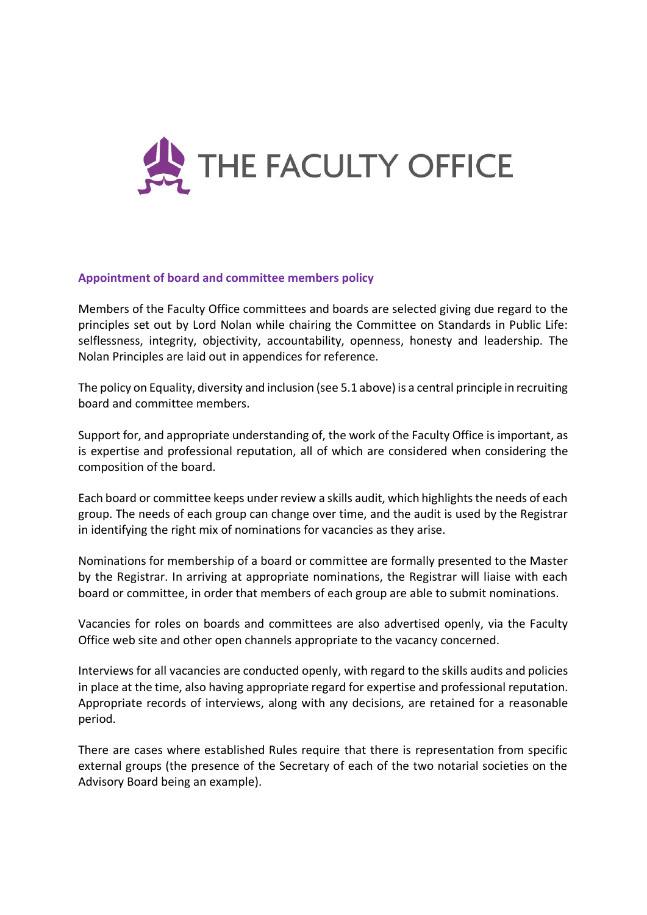

# **Appointment of board and committee members policy**

Members of the Faculty Office committees and boards are selected giving due regard to the principles set out by Lord Nolan while chairing the Committee on Standards in Public Life: selflessness, integrity, objectivity, accountability, openness, honesty and leadership. The Nolan Principles are laid out in appendices for reference.

The policy on Equality, diversity and inclusion (see 5.1 above) is a central principle in recruiting board and committee members.

Support for, and appropriate understanding of, the work of the Faculty Office is important, as is expertise and professional reputation, all of which are considered when considering the composition of the board.

Each board or committee keeps under review a skills audit, which highlights the needs of each group. The needs of each group can change over time, and the audit is used by the Registrar in identifying the right mix of nominations for vacancies as they arise.

Nominations for membership of a board or committee are formally presented to the Master by the Registrar. In arriving at appropriate nominations, the Registrar will liaise with each board or committee, in order that members of each group are able to submit nominations.

Vacancies for roles on boards and committees are also advertised openly, via the Faculty Office web site and other open channels appropriate to the vacancy concerned.

Interviews for all vacancies are conducted openly, with regard to the skills audits and policies in place at the time, also having appropriate regard for expertise and professional reputation. Appropriate records of interviews, along with any decisions, are retained for a reasonable period.

There are cases where established Rules require that there is representation from specific external groups (the presence of the Secretary of each of the two notarial societies on the Advisory Board being an example).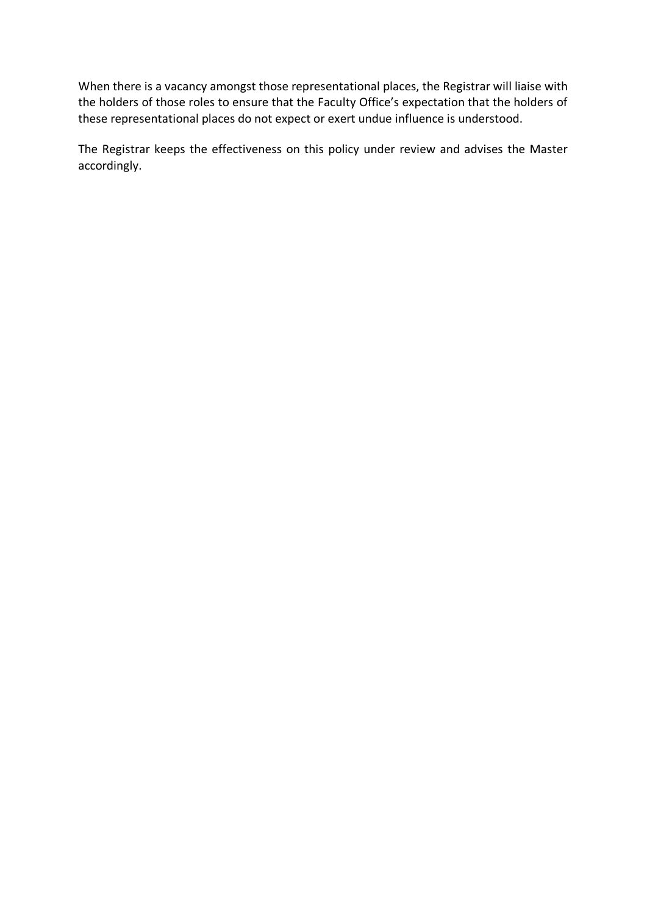When there is a vacancy amongst those representational places, the Registrar will liaise with the holders of those roles to ensure that the Faculty Office's expectation that the holders of these representational places do not expect or exert undue influence is understood.

The Registrar keeps the effectiveness on this policy under review and advises the Master accordingly.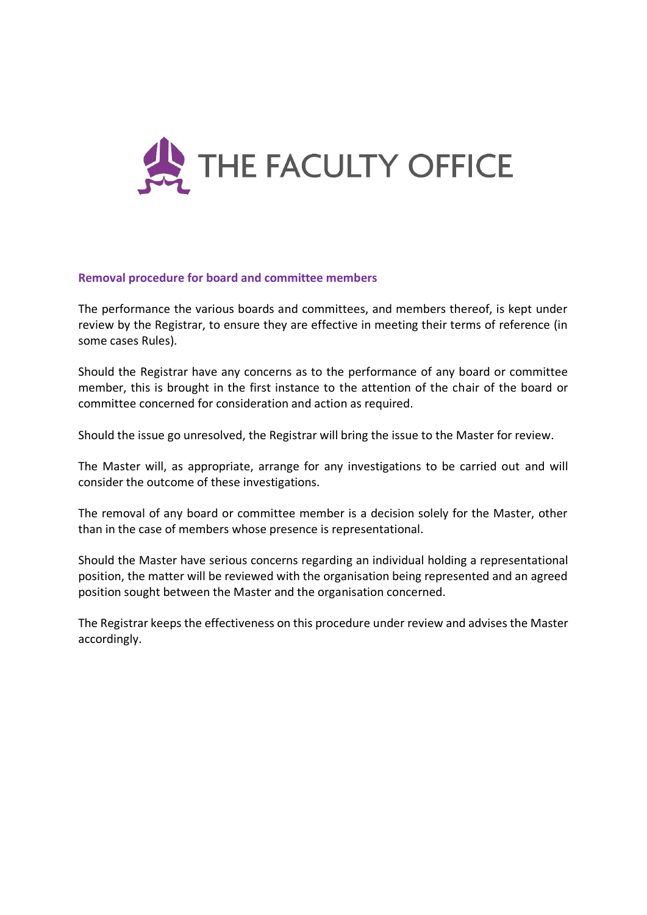

# **Removal procedure for board and committee members**

The performance the various boards and committees, and members thereof, is kept under review by the Registrar, to ensure they are effective in meeting their terms of reference (in some cases Rules).

Should the Registrar have any concerns as to the performance of any board or committee member, this is brought in the first instance to the attention of the chair of the board or committee concerned for consideration and action as required.

Should the issue go unresolved, the Registrar will bring the issue to the Master for review.

The Master will, as appropriate, arrange for any investigations to be carried out and will consider the outcome of these investigations.

The removal of any board or committee member is a decision solely for the Master, other than in the case of members whose presence is representational.

Should the Master have serious concerns regarding an individual holding a representational position, the matter will be reviewed with the organisation being represented and an agreed position sought between the Master and the organisation concerned.

The Registrar keeps the effectiveness on this procedure under review and advises the Master accordingly.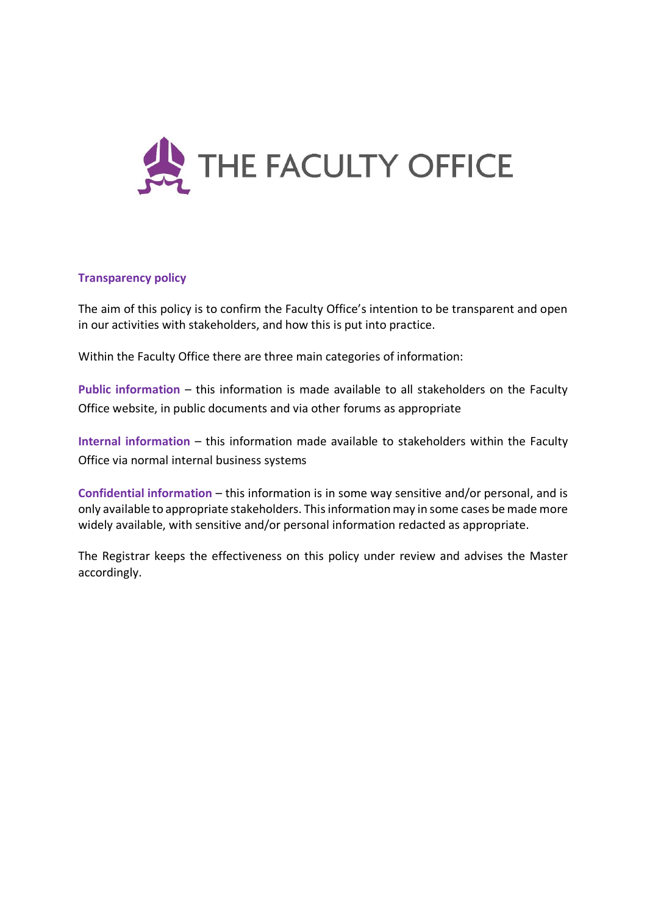

# **Transparency policy**

The aim of this policy is to confirm the Faculty Office's intention to be transparent and open in our activities with stakeholders, and how this is put into practice.

Within the Faculty Office there are three main categories of information:

**Public information** – this information is made available to all stakeholders on the Faculty Office website, in public documents and via other forums as appropriate

**Internal information** – this information made available to stakeholders within the Faculty Office via normal internal business systems

**Confidential information** – this information is in some way sensitive and/or personal, and is only available to appropriate stakeholders. This information may in some cases be made more widely available, with sensitive and/or personal information redacted as appropriate.

The Registrar keeps the effectiveness on this policy under review and advises the Master accordingly.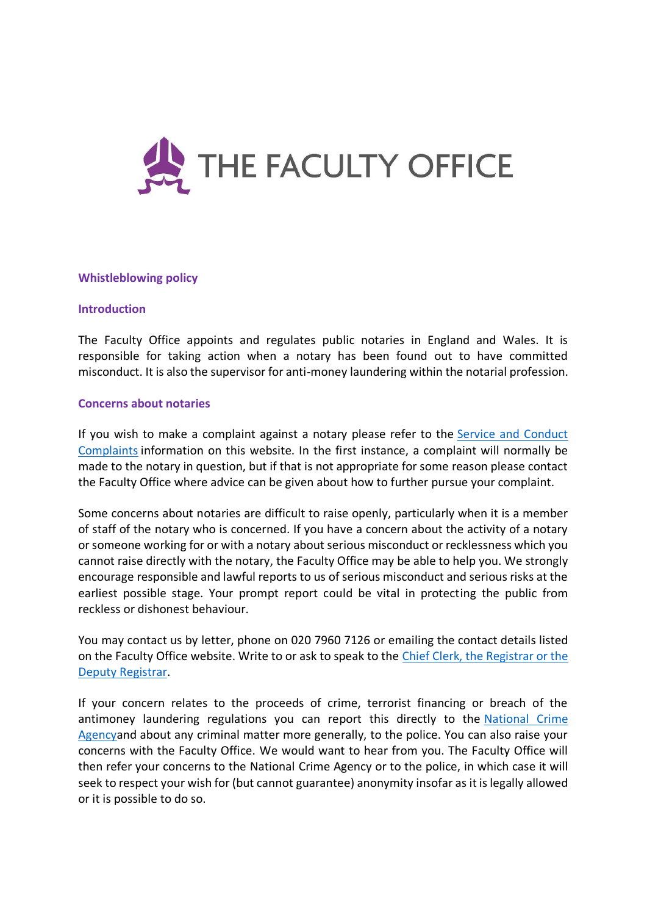

## **Whistleblowing policy**

## **Introduction**

The Faculty Office appoints and regulates public notaries in England and Wales. It is responsible for taking action when a notary has been found out to have committed misconduct. It is also the supervisor for anti-money laundering within the notarial profession.

## **Concerns about notaries**

If you wish to make a complaint against a notary please refer to the [Service and Conduct](https://www.facultyoffice.org.uk/notaries/governance/)  [Complaints](https://www.facultyoffice.org.uk/notaries/governance/) information on this website. In the first instance, a complaint will normally be made to the notary in question, but if that is not appropriate for some reason please contact the Faculty Office where advice can be given about how to further pursue your complaint.

Some concerns about notaries are difficult to raise openly, particularly when it is a member of staff of the notary who is concerned. If you have a concern about the activity of a notary or someone working for or with a notary about serious misconduct or recklessness which you cannot raise directly with the notary, the Faculty Office may be able to help you. We strongly encourage responsible and lawful reports to us of serious misconduct and serious risks at the earliest possible stage. Your prompt report could be vital in protecting the public from reckless or dishonest behaviour.

You may contact us by letter, phone on 020 7960 7126 or emailing the contact details listed on the Faculty Office website. Write to or ask to speak to the [Chief Clerk, the Registrar or the](https://www.facultyoffice.org.uk/about/people/)  [Deputy Registrar.](https://www.facultyoffice.org.uk/about/people/)

If your concern relates to the proceeds of crime, terrorist financing or breach of the antimoney laundering regulations you can report this directly to the [National Crime](https://nationalcrimeagency.gov.uk/)  [Agencya](https://nationalcrimeagency.gov.uk/)nd about any criminal matter more generally, to the police. You can also raise your concerns with the Faculty Office. We would want to hear from you. The Faculty Office will then refer your concerns to the National Crime Agency or to the police, in which case it will seek to respect your wish for (but cannot guarantee) anonymity insofar as it is legally allowed or it is possible to do so.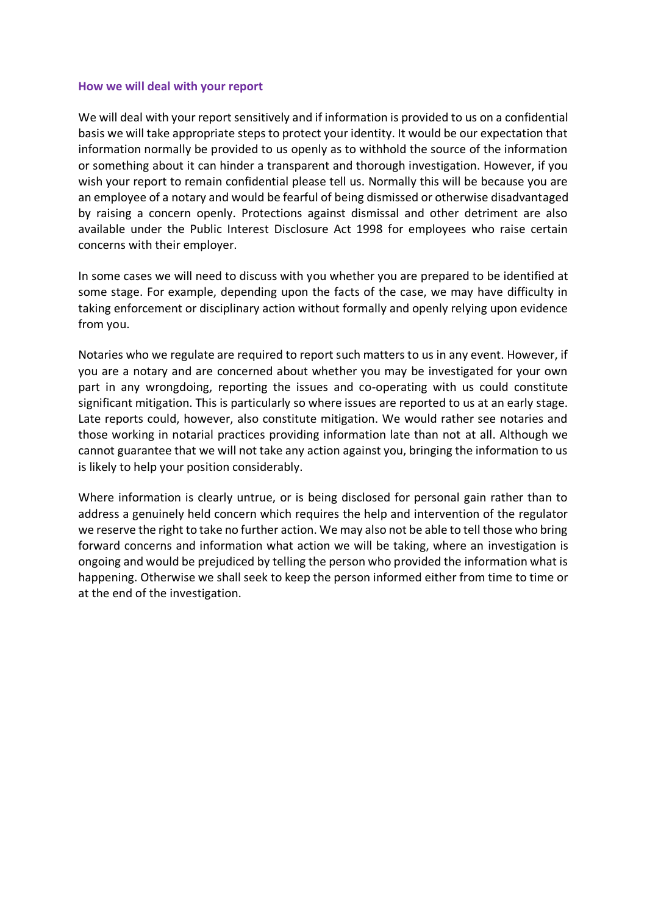### **How we will deal with your report**

We will deal with your report sensitively and if information is provided to us on a confidential basis we will take appropriate steps to protect your identity. It would be our expectation that information normally be provided to us openly as to withhold the source of the information or something about it can hinder a transparent and thorough investigation. However, if you wish your report to remain confidential please tell us. Normally this will be because you are an employee of a notary and would be fearful of being dismissed or otherwise disadvantaged by raising a concern openly. Protections against dismissal and other detriment are also available under the Public Interest Disclosure Act 1998 for employees who raise certain concerns with their employer.

In some cases we will need to discuss with you whether you are prepared to be identified at some stage. For example, depending upon the facts of the case, we may have difficulty in taking enforcement or disciplinary action without formally and openly relying upon evidence from you.

Notaries who we regulate are required to report such matters to us in any event. However, if you are a notary and are concerned about whether you may be investigated for your own part in any wrongdoing, reporting the issues and co-operating with us could constitute significant mitigation. This is particularly so where issues are reported to us at an early stage. Late reports could, however, also constitute mitigation. We would rather see notaries and those working in notarial practices providing information late than not at all. Although we cannot guarantee that we will not take any action against you, bringing the information to us is likely to help your position considerably.

Where information is clearly untrue, or is being disclosed for personal gain rather than to address a genuinely held concern which requires the help and intervention of the regulator we reserve the right to take no further action. We may also not be able to tell those who bring forward concerns and information what action we will be taking, where an investigation is ongoing and would be prejudiced by telling the person who provided the information what is happening. Otherwise we shall seek to keep the person informed either from time to time or at the end of the investigation.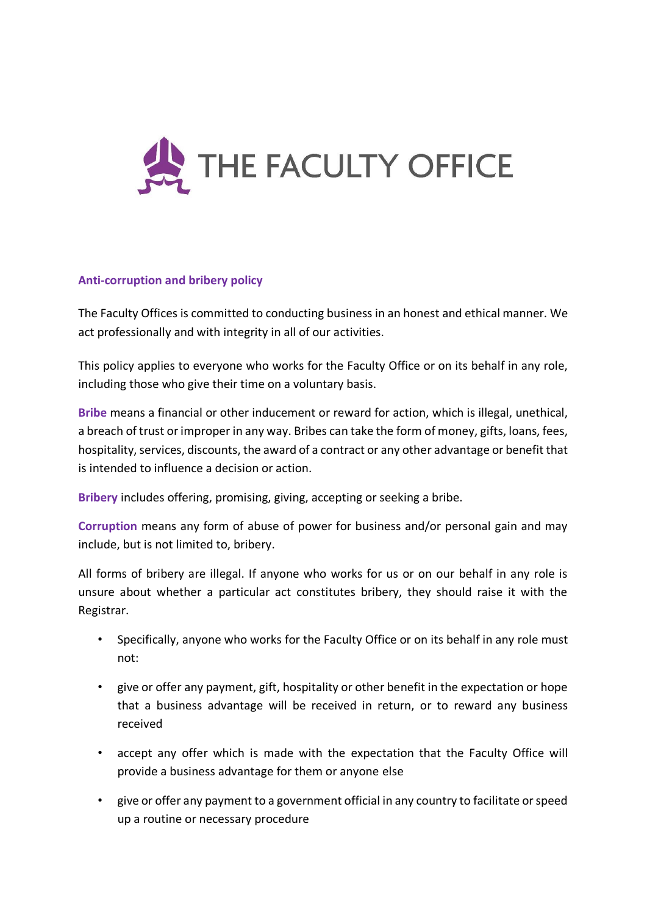

# **Anti-corruption and bribery policy**

The Faculty Offices is committed to conducting business in an honest and ethical manner. We act professionally and with integrity in all of our activities.

This policy applies to everyone who works for the Faculty Office or on its behalf in any role, including those who give their time on a voluntary basis.

**Bribe** means a financial or other inducement or reward for action, which is illegal, unethical, a breach of trust or improper in any way. Bribes can take the form of money, gifts, loans, fees, hospitality, services, discounts, the award of a contract or any other advantage or benefit that is intended to influence a decision or action.

**Bribery** includes offering, promising, giving, accepting or seeking a bribe.

**Corruption** means any form of abuse of power for business and/or personal gain and may include, but is not limited to, bribery.

All forms of bribery are illegal. If anyone who works for us or on our behalf in any role is unsure about whether a particular act constitutes bribery, they should raise it with the Registrar.

- Specifically, anyone who works for the Faculty Office or on its behalf in any role must not:
- give or offer any payment, gift, hospitality or other benefit in the expectation or hope that a business advantage will be received in return, or to reward any business received
- accept any offer which is made with the expectation that the Faculty Office will provide a business advantage for them or anyone else
- give or offer any payment to a government official in any country to facilitate or speed up a routine or necessary procedure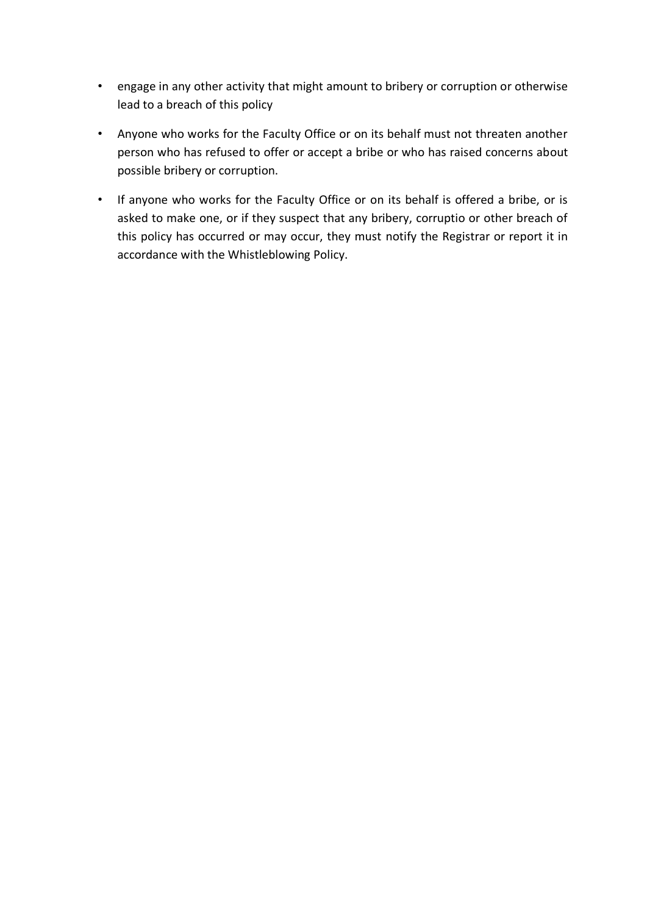- engage in any other activity that might amount to bribery or corruption or otherwise lead to a breach of this policy
- Anyone who works for the Faculty Office or on its behalf must not threaten another person who has refused to offer or accept a bribe or who has raised concerns about possible bribery or corruption.
- If anyone who works for the Faculty Office or on its behalf is offered a bribe, or is asked to make one, or if they suspect that any bribery, corruptio or other breach of this policy has occurred or may occur, they must notify the Registrar or report it in accordance with the Whistleblowing Policy.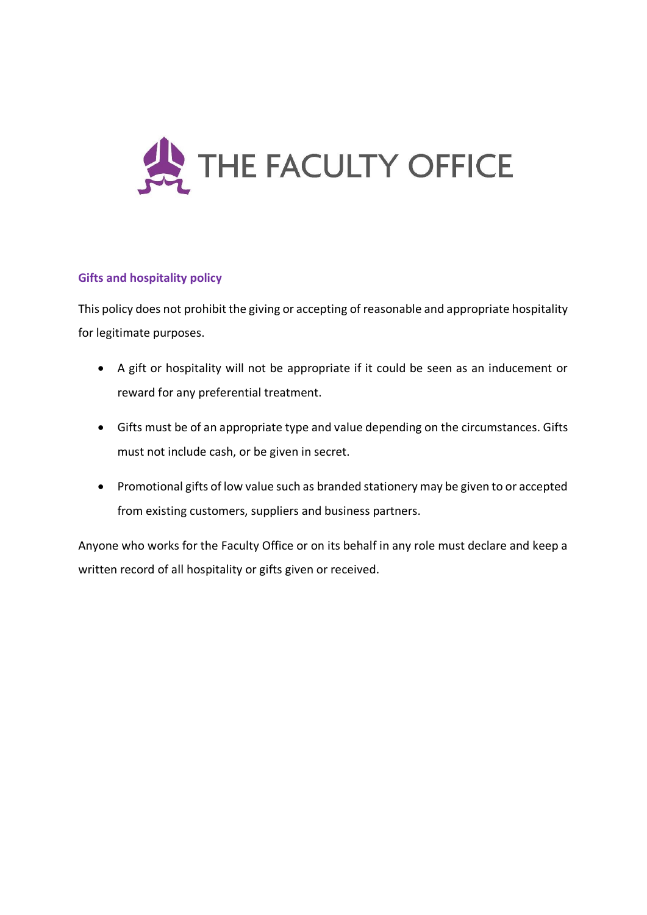

# **Gifts and hospitality policy**

This policy does not prohibit the giving or accepting of reasonable and appropriate hospitality for legitimate purposes.

- A gift or hospitality will not be appropriate if it could be seen as an inducement or reward for any preferential treatment.
- Gifts must be of an appropriate type and value depending on the circumstances. Gifts must not include cash, or be given in secret.
- Promotional gifts of low value such as branded stationery may be given to or accepted from existing customers, suppliers and business partners.

Anyone who works for the Faculty Office or on its behalf in any role must declare and keep a written record of all hospitality or gifts given or received.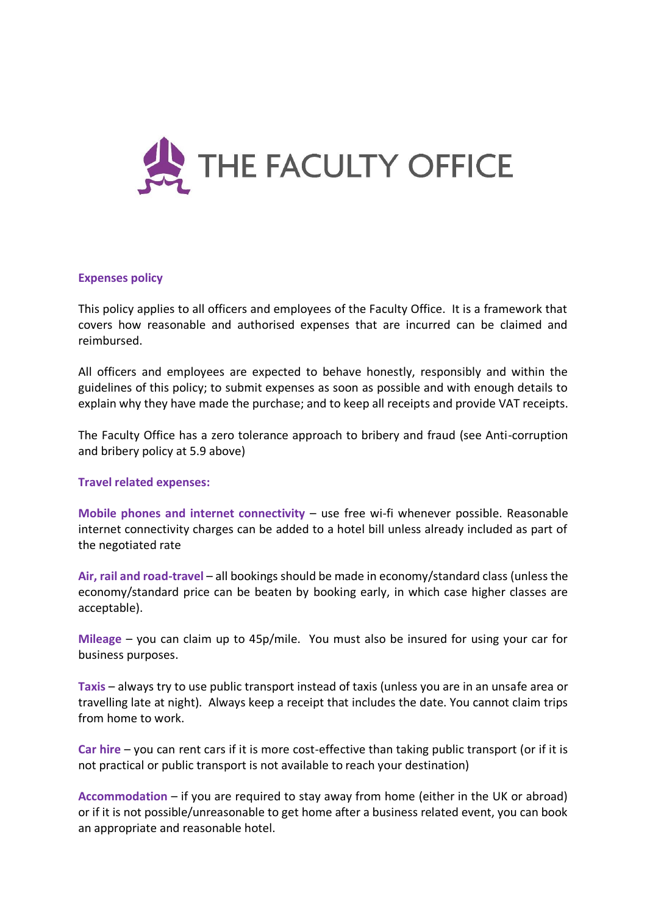

## **Expenses policy**

This policy applies to all officers and employees of the Faculty Office. It is a framework that covers how reasonable and authorised expenses that are incurred can be claimed and reimbursed.

All officers and employees are expected to behave honestly, responsibly and within the guidelines of this policy; to submit expenses as soon as possible and with enough details to explain why they have made the purchase; and to keep all receipts and provide VAT receipts.

The Faculty Office has a zero tolerance approach to bribery and fraud (see Anti-corruption and bribery policy at 5.9 above)

# **Travel related expenses:**

**Mobile phones and internet connectivity** – use free wi-fi whenever possible. Reasonable internet connectivity charges can be added to a hotel bill unless already included as part of the negotiated rate

**Air, rail and road-travel** – all bookings should be made in economy/standard class (unless the economy/standard price can be beaten by booking early, in which case higher classes are acceptable).

**Mileage** – you can claim up to 45p/mile. You must also be insured for using your car for business purposes.

**Taxis** – always try to use public transport instead of taxis (unless you are in an unsafe area or travelling late at night). Always keep a receipt that includes the date. You cannot claim trips from home to work.

**Car hire** – you can rent cars if it is more cost-effective than taking public transport (or if it is not practical or public transport is not available to reach your destination)

**Accommodation** – if you are required to stay away from home (either in the UK or abroad) or if it is not possible/unreasonable to get home after a business related event, you can book an appropriate and reasonable hotel.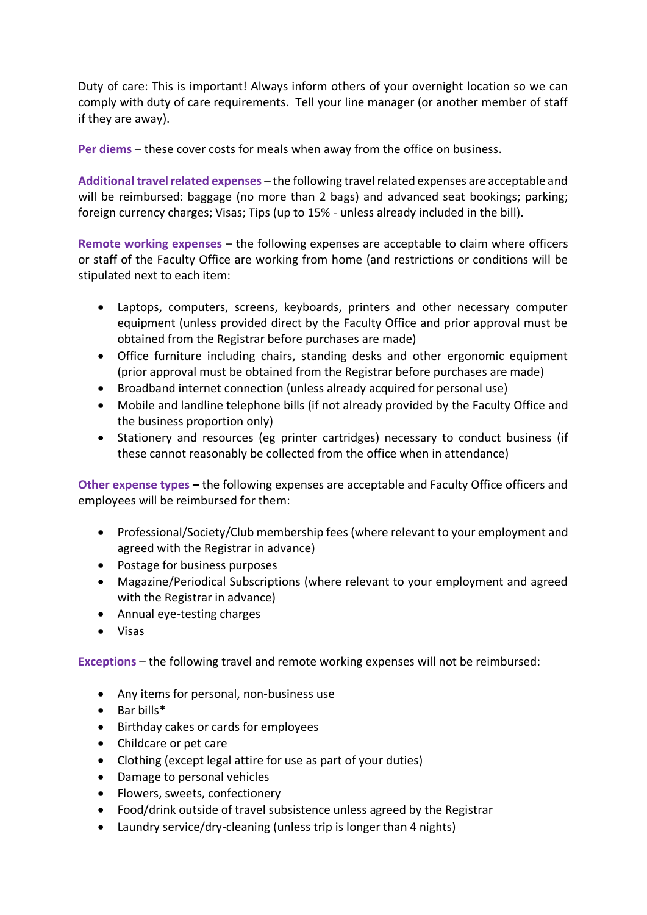Duty of care: This is important! Always inform others of your overnight location so we can comply with duty of care requirements. Tell your line manager (or another member of staff if they are away).

**Per diems** – these cover costs for meals when away from the office on business.

**Additional travel related expenses** – the following travel related expenses are acceptable and will be reimbursed: baggage (no more than 2 bags) and advanced seat bookings; parking; foreign currency charges; Visas; Tips (up to 15% - unless already included in the bill).

**Remote working expenses** – the following expenses are acceptable to claim where officers or staff of the Faculty Office are working from home (and restrictions or conditions will be stipulated next to each item:

- Laptops, computers, screens, keyboards, printers and other necessary computer equipment (unless provided direct by the Faculty Office and prior approval must be obtained from the Registrar before purchases are made)
- Office furniture including chairs, standing desks and other ergonomic equipment (prior approval must be obtained from the Registrar before purchases are made)
- Broadband internet connection (unless already acquired for personal use)
- Mobile and landline telephone bills (if not already provided by the Faculty Office and the business proportion only)
- Stationery and resources (eg printer cartridges) necessary to conduct business (if these cannot reasonably be collected from the office when in attendance)

**Other expense types –** the following expenses are acceptable and Faculty Office officers and employees will be reimbursed for them:

- Professional/Society/Club membership fees (where relevant to your employment and agreed with the Registrar in advance)
- Postage for business purposes
- Magazine/Periodical Subscriptions (where relevant to your employment and agreed with the Registrar in advance)
- Annual eye-testing charges
- Visas

**Exceptions** – the following travel and remote working expenses will not be reimbursed:

- Any items for personal, non-business use
- Bar bills\*
- Birthday cakes or cards for employees
- Childcare or pet care
- Clothing (except legal attire for use as part of your duties)
- Damage to personal vehicles
- Flowers, sweets, confectionery
- Food/drink outside of travel subsistence unless agreed by the Registrar
- Laundry service/dry-cleaning (unless trip is longer than 4 nights)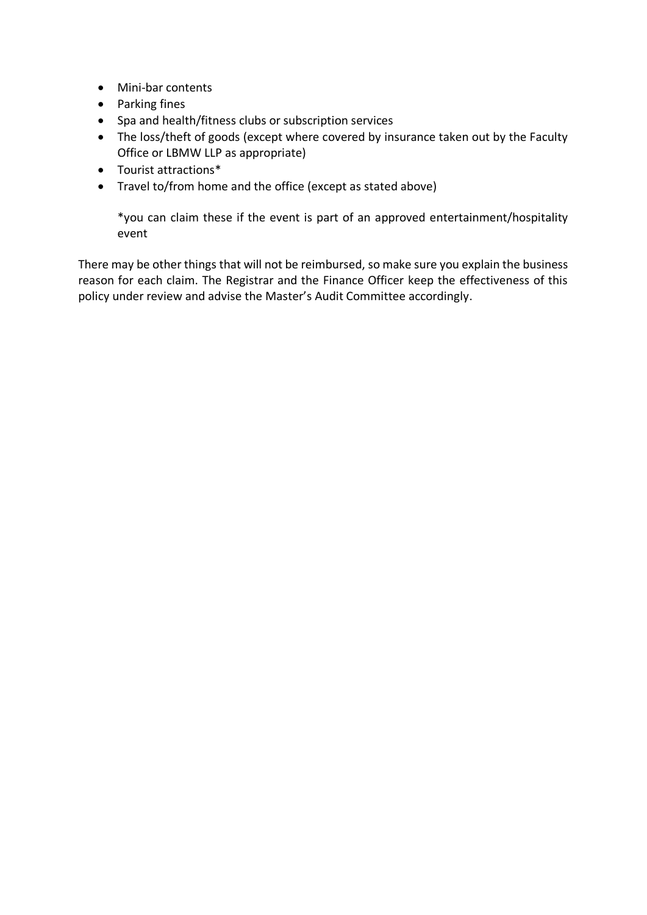- Mini-bar contents
- Parking fines
- Spa and health/fitness clubs or subscription services
- The loss/theft of goods (except where covered by insurance taken out by the Faculty Office or LBMW LLP as appropriate)
- Tourist attractions\*
- Travel to/from home and the office (except as stated above)

\*you can claim these if the event is part of an approved entertainment/hospitality event

There may be other things that will not be reimbursed, so make sure you explain the business reason for each claim. The Registrar and the Finance Officer keep the effectiveness of this policy under review and advise the Master's Audit Committee accordingly.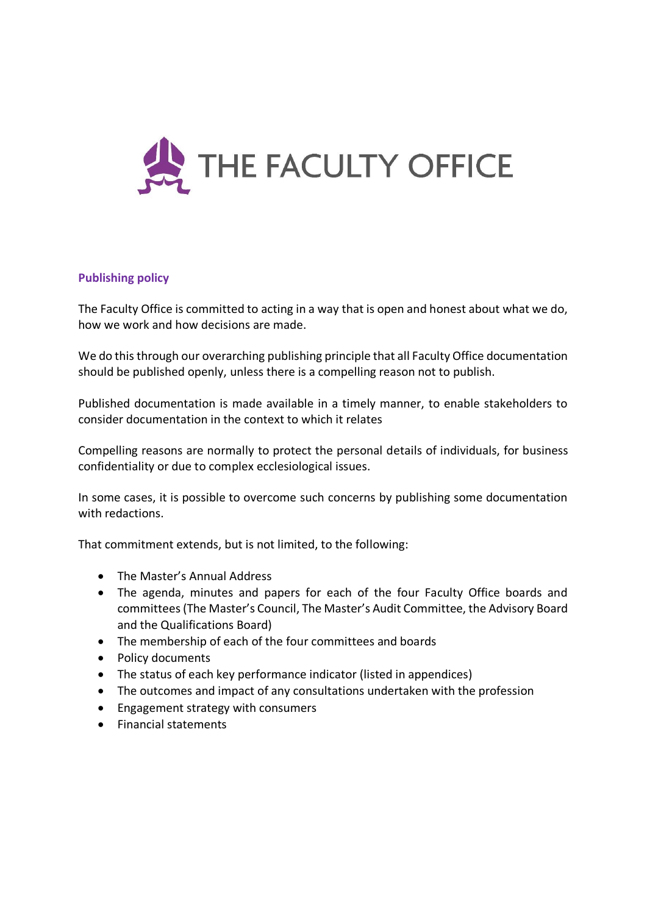

# **Publishing policy**

The Faculty Office is committed to acting in a way that is open and honest about what we do, how we work and how decisions are made.

We do this through our overarching publishing principle that all Faculty Office documentation should be published openly, unless there is a compelling reason not to publish.

Published documentation is made available in a timely manner, to enable stakeholders to consider documentation in the context to which it relates

Compelling reasons are normally to protect the personal details of individuals, for business confidentiality or due to complex ecclesiological issues.

In some cases, it is possible to overcome such concerns by publishing some documentation with redactions.

That commitment extends, but is not limited, to the following:

- The Master's Annual Address
- The agenda, minutes and papers for each of the four Faculty Office boards and committees (The Master's Council, The Master's Audit Committee, the Advisory Board and the Qualifications Board)
- The membership of each of the four committees and boards
- Policy documents
- The status of each key performance indicator (listed in appendices)
- The outcomes and impact of any consultations undertaken with the profession
- Engagement strategy with consumers
- Financial statements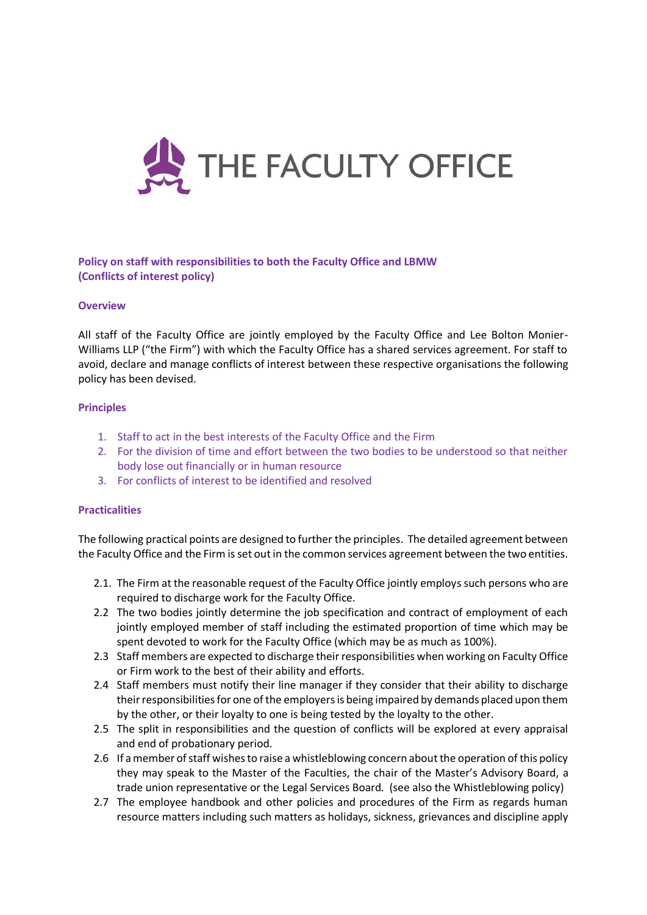

# **Policy on staff with responsibilities to both the Faculty Office and LBMW (Conflicts of interest policy)**

### **Overview**

All staff of the Faculty Office are jointly employed by the Faculty Office and Lee Bolton Monier-Williams LLP ("the Firm") with which the Faculty Office has a shared services agreement. For staff to avoid, declare and manage conflicts of interest between these respective organisations the following policy has been devised.

#### **Principles**

- 1. Staff to act in the best interests of the Faculty Office and the Firm
- 2. For the division of time and effort between the two bodies to be understood so that neither body lose out financially or in human resource
- 3. For conflicts of interest to be identified and resolved

### **Practicalities**

The following practical points are designed to further the principles. The detailed agreement between the Faculty Office and the Firm is set out in the common services agreement between the two entities.

- 2.1. The Firm at the reasonable request of the Faculty Office jointly employs such persons who are required to discharge work for the Faculty Office.
- 2.2 The two bodies jointly determine the job specification and contract of employment of each jointly employed member of staff including the estimated proportion of time which may be spent devoted to work for the Faculty Office (which may be as much as 100%).
- 2.3 Staff members are expected to discharge their responsibilities when working on Faculty Office or Firm work to the best of their ability and efforts.
- 2.4 Staff members must notify their line manager if they consider that their ability to discharge their responsibilities for one of the employers is being impaired by demands placed upon them by the other, or their loyalty to one is being tested by the loyalty to the other.
- 2.5 The split in responsibilities and the question of conflicts will be explored at every appraisal and end of probationary period.
- 2.6 If a member of staff wishes to raise a whistleblowing concern about the operation of this policy they may speak to the Master of the Faculties, the chair of the Master's Advisory Board, a trade union representative or the Legal Services Board. (see also the Whistleblowing policy)
- 2.7 The employee handbook and other policies and procedures of the Firm as regards human resource matters including such matters as holidays, sickness, grievances and discipline apply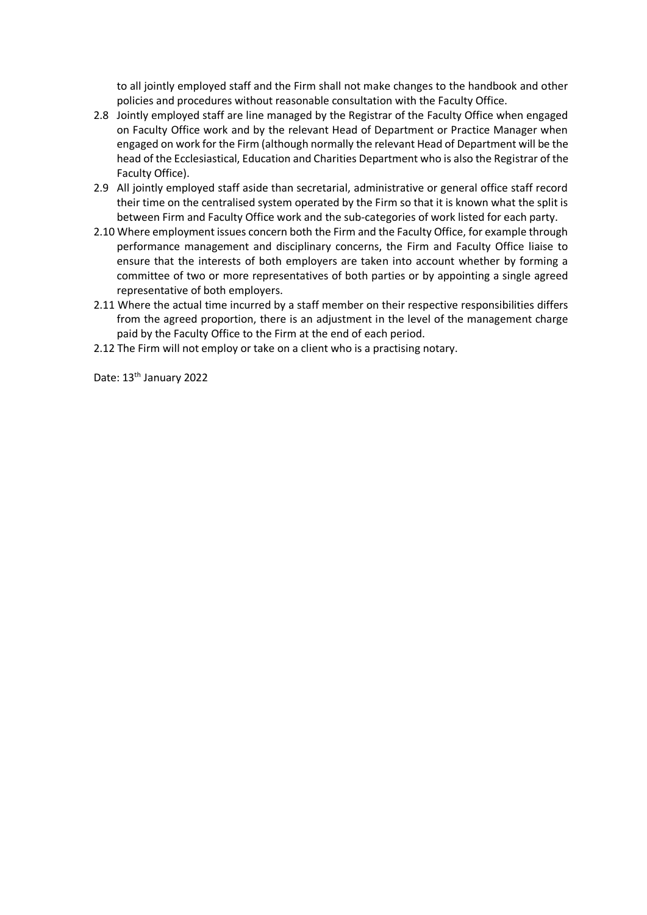to all jointly employed staff and the Firm shall not make changes to the handbook and other policies and procedures without reasonable consultation with the Faculty Office.

- 2.8 Jointly employed staff are line managed by the Registrar of the Faculty Office when engaged on Faculty Office work and by the relevant Head of Department or Practice Manager when engaged on work for the Firm (although normally the relevant Head of Department will be the head of the Ecclesiastical, Education and Charities Department who is also the Registrar of the Faculty Office).
- 2.9 All jointly employed staff aside than secretarial, administrative or general office staff record their time on the centralised system operated by the Firm so that it is known what the split is between Firm and Faculty Office work and the sub-categories of work listed for each party.
- 2.10 Where employment issues concern both the Firm and the Faculty Office, for example through performance management and disciplinary concerns, the Firm and Faculty Office liaise to ensure that the interests of both employers are taken into account whether by forming a committee of two or more representatives of both parties or by appointing a single agreed representative of both employers.
- 2.11 Where the actual time incurred by a staff member on their respective responsibilities differs from the agreed proportion, there is an adjustment in the level of the management charge paid by the Faculty Office to the Firm at the end of each period.
- 2.12 The Firm will not employ or take on a client who is a practising notary.

Date: 13<sup>th</sup> January 2022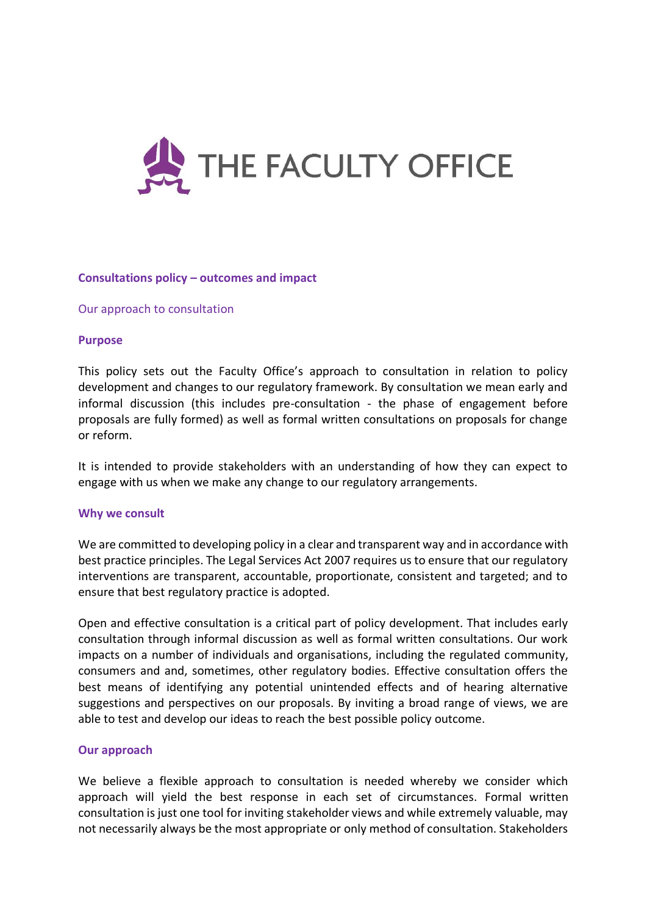

## **Consultations policy – outcomes and impact**

### Our approach to consultation

## **Purpose**

This policy sets out the Faculty Office's approach to consultation in relation to policy development and changes to our regulatory framework. By consultation we mean early and informal discussion (this includes pre-consultation - the phase of engagement before proposals are fully formed) as well as formal written consultations on proposals for change or reform.

It is intended to provide stakeholders with an understanding of how they can expect to engage with us when we make any change to our regulatory arrangements.

### **Why we consult**

We are committed to developing policy in a clear and transparent way and in accordance with best practice principles. The Legal Services Act 2007 requires us to ensure that our regulatory interventions are transparent, accountable, proportionate, consistent and targeted; and to ensure that best regulatory practice is adopted.

Open and effective consultation is a critical part of policy development. That includes early consultation through informal discussion as well as formal written consultations. Our work impacts on a number of individuals and organisations, including the regulated community, consumers and and, sometimes, other regulatory bodies. Effective consultation offers the best means of identifying any potential unintended effects and of hearing alternative suggestions and perspectives on our proposals. By inviting a broad range of views, we are able to test and develop our ideas to reach the best possible policy outcome.

# **Our approach**

We believe a flexible approach to consultation is needed whereby we consider which approach will yield the best response in each set of circumstances. Formal written consultation is just one tool for inviting stakeholder views and while extremely valuable, may not necessarily always be the most appropriate or only method of consultation. Stakeholders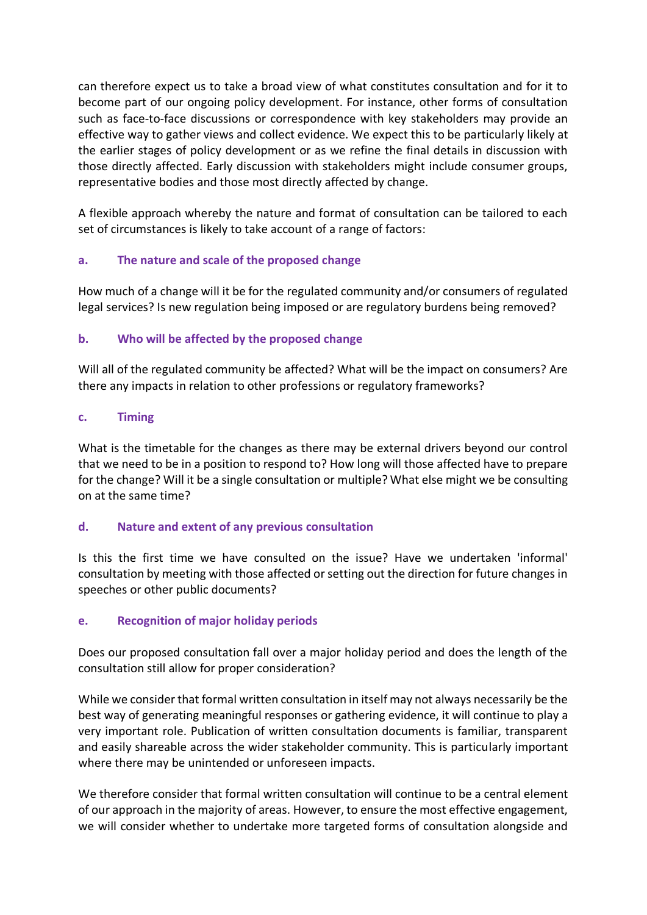can therefore expect us to take a broad view of what constitutes consultation and for it to become part of our ongoing policy development. For instance, other forms of consultation such as face-to-face discussions or correspondence with key stakeholders may provide an effective way to gather views and collect evidence. We expect this to be particularly likely at the earlier stages of policy development or as we refine the final details in discussion with those directly affected. Early discussion with stakeholders might include consumer groups, representative bodies and those most directly affected by change.

A flexible approach whereby the nature and format of consultation can be tailored to each set of circumstances is likely to take account of a range of factors:

# **a. The nature and scale of the proposed change**

How much of a change will it be for the regulated community and/or consumers of regulated legal services? Is new regulation being imposed or are regulatory burdens being removed?

# **b. Who will be affected by the proposed change**

Will all of the regulated community be affected? What will be the impact on consumers? Are there any impacts in relation to other professions or regulatory frameworks?

# **c. Timing**

What is the timetable for the changes as there may be external drivers beyond our control that we need to be in a position to respond to? How long will those affected have to prepare for the change? Will it be a single consultation or multiple? What else might we be consulting on at the same time?

# **d. Nature and extent of any previous consultation**

Is this the first time we have consulted on the issue? Have we undertaken 'informal' consultation by meeting with those affected or setting out the direction for future changes in speeches or other public documents?

# **e. Recognition of major holiday periods**

Does our proposed consultation fall over a major holiday period and does the length of the consultation still allow for proper consideration?

While we consider that formal written consultation in itself may not always necessarily be the best way of generating meaningful responses or gathering evidence, it will continue to play a very important role. Publication of written consultation documents is familiar, transparent and easily shareable across the wider stakeholder community. This is particularly important where there may be unintended or unforeseen impacts.

We therefore consider that formal written consultation will continue to be a central element of our approach in the majority of areas. However, to ensure the most effective engagement, we will consider whether to undertake more targeted forms of consultation alongside and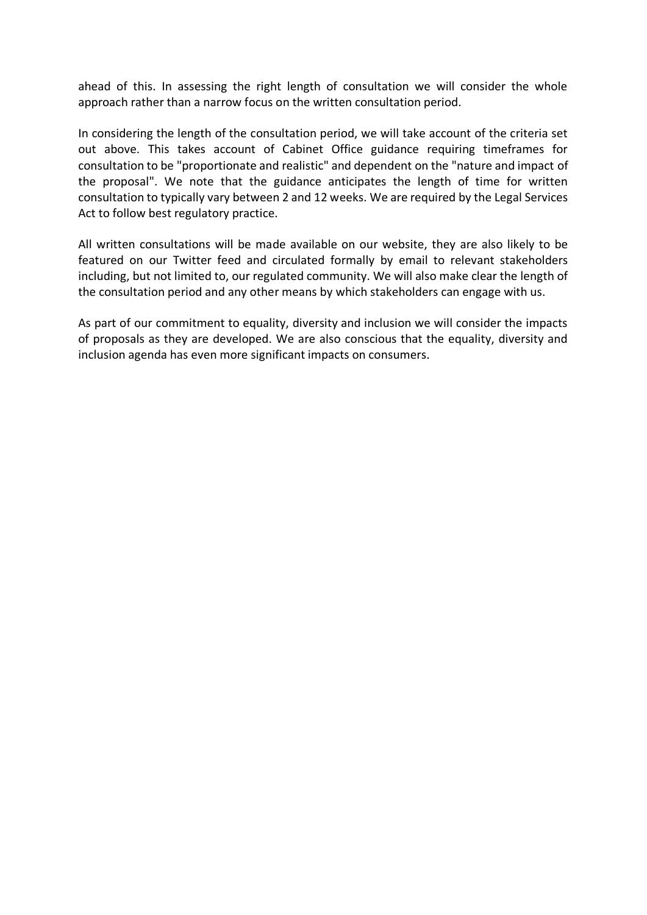ahead of this. In assessing the right length of consultation we will consider the whole approach rather than a narrow focus on the written consultation period.

In considering the length of the consultation period, we will take account of the criteria set out above. This takes account of Cabinet Office guidance requiring timeframes for consultation to be "proportionate and realistic" and dependent on the "nature and impact of the proposal". We note that the guidance anticipates the length of time for written consultation to typically vary between 2 and 12 weeks. We are required by the Legal Services Act to follow best regulatory practice.

All written consultations will be made available on our website, they are also likely to be featured on our Twitter feed and circulated formally by email to relevant stakeholders including, but not limited to, our regulated community. We will also make clear the length of the consultation period and any other means by which stakeholders can engage with us.

As part of our commitment to equality, diversity and inclusion we will consider the impacts of proposals as they are developed. We are also conscious that the equality, diversity and inclusion agenda has even more significant impacts on consumers.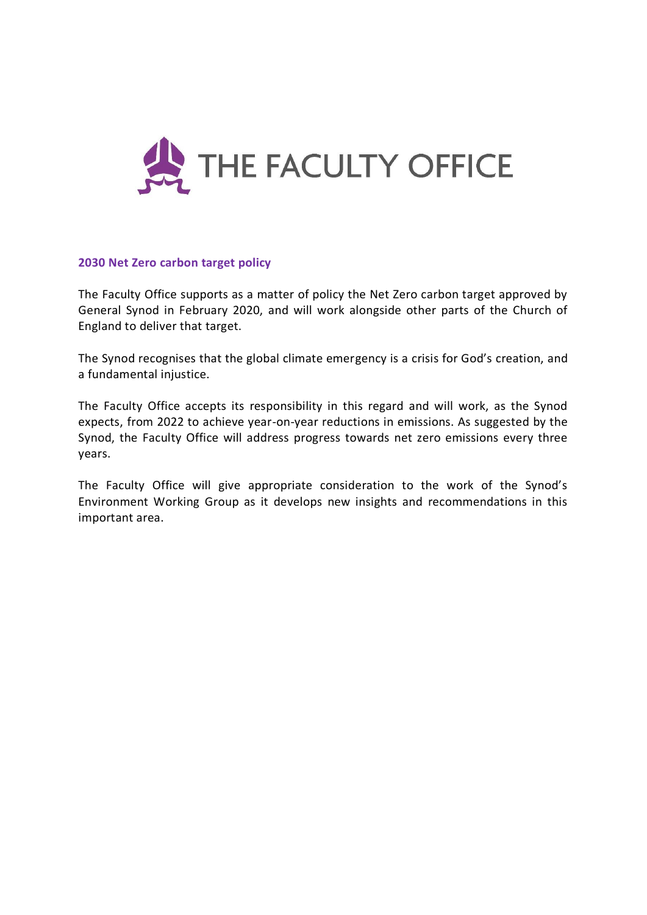

## **2030 Net Zero carbon target policy**

The Faculty Office supports as a matter of policy the Net Zero carbon target approved by General Synod in February 2020, and will work alongside other parts of the Church of England to deliver that target.

The Synod recognises that the global climate emergency is a crisis for God's creation, and a fundamental injustice.

The Faculty Office accepts its responsibility in this regard and will work, as the Synod expects, from 2022 to achieve year-on-year reductions in emissions. As suggested by the Synod, the Faculty Office will address progress towards net zero emissions every three years.

The Faculty Office will give appropriate consideration to the work of the Synod's Environment Working Group as it develops new insights and recommendations in this important area.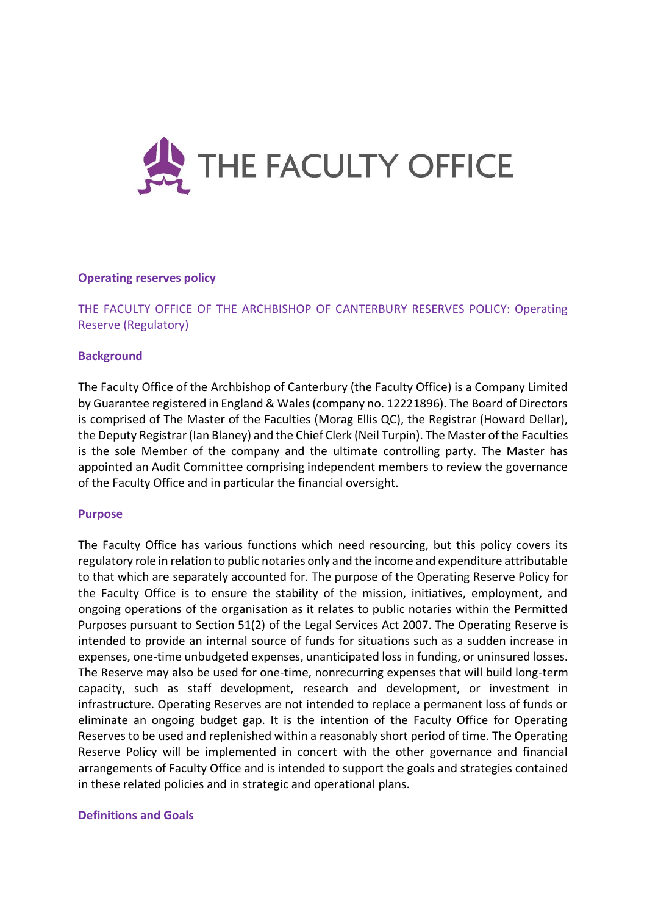

## **Operating reserves policy**

THE FACULTY OFFICE OF THE ARCHBISHOP OF CANTERBURY RESERVES POLICY: Operating Reserve (Regulatory)

## **Background**

The Faculty Office of the Archbishop of Canterbury (the Faculty Office) is a Company Limited by Guarantee registered in England & Wales (company no. 12221896). The Board of Directors is comprised of The Master of the Faculties (Morag Ellis QC), the Registrar (Howard Dellar), the Deputy Registrar (Ian Blaney) and the Chief Clerk (Neil Turpin). The Master of the Faculties is the sole Member of the company and the ultimate controlling party. The Master has appointed an Audit Committee comprising independent members to review the governance of the Faculty Office and in particular the financial oversight.

### **Purpose**

The Faculty Office has various functions which need resourcing, but this policy covers its regulatory role in relation to public notaries only and the income and expenditure attributable to that which are separately accounted for. The purpose of the Operating Reserve Policy for the Faculty Office is to ensure the stability of the mission, initiatives, employment, and ongoing operations of the organisation as it relates to public notaries within the Permitted Purposes pursuant to Section 51(2) of the Legal Services Act 2007. The Operating Reserve is intended to provide an internal source of funds for situations such as a sudden increase in expenses, one-time unbudgeted expenses, unanticipated loss in funding, or uninsured losses. The Reserve may also be used for one-time, nonrecurring expenses that will build long-term capacity, such as staff development, research and development, or investment in infrastructure. Operating Reserves are not intended to replace a permanent loss of funds or eliminate an ongoing budget gap. It is the intention of the Faculty Office for Operating Reserves to be used and replenished within a reasonably short period of time. The Operating Reserve Policy will be implemented in concert with the other governance and financial arrangements of Faculty Office and is intended to support the goals and strategies contained in these related policies and in strategic and operational plans.

### **Definitions and Goals**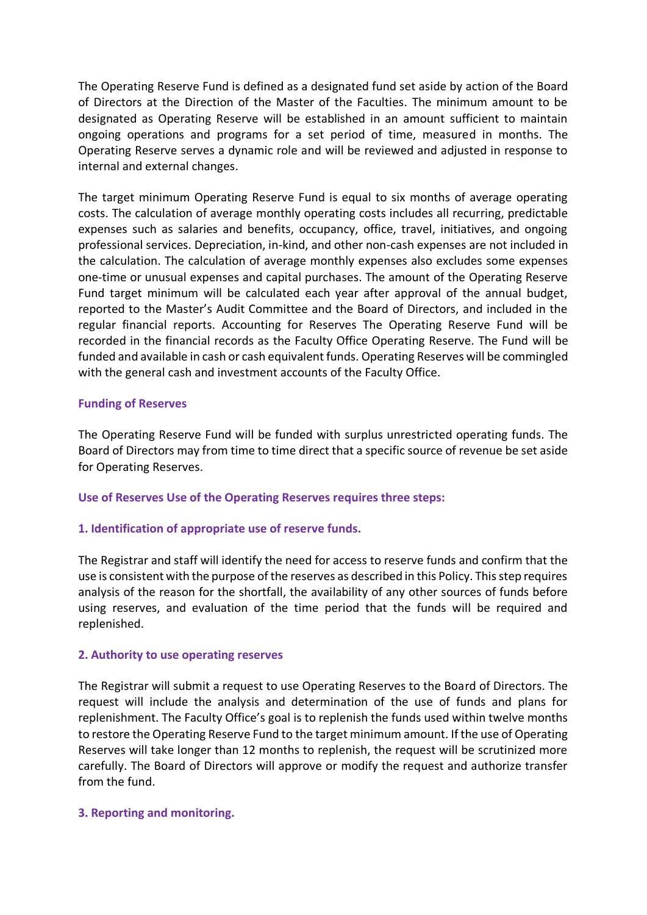The Operating Reserve Fund is defined as a designated fund set aside by action of the Board of Directors at the Direction of the Master of the Faculties. The minimum amount to be designated as Operating Reserve will be established in an amount sufficient to maintain ongoing operations and programs for a set period of time, measured in months. The Operating Reserve serves a dynamic role and will be reviewed and adjusted in response to internal and external changes.

The target minimum Operating Reserve Fund is equal to six months of average operating costs. The calculation of average monthly operating costs includes all recurring, predictable expenses such as salaries and benefits, occupancy, office, travel, initiatives, and ongoing professional services. Depreciation, in-kind, and other non-cash expenses are not included in the calculation. The calculation of average monthly expenses also excludes some expenses one-time or unusual expenses and capital purchases. The amount of the Operating Reserve Fund target minimum will be calculated each year after approval of the annual budget, reported to the Master's Audit Committee and the Board of Directors, and included in the regular financial reports. Accounting for Reserves The Operating Reserve Fund will be recorded in the financial records as the Faculty Office Operating Reserve. The Fund will be funded and available in cash or cash equivalent funds. Operating Reserves will be commingled with the general cash and investment accounts of the Faculty Office.

# **Funding of Reserves**

The Operating Reserve Fund will be funded with surplus unrestricted operating funds. The Board of Directors may from time to time direct that a specific source of revenue be set aside for Operating Reserves.

### **Use of Reserves Use of the Operating Reserves requires three steps:**

# **1. Identification of appropriate use of reserve funds.**

The Registrar and staff will identify the need for access to reserve funds and confirm that the use is consistent with the purpose of the reserves as described in this Policy. This step requires analysis of the reason for the shortfall, the availability of any other sources of funds before using reserves, and evaluation of the time period that the funds will be required and replenished.

### **2. Authority to use operating reserves**

The Registrar will submit a request to use Operating Reserves to the Board of Directors. The request will include the analysis and determination of the use of funds and plans for replenishment. The Faculty Office's goal is to replenish the funds used within twelve months to restore the Operating Reserve Fund to the target minimum amount. If the use of Operating Reserves will take longer than 12 months to replenish, the request will be scrutinized more carefully. The Board of Directors will approve or modify the request and authorize transfer from the fund.

### **3. Reporting and monitoring.**